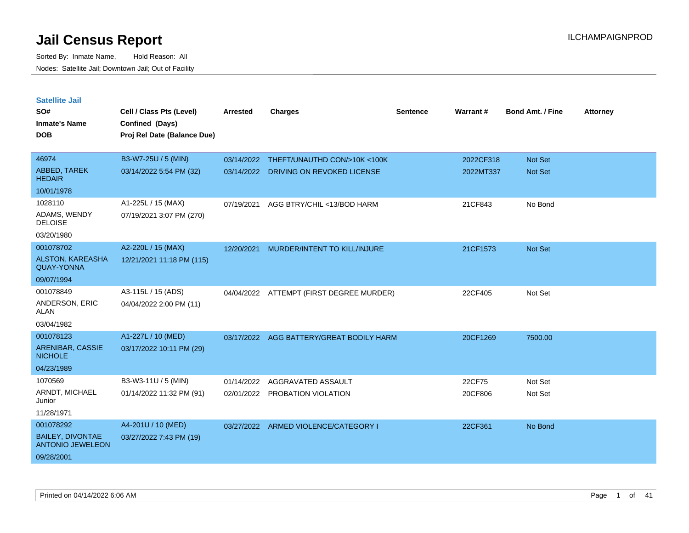| <b>Satellite Jail</b>                              |                             |            |                                          |                 |           |                         |                 |
|----------------------------------------------------|-----------------------------|------------|------------------------------------------|-----------------|-----------|-------------------------|-----------------|
| SO#                                                | Cell / Class Pts (Level)    | Arrested   | <b>Charges</b>                           | <b>Sentence</b> | Warrant#  | <b>Bond Amt. / Fine</b> | <b>Attorney</b> |
| Inmate's Name                                      | Confined (Days)             |            |                                          |                 |           |                         |                 |
| <b>DOB</b>                                         | Proj Rel Date (Balance Due) |            |                                          |                 |           |                         |                 |
|                                                    |                             |            |                                          |                 |           |                         |                 |
| 46974                                              | B3-W7-25U / 5 (MIN)         |            | 03/14/2022 THEFT/UNAUTHD CON/>10K <100K  |                 | 2022CF318 | <b>Not Set</b>          |                 |
| <b>ABBED, TAREK</b><br><b>HEDAIR</b>               | 03/14/2022 5:54 PM (32)     | 03/14/2022 | DRIVING ON REVOKED LICENSE               |                 | 2022MT337 | Not Set                 |                 |
| 10/01/1978                                         |                             |            |                                          |                 |           |                         |                 |
| 1028110                                            | A1-225L / 15 (MAX)          | 07/19/2021 | AGG BTRY/CHIL <13/BOD HARM               |                 | 21CF843   | No Bond                 |                 |
| ADAMS, WENDY<br><b>DELOISE</b>                     | 07/19/2021 3:07 PM (270)    |            |                                          |                 |           |                         |                 |
| 03/20/1980                                         |                             |            |                                          |                 |           |                         |                 |
| 001078702                                          | A2-220L / 15 (MAX)          | 12/20/2021 | MURDER/INTENT TO KILL/INJURE             |                 | 21CF1573  | Not Set                 |                 |
| <b>ALSTON, KAREASHA</b><br><b>QUAY-YONNA</b>       | 12/21/2021 11:18 PM (115)   |            |                                          |                 |           |                         |                 |
| 09/07/1994                                         |                             |            |                                          |                 |           |                         |                 |
| 001078849                                          | A3-115L / 15 (ADS)          |            | 04/04/2022 ATTEMPT (FIRST DEGREE MURDER) |                 | 22CF405   | Not Set                 |                 |
| ANDERSON, ERIC<br>ALAN                             | 04/04/2022 2:00 PM (11)     |            |                                          |                 |           |                         |                 |
| 03/04/1982                                         |                             |            |                                          |                 |           |                         |                 |
| 001078123                                          | A1-227L / 10 (MED)          | 03/17/2022 | AGG BATTERY/GREAT BODILY HARM            |                 | 20CF1269  | 7500.00                 |                 |
| ARENIBAR, CASSIE<br><b>NICHOLE</b>                 | 03/17/2022 10:11 PM (29)    |            |                                          |                 |           |                         |                 |
| 04/23/1989                                         |                             |            |                                          |                 |           |                         |                 |
| 1070569                                            | B3-W3-11U / 5 (MIN)         | 01/14/2022 | AGGRAVATED ASSAULT                       |                 | 22CF75    | Not Set                 |                 |
| ARNDT, MICHAEL<br>Junior                           | 01/14/2022 11:32 PM (91)    |            | 02/01/2022 PROBATION VIOLATION           |                 | 20CF806   | Not Set                 |                 |
| 11/28/1971                                         |                             |            |                                          |                 |           |                         |                 |
| 001078292                                          | A4-201U / 10 (MED)          |            | 03/27/2022 ARMED VIOLENCE/CATEGORY I     |                 | 22CF361   | No Bond                 |                 |
| <b>BAILEY, DIVONTAE</b><br><b>ANTONIO JEWELEON</b> | 03/27/2022 7:43 PM (19)     |            |                                          |                 |           |                         |                 |
| 09/28/2001                                         |                             |            |                                          |                 |           |                         |                 |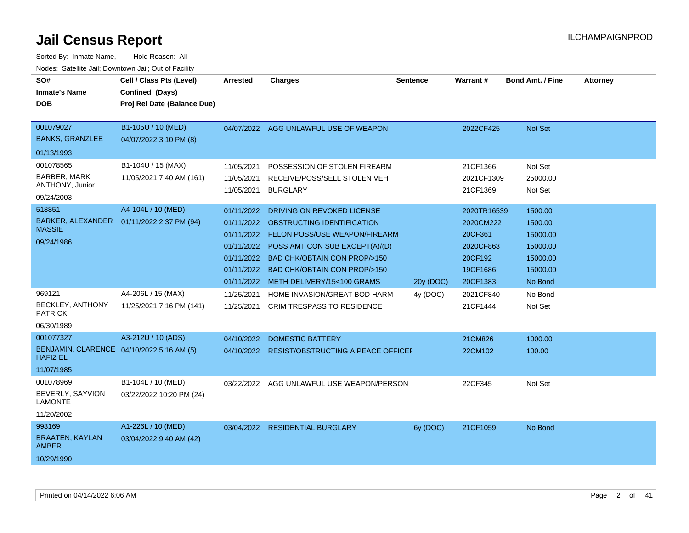| SO#<br><b>Inmate's Name</b><br><b>DOB</b>                                               | Cell / Class Pts (Level)<br>Confined (Days)<br>Proj Rel Date (Balance Due) | <b>Arrested</b>                                                                                | <b>Charges</b>                                                                                                                                                                                                                                       | <b>Sentence</b> | <b>Warrant#</b>                                                                     | <b>Bond Amt. / Fine</b>                                                       | <b>Attorney</b> |
|-----------------------------------------------------------------------------------------|----------------------------------------------------------------------------|------------------------------------------------------------------------------------------------|------------------------------------------------------------------------------------------------------------------------------------------------------------------------------------------------------------------------------------------------------|-----------------|-------------------------------------------------------------------------------------|-------------------------------------------------------------------------------|-----------------|
| 001079027<br><b>BANKS, GRANZLEE</b>                                                     | B1-105U / 10 (MED)<br>04/07/2022 3:10 PM (8)                               | 04/07/2022                                                                                     | AGG UNLAWFUL USE OF WEAPON                                                                                                                                                                                                                           |                 | 2022CF425                                                                           | <b>Not Set</b>                                                                |                 |
| 01/13/1993                                                                              |                                                                            |                                                                                                |                                                                                                                                                                                                                                                      |                 |                                                                                     |                                                                               |                 |
| 001078565<br>BARBER, MARK<br>ANTHONY, Junior<br>09/24/2003                              | B1-104U / 15 (MAX)<br>11/05/2021 7:40 AM (161)                             | 11/05/2021<br>11/05/2021<br>11/05/2021                                                         | POSSESSION OF STOLEN FIREARM<br>RECEIVE/POSS/SELL STOLEN VEH<br><b>BURGLARY</b>                                                                                                                                                                      |                 | 21CF1366<br>2021CF1309<br>21CF1369                                                  | Not Set<br>25000.00<br>Not Set                                                |                 |
| 518851<br><b>BARKER, ALEXANDER</b><br><b>MASSIE</b><br>09/24/1986                       | A4-104L / 10 (MED)<br>01/11/2022 2:37 PM (94)                              | 01/11/2022<br>01/11/2022<br>01/11/2022<br>01/11/2022<br>01/11/2022<br>01/11/2022<br>01/11/2022 | DRIVING ON REVOKED LICENSE<br>OBSTRUCTING IDENTIFICATION<br><b>FELON POSS/USE WEAPON/FIREARM</b><br>POSS AMT CON SUB EXCEPT(A)/(D)<br><b>BAD CHK/OBTAIN CON PROP/&gt;150</b><br><b>BAD CHK/OBTAIN CON PROP/&gt;150</b><br>METH DELIVERY/15<100 GRAMS | 20y (DOC)       | 2020TR16539<br>2020CM222<br>20CF361<br>2020CF863<br>20CF192<br>19CF1686<br>20CF1383 | 1500.00<br>1500.00<br>15000.00<br>15000.00<br>15000.00<br>15000.00<br>No Bond |                 |
| 969121<br><b>BECKLEY, ANTHONY</b><br><b>PATRICK</b><br>06/30/1989                       | A4-206L / 15 (MAX)<br>11/25/2021 7:16 PM (141)                             | 11/25/2021<br>11/25/2021                                                                       | HOME INVASION/GREAT BOD HARM<br><b>CRIM TRESPASS TO RESIDENCE</b>                                                                                                                                                                                    | 4y (DOC)        | 2021CF840<br>21CF1444                                                               | No Bond<br>Not Set                                                            |                 |
| 001077327<br>BENJAMIN, CLARENCE 04/10/2022 5:16 AM (5)<br><b>HAFIZ EL</b><br>11/07/1985 | A3-212U / 10 (ADS)                                                         | 04/10/2022                                                                                     | <b>DOMESTIC BATTERY</b><br>04/10/2022 RESIST/OBSTRUCTING A PEACE OFFICE                                                                                                                                                                              |                 | 21CM826<br>22CM102                                                                  | 1000.00<br>100.00                                                             |                 |
| 001078969<br>BEVERLY, SAYVION<br><b>LAMONTE</b><br>11/20/2002                           | B1-104L / 10 (MED)<br>03/22/2022 10:20 PM (24)                             | 03/22/2022                                                                                     | AGG UNLAWFUL USE WEAPON/PERSON                                                                                                                                                                                                                       |                 | 22CF345                                                                             | Not Set                                                                       |                 |
| 993169<br><b>BRAATEN, KAYLAN</b><br><b>AMBER</b><br>10/29/1990                          | A1-226L / 10 (MED)<br>03/04/2022 9:40 AM (42)                              |                                                                                                | 03/04/2022 RESIDENTIAL BURGLARY                                                                                                                                                                                                                      | 6y (DOC)        | 21CF1059                                                                            | No Bond                                                                       |                 |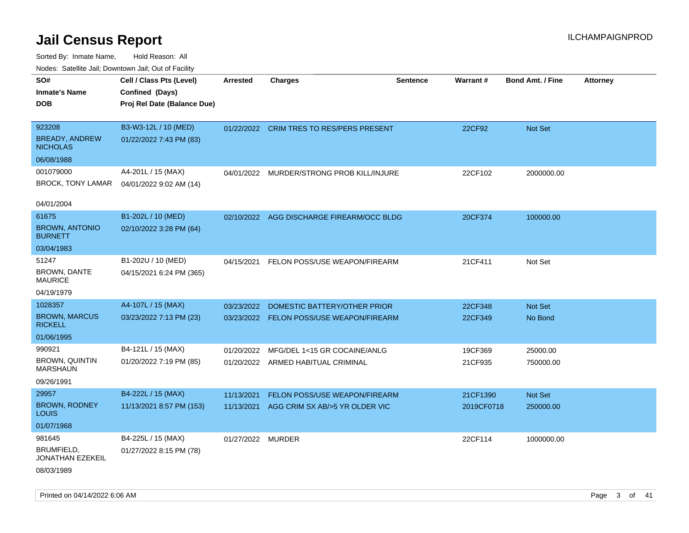| roaco. Oatomto dan, Downtown dan, Oat or Fability |                             |                   |                                           |                 |            |                         |                 |
|---------------------------------------------------|-----------------------------|-------------------|-------------------------------------------|-----------------|------------|-------------------------|-----------------|
| SO#                                               | Cell / Class Pts (Level)    | <b>Arrested</b>   | <b>Charges</b>                            | <b>Sentence</b> | Warrant#   | <b>Bond Amt. / Fine</b> | <b>Attorney</b> |
| <b>Inmate's Name</b>                              | Confined (Days)             |                   |                                           |                 |            |                         |                 |
| <b>DOB</b>                                        | Proj Rel Date (Balance Due) |                   |                                           |                 |            |                         |                 |
|                                                   |                             |                   |                                           |                 |            |                         |                 |
| 923208                                            | B3-W3-12L / 10 (MED)        |                   | 01/22/2022 CRIM TRES TO RES/PERS PRESENT  |                 | 22CF92     | Not Set                 |                 |
| BREADY, ANDREW<br><b>NICHOLAS</b>                 | 01/22/2022 7:43 PM (83)     |                   |                                           |                 |            |                         |                 |
| 06/08/1988                                        |                             |                   |                                           |                 |            |                         |                 |
| 001079000                                         | A4-201L / 15 (MAX)          |                   | 04/01/2022 MURDER/STRONG PROB KILL/INJURE |                 | 22CF102    | 2000000.00              |                 |
| BROCK, TONY LAMAR                                 | 04/01/2022 9:02 AM (14)     |                   |                                           |                 |            |                         |                 |
|                                                   |                             |                   |                                           |                 |            |                         |                 |
| 04/01/2004                                        |                             |                   |                                           |                 |            |                         |                 |
| 61675                                             | B1-202L / 10 (MED)          |                   | 02/10/2022 AGG DISCHARGE FIREARM/OCC BLDG |                 | 20CF374    | 100000.00               |                 |
| <b>BROWN, ANTONIO</b><br><b>BURNETT</b>           | 02/10/2022 3:28 PM (64)     |                   |                                           |                 |            |                         |                 |
| 03/04/1983                                        |                             |                   |                                           |                 |            |                         |                 |
| 51247                                             | B1-202U / 10 (MED)          | 04/15/2021        | FELON POSS/USE WEAPON/FIREARM             |                 | 21CF411    | Not Set                 |                 |
| <b>BROWN, DANTE</b><br><b>MAURICE</b>             | 04/15/2021 6:24 PM (365)    |                   |                                           |                 |            |                         |                 |
| 04/19/1979                                        |                             |                   |                                           |                 |            |                         |                 |
| 1028357                                           | A4-107L / 15 (MAX)          | 03/23/2022        | DOMESTIC BATTERY/OTHER PRIOR              |                 | 22CF348    | Not Set                 |                 |
| <b>BROWN, MARCUS</b><br><b>RICKELL</b>            | 03/23/2022 7:13 PM (23)     |                   | 03/23/2022 FELON POSS/USE WEAPON/FIREARM  |                 | 22CF349    | No Bond                 |                 |
| 01/06/1995                                        |                             |                   |                                           |                 |            |                         |                 |
| 990921                                            | B4-121L / 15 (MAX)          | 01/20/2022        | MFG/DEL 1<15 GR COCAINE/ANLG              |                 | 19CF369    | 25000.00                |                 |
| <b>BROWN, QUINTIN</b><br><b>MARSHAUN</b>          | 01/20/2022 7:19 PM (85)     |                   | 01/20/2022 ARMED HABITUAL CRIMINAL        |                 | 21CF935    | 750000.00               |                 |
| 09/26/1991                                        |                             |                   |                                           |                 |            |                         |                 |
| 29957                                             | B4-222L / 15 (MAX)          | 11/13/2021        | FELON POSS/USE WEAPON/FIREARM             |                 | 21CF1390   | Not Set                 |                 |
| <b>BROWN, RODNEY</b><br><b>LOUIS</b>              | 11/13/2021 8:57 PM (153)    | 11/13/2021        | AGG CRIM SX AB/>5 YR OLDER VIC            |                 | 2019CF0718 | 250000.00               |                 |
| 01/07/1968                                        |                             |                   |                                           |                 |            |                         |                 |
| 981645                                            | B4-225L / 15 (MAX)          | 01/27/2022 MURDER |                                           |                 | 22CF114    | 1000000.00              |                 |
| BRUMFIELD,<br>JONATHAN EZEKEIL                    | 01/27/2022 8:15 PM (78)     |                   |                                           |                 |            |                         |                 |
| 08/03/1989                                        |                             |                   |                                           |                 |            |                         |                 |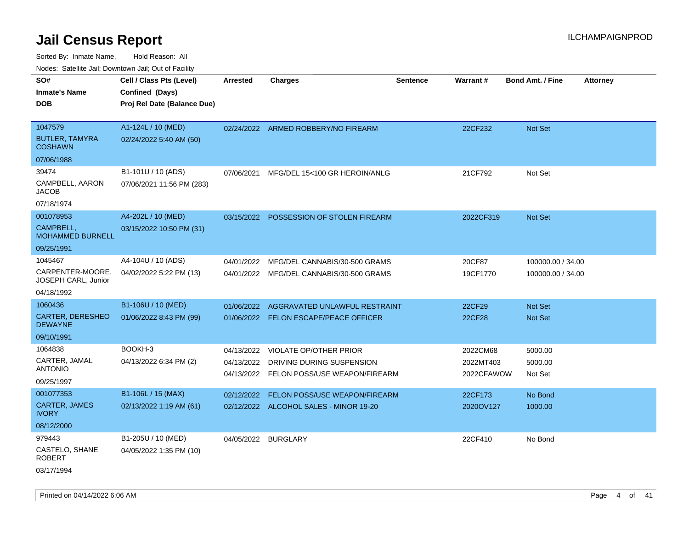Sorted By: Inmate Name, Hold Reason: All

Nodes: Satellite Jail; Downtown Jail; Out of Facility

| SO#                                       | Cell / Class Pts (Level)    | <b>Arrested</b> | <b>Charges</b>                              | <b>Sentence</b> | <b>Warrant#</b> | <b>Bond Amt. / Fine</b> | <b>Attorney</b> |
|-------------------------------------------|-----------------------------|-----------------|---------------------------------------------|-----------------|-----------------|-------------------------|-----------------|
| <b>Inmate's Name</b>                      | Confined (Days)             |                 |                                             |                 |                 |                         |                 |
| <b>DOB</b>                                | Proj Rel Date (Balance Due) |                 |                                             |                 |                 |                         |                 |
|                                           |                             |                 |                                             |                 |                 |                         |                 |
| 1047579                                   | A1-124L / 10 (MED)          |                 | 02/24/2022 ARMED ROBBERY/NO FIREARM         |                 | 22CF232         | Not Set                 |                 |
| <b>BUTLER, TAMYRA</b><br><b>COSHAWN</b>   | 02/24/2022 5:40 AM (50)     |                 |                                             |                 |                 |                         |                 |
| 07/06/1988                                |                             |                 |                                             |                 |                 |                         |                 |
| 39474                                     | B1-101U / 10 (ADS)          | 07/06/2021      | MFG/DEL 15<100 GR HEROIN/ANLG               |                 | 21CF792         | Not Set                 |                 |
| CAMPBELL, AARON<br><b>JACOB</b>           | 07/06/2021 11:56 PM (283)   |                 |                                             |                 |                 |                         |                 |
| 07/18/1974                                |                             |                 |                                             |                 |                 |                         |                 |
| 001078953                                 | A4-202L / 10 (MED)          |                 | 03/15/2022 POSSESSION OF STOLEN FIREARM     |                 | 2022CF319       | Not Set                 |                 |
| CAMPBELL,<br><b>MOHAMMED BURNELL</b>      | 03/15/2022 10:50 PM (31)    |                 |                                             |                 |                 |                         |                 |
| 09/25/1991                                |                             |                 |                                             |                 |                 |                         |                 |
| 1045467                                   | A4-104U / 10 (ADS)          | 04/01/2022      | MFG/DEL CANNABIS/30-500 GRAMS               |                 | 20CF87          | 100000.00 / 34.00       |                 |
| CARPENTER-MOORE,<br>JOSEPH CARL, Junior   | 04/02/2022 5:22 PM (13)     |                 | 04/01/2022 MFG/DEL CANNABIS/30-500 GRAMS    |                 | 19CF1770        | 100000.00 / 34.00       |                 |
| 04/18/1992                                |                             |                 |                                             |                 |                 |                         |                 |
| 1060436                                   | B1-106U / 10 (MED)          | 01/06/2022      | AGGRAVATED UNLAWFUL RESTRAINT               |                 | 22CF29          | Not Set                 |                 |
| <b>CARTER, DERESHEO</b><br><b>DEWAYNE</b> | 01/06/2022 8:43 PM (99)     |                 | 01/06/2022 FELON ESCAPE/PEACE OFFICER       |                 | 22CF28          | Not Set                 |                 |
| 09/10/1991                                |                             |                 |                                             |                 |                 |                         |                 |
| 1064838                                   | BOOKH-3                     | 04/13/2022      | <b>VIOLATE OP/OTHER PRIOR</b>               |                 | 2022CM68        | 5000.00                 |                 |
| CARTER, JAMAL                             | 04/13/2022 6:34 PM (2)      | 04/13/2022      | DRIVING DURING SUSPENSION                   |                 | 2022MT403       | 5000.00                 |                 |
| <b>ANTONIO</b>                            |                             |                 | 04/13/2022    FELON POSS/USE WEAPON/FIREARM |                 | 2022CFAWOW      | Not Set                 |                 |
| 09/25/1997                                |                             |                 |                                             |                 |                 |                         |                 |
| 001077353                                 | B1-106L / 15 (MAX)          | 02/12/2022      | FELON POSS/USE WEAPON/FIREARM               |                 | 22CF173         | No Bond                 |                 |
| <b>CARTER, JAMES</b><br><b>IVORY</b>      | 02/13/2022 1:19 AM (61)     |                 | 02/12/2022 ALCOHOL SALES - MINOR 19-20      |                 | 2020OV127       | 1000.00                 |                 |
| 08/12/2000                                |                             |                 |                                             |                 |                 |                         |                 |
| 979443                                    | B1-205U / 10 (MED)          |                 | 04/05/2022 BURGLARY                         |                 | 22CF410         | No Bond                 |                 |
| CASTELO, SHANE<br><b>ROBERT</b>           | 04/05/2022 1:35 PM (10)     |                 |                                             |                 |                 |                         |                 |
| 03/17/1994                                |                             |                 |                                             |                 |                 |                         |                 |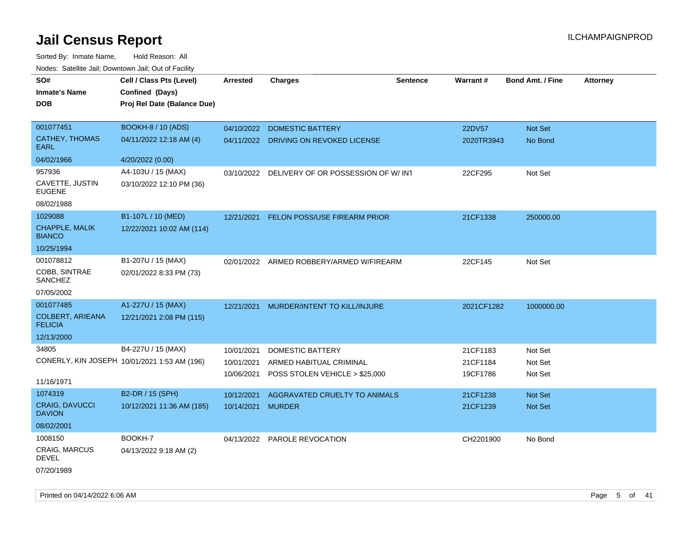| SO#<br><b>Inmate's Name</b>               | Cell / Class Pts (Level)<br>Confined (Days)  | <b>Arrested</b>   | <b>Charges</b>                           | <b>Sentence</b> | Warrant#   | <b>Bond Amt. / Fine</b> | <b>Attorney</b> |
|-------------------------------------------|----------------------------------------------|-------------------|------------------------------------------|-----------------|------------|-------------------------|-----------------|
| <b>DOB</b>                                | Proj Rel Date (Balance Due)                  |                   |                                          |                 |            |                         |                 |
| 001077451                                 | <b>BOOKH-8 / 10 (ADS)</b>                    | 04/10/2022        | <b>DOMESTIC BATTERY</b>                  |                 | 22DV57     | Not Set                 |                 |
| <b>CATHEY, THOMAS</b><br><b>EARL</b>      | 04/11/2022 12:18 AM (4)                      |                   | 04/11/2022 DRIVING ON REVOKED LICENSE    |                 | 2020TR3943 | No Bond                 |                 |
| 04/02/1966                                | 4/20/2022 (0.00)                             |                   |                                          |                 |            |                         |                 |
| 957936                                    | A4-103U / 15 (MAX)                           | 03/10/2022        | DELIVERY OF OR POSSESSION OF W/INT       |                 | 22CF295    | Not Set                 |                 |
| CAVETTE, JUSTIN<br><b>EUGENE</b>          | 03/10/2022 12:10 PM (36)                     |                   |                                          |                 |            |                         |                 |
| 08/02/1988                                |                                              |                   |                                          |                 |            |                         |                 |
| 1029088                                   | B1-107L / 10 (MED)                           | 12/21/2021        | FELON POSS/USE FIREARM PRIOR             |                 | 21CF1338   | 250000.00               |                 |
| <b>CHAPPLE, MALIK</b><br><b>BIANCO</b>    | 12/22/2021 10:02 AM (114)                    |                   |                                          |                 |            |                         |                 |
| 10/25/1994                                |                                              |                   |                                          |                 |            |                         |                 |
| 001078812                                 | B1-207U / 15 (MAX)                           |                   | 02/01/2022 ARMED ROBBERY/ARMED W/FIREARM |                 | 22CF145    | Not Set                 |                 |
| COBB, SINTRAE<br>SANCHEZ                  | 02/01/2022 8:33 PM (73)                      |                   |                                          |                 |            |                         |                 |
| 07/05/2002                                |                                              |                   |                                          |                 |            |                         |                 |
| 001077485                                 | A1-227U / 15 (MAX)                           | 12/21/2021        | MURDER/INTENT TO KILL/INJURE             |                 | 2021CF1282 | 1000000.00              |                 |
| <b>COLBERT, ARIEANA</b><br><b>FELICIA</b> | 12/21/2021 2:08 PM (115)                     |                   |                                          |                 |            |                         |                 |
| 12/13/2000                                |                                              |                   |                                          |                 |            |                         |                 |
| 34805                                     | B4-227U / 15 (MAX)                           | 10/01/2021        | DOMESTIC BATTERY                         |                 | 21CF1183   | Not Set                 |                 |
|                                           | CONERLY, KIN JOSEPH 10/01/2021 1:53 AM (196) | 10/01/2021        | ARMED HABITUAL CRIMINAL                  |                 | 21CF1184   | Not Set                 |                 |
|                                           |                                              | 10/06/2021        | POSS STOLEN VEHICLE > \$25,000           |                 | 19CF1786   | Not Set                 |                 |
| 11/16/1971                                |                                              |                   |                                          |                 |            |                         |                 |
| 1074319                                   | B2-DR / 15 (SPH)                             | 10/12/2021        | AGGRAVATED CRUELTY TO ANIMALS            |                 | 21CF1238   | Not Set                 |                 |
| <b>CRAIG, DAVUCCI</b><br><b>DAVION</b>    | 10/12/2021 11:36 AM (185)                    | 10/14/2021 MURDER |                                          |                 | 21CF1239   | Not Set                 |                 |
| 08/02/2001                                |                                              |                   |                                          |                 |            |                         |                 |
| 1008150                                   | BOOKH-7                                      |                   | 04/13/2022 PAROLE REVOCATION             |                 | CH2201900  | No Bond                 |                 |
| CRAIG, MARCUS<br><b>DEVEL</b>             | 04/13/2022 9:18 AM (2)                       |                   |                                          |                 |            |                         |                 |
| 07/20/1989                                |                                              |                   |                                          |                 |            |                         |                 |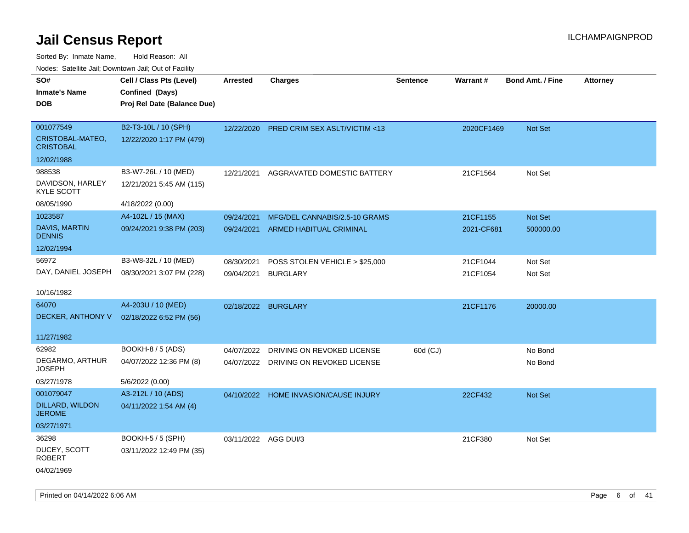| Noues. Salemie Jan, Downlown Jan, Out of Facility |                             |                      |                                          |                 |            |                         |                 |
|---------------------------------------------------|-----------------------------|----------------------|------------------------------------------|-----------------|------------|-------------------------|-----------------|
| SO#                                               | Cell / Class Pts (Level)    | <b>Arrested</b>      | <b>Charges</b>                           | <b>Sentence</b> | Warrant#   | <b>Bond Amt. / Fine</b> | <b>Attorney</b> |
| <b>Inmate's Name</b>                              | Confined (Days)             |                      |                                          |                 |            |                         |                 |
| <b>DOB</b>                                        | Proj Rel Date (Balance Due) |                      |                                          |                 |            |                         |                 |
|                                                   |                             |                      |                                          |                 |            |                         |                 |
| 001077549                                         | B2-T3-10L / 10 (SPH)        |                      | 12/22/2020 PRED CRIM SEX ASLT/VICTIM <13 |                 | 2020CF1469 | Not Set                 |                 |
| CRISTOBAL-MATEO,<br><b>CRISTOBAL</b>              | 12/22/2020 1:17 PM (479)    |                      |                                          |                 |            |                         |                 |
| 12/02/1988                                        |                             |                      |                                          |                 |            |                         |                 |
| 988538                                            | B3-W7-26L / 10 (MED)        | 12/21/2021           | AGGRAVATED DOMESTIC BATTERY              |                 | 21CF1564   | Not Set                 |                 |
| DAVIDSON, HARLEY<br><b>KYLE SCOTT</b>             | 12/21/2021 5:45 AM (115)    |                      |                                          |                 |            |                         |                 |
| 08/05/1990                                        | 4/18/2022 (0.00)            |                      |                                          |                 |            |                         |                 |
| 1023587                                           | A4-102L / 15 (MAX)          | 09/24/2021           | MFG/DEL CANNABIS/2.5-10 GRAMS            |                 | 21CF1155   | Not Set                 |                 |
| <b>DAVIS, MARTIN</b><br><b>DENNIS</b>             | 09/24/2021 9:38 PM (203)    | 09/24/2021           | ARMED HABITUAL CRIMINAL                  |                 | 2021-CF681 | 500000.00               |                 |
| 12/02/1994                                        |                             |                      |                                          |                 |            |                         |                 |
| 56972                                             | B3-W8-32L / 10 (MED)        | 08/30/2021           | POSS STOLEN VEHICLE > \$25,000           |                 | 21CF1044   | Not Set                 |                 |
| DAY, DANIEL JOSEPH                                | 08/30/2021 3:07 PM (228)    | 09/04/2021           | <b>BURGLARY</b>                          |                 | 21CF1054   | Not Set                 |                 |
|                                                   |                             |                      |                                          |                 |            |                         |                 |
| 10/16/1982                                        |                             |                      |                                          |                 |            |                         |                 |
| 64070                                             | A4-203U / 10 (MED)          | 02/18/2022 BURGLARY  |                                          |                 | 21CF1176   | 20000.00                |                 |
| DECKER, ANTHONY V                                 | 02/18/2022 6:52 PM (56)     |                      |                                          |                 |            |                         |                 |
|                                                   |                             |                      |                                          |                 |            |                         |                 |
| 11/27/1982                                        |                             |                      |                                          |                 |            |                         |                 |
| 62982                                             | BOOKH-8 / 5 (ADS)           | 04/07/2022           | DRIVING ON REVOKED LICENSE               | 60d (CJ)        |            | No Bond                 |                 |
| DEGARMO, ARTHUR<br>JOSEPH                         | 04/07/2022 12:36 PM (8)     |                      | 04/07/2022 DRIVING ON REVOKED LICENSE    |                 |            | No Bond                 |                 |
| 03/27/1978                                        | 5/6/2022 (0.00)             |                      |                                          |                 |            |                         |                 |
| 001079047                                         | A3-212L / 10 (ADS)          |                      | 04/10/2022 HOME INVASION/CAUSE INJURY    |                 | 22CF432    | Not Set                 |                 |
| DILLARD, WILDON<br><b>JEROME</b>                  | 04/11/2022 1:54 AM (4)      |                      |                                          |                 |            |                         |                 |
| 03/27/1971                                        |                             |                      |                                          |                 |            |                         |                 |
| 36298                                             | BOOKH-5 / 5 (SPH)           | 03/11/2022 AGG DUI/3 |                                          |                 | 21CF380    | Not Set                 |                 |
| DUCEY, SCOTT<br><b>ROBERT</b>                     | 03/11/2022 12:49 PM (35)    |                      |                                          |                 |            |                         |                 |
| 04/02/1969                                        |                             |                      |                                          |                 |            |                         |                 |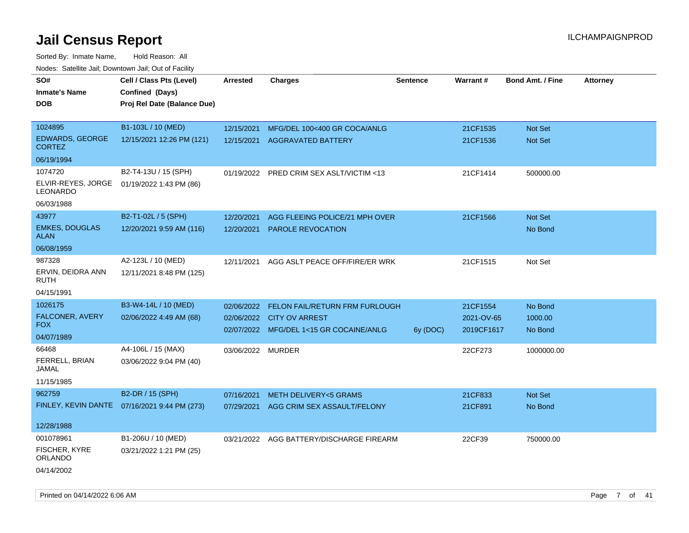| rougs. Calcing Jan, Downtown Jan, Out of Facinty |                                              |                   |                                          |                 |            |                         |                 |
|--------------------------------------------------|----------------------------------------------|-------------------|------------------------------------------|-----------------|------------|-------------------------|-----------------|
| SO#                                              | Cell / Class Pts (Level)                     | <b>Arrested</b>   | <b>Charges</b>                           | <b>Sentence</b> | Warrant#   | <b>Bond Amt. / Fine</b> | <b>Attorney</b> |
| <b>Inmate's Name</b>                             | Confined (Days)                              |                   |                                          |                 |            |                         |                 |
| <b>DOB</b>                                       | Proj Rel Date (Balance Due)                  |                   |                                          |                 |            |                         |                 |
|                                                  |                                              |                   |                                          |                 |            |                         |                 |
| 1024895                                          | B1-103L / 10 (MED)                           | 12/15/2021        | MFG/DEL 100<400 GR COCA/ANLG             |                 | 21CF1535   | Not Set                 |                 |
| <b>EDWARDS, GEORGE</b><br><b>CORTEZ</b>          | 12/15/2021 12:26 PM (121)                    | 12/15/2021        | AGGRAVATED BATTERY                       |                 | 21CF1536   | Not Set                 |                 |
| 06/19/1994                                       |                                              |                   |                                          |                 |            |                         |                 |
| 1074720                                          | B2-T4-13U / 15 (SPH)                         | 01/19/2022        | PRED CRIM SEX ASLT/VICTIM <13            |                 | 21CF1414   | 500000.00               |                 |
| ELVIR-REYES, JORGE<br>LEONARDO                   | 01/19/2022 1:43 PM (86)                      |                   |                                          |                 |            |                         |                 |
| 06/03/1988                                       |                                              |                   |                                          |                 |            |                         |                 |
| 43977                                            | B2-T1-02L / 5 (SPH)                          | 12/20/2021        | AGG FLEEING POLICE/21 MPH OVER           |                 | 21CF1566   | Not Set                 |                 |
| <b>EMKES, DOUGLAS</b><br>ALAN                    | 12/20/2021 9:59 AM (116)                     | 12/20/2021        | <b>PAROLE REVOCATION</b>                 |                 |            | No Bond                 |                 |
| 06/08/1959                                       |                                              |                   |                                          |                 |            |                         |                 |
| 987328                                           | A2-123L / 10 (MED)                           | 12/11/2021        | AGG ASLT PEACE OFF/FIRE/ER WRK           |                 | 21CF1515   | Not Set                 |                 |
| ERVIN, DEIDRA ANN<br><b>RUTH</b>                 | 12/11/2021 8:48 PM (125)                     |                   |                                          |                 |            |                         |                 |
| 04/15/1991                                       |                                              |                   |                                          |                 |            |                         |                 |
| 1026175                                          | B3-W4-14L / 10 (MED)                         | 02/06/2022        | FELON FAIL/RETURN FRM FURLOUGH           |                 | 21CF1554   | No Bond                 |                 |
| FALCONER, AVERY                                  | 02/06/2022 4:49 AM (68)                      |                   | 02/06/2022 CITY OV ARREST                |                 | 2021-OV-65 | 1000.00                 |                 |
| <b>FOX</b>                                       |                                              |                   | 02/07/2022 MFG/DEL 1<15 GR COCAINE/ANLG  | 6y (DOC)        | 2019CF1617 | No Bond                 |                 |
| 04/07/1989                                       |                                              |                   |                                          |                 |            |                         |                 |
| 66468                                            | A4-106L / 15 (MAX)                           | 03/06/2022 MURDER |                                          |                 | 22CF273    | 1000000.00              |                 |
| FERRELL, BRIAN<br>JAMAL                          | 03/06/2022 9:04 PM (40)                      |                   |                                          |                 |            |                         |                 |
| 11/15/1985                                       |                                              |                   |                                          |                 |            |                         |                 |
| 962759                                           | B2-DR / 15 (SPH)                             | 07/16/2021        | <b>METH DELIVERY&lt;5 GRAMS</b>          |                 | 21CF833    | Not Set                 |                 |
|                                                  | FINLEY, KEVIN DANTE 07/16/2021 9:44 PM (273) | 07/29/2021        | AGG CRIM SEX ASSAULT/FELONY              |                 | 21CF891    | No Bond                 |                 |
| 12/28/1988                                       |                                              |                   |                                          |                 |            |                         |                 |
| 001078961                                        | B1-206U / 10 (MED)                           |                   | 03/21/2022 AGG BATTERY/DISCHARGE FIREARM |                 | 22CF39     | 750000.00               |                 |
| <b>FISCHER, KYRE</b><br>ORLANDO                  | 03/21/2022 1:21 PM (25)                      |                   |                                          |                 |            |                         |                 |
| 04/14/2002                                       |                                              |                   |                                          |                 |            |                         |                 |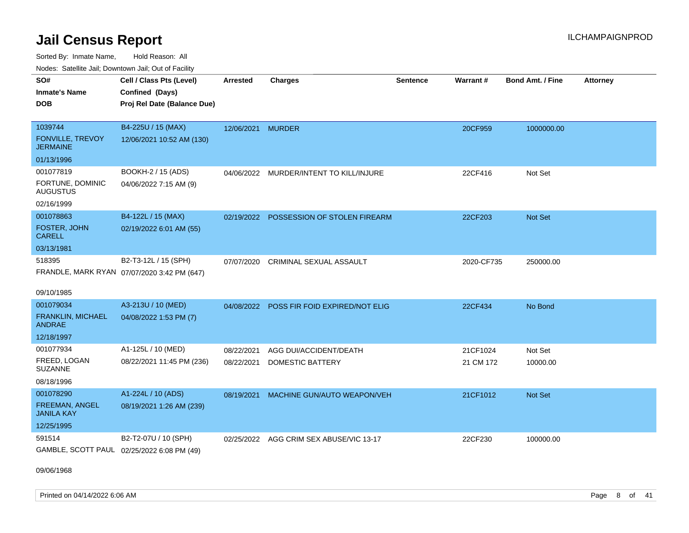Sorted By: Inmate Name, Hold Reason: All Nodes: Satellite Jail; Downtown Jail; Out of Facility

| SO#                                        | Cell / Class Pts (Level)                    | <b>Arrested</b>   | <b>Charges</b>                          | <b>Sentence</b> | Warrant#   | <b>Bond Amt. / Fine</b> | <b>Attorney</b> |
|--------------------------------------------|---------------------------------------------|-------------------|-----------------------------------------|-----------------|------------|-------------------------|-----------------|
| <b>Inmate's Name</b>                       | Confined (Days)                             |                   |                                         |                 |            |                         |                 |
| <b>DOB</b>                                 | Proj Rel Date (Balance Due)                 |                   |                                         |                 |            |                         |                 |
|                                            |                                             |                   |                                         |                 |            |                         |                 |
| 1039744                                    | B4-225U / 15 (MAX)                          | 12/06/2021 MURDER |                                         |                 | 20CF959    | 1000000.00              |                 |
| <b>FONVILLE, TREVOY</b><br><b>JERMAINE</b> | 12/06/2021 10:52 AM (130)                   |                   |                                         |                 |            |                         |                 |
| 01/13/1996                                 |                                             |                   |                                         |                 |            |                         |                 |
| 001077819                                  | BOOKH-2 / 15 (ADS)                          |                   | 04/06/2022 MURDER/INTENT TO KILL/INJURE |                 | 22CF416    | Not Set                 |                 |
| FORTUNE, DOMINIC<br><b>AUGUSTUS</b>        | 04/06/2022 7:15 AM (9)                      |                   |                                         |                 |            |                         |                 |
| 02/16/1999                                 |                                             |                   |                                         |                 |            |                         |                 |
| 001078863                                  | B4-122L / 15 (MAX)                          | 02/19/2022        | POSSESSION OF STOLEN FIREARM            |                 | 22CF203    | <b>Not Set</b>          |                 |
| FOSTER, JOHN<br><b>CARELL</b>              | 02/19/2022 6:01 AM (55)                     |                   |                                         |                 |            |                         |                 |
| 03/13/1981                                 |                                             |                   |                                         |                 |            |                         |                 |
| 518395                                     | B2-T3-12L / 15 (SPH)                        | 07/07/2020        | CRIMINAL SEXUAL ASSAULT                 |                 | 2020-CF735 | 250000.00               |                 |
|                                            | FRANDLE, MARK RYAN 07/07/2020 3:42 PM (647) |                   |                                         |                 |            |                         |                 |
|                                            |                                             |                   |                                         |                 |            |                         |                 |
| 09/10/1985                                 |                                             |                   |                                         |                 |            |                         |                 |
| 001079034                                  | A3-213U / 10 (MED)                          | 04/08/2022        | POSS FIR FOID EXPIRED/NOT ELIG          |                 | 22CF434    | No Bond                 |                 |
| FRANKLIN, MICHAEL<br><b>ANDRAE</b>         | 04/08/2022 1:53 PM (7)                      |                   |                                         |                 |            |                         |                 |
| 12/18/1997                                 |                                             |                   |                                         |                 |            |                         |                 |
| 001077934                                  | A1-125L / 10 (MED)                          | 08/22/2021        | AGG DUI/ACCIDENT/DEATH                  |                 | 21CF1024   | Not Set                 |                 |
| FREED, LOGAN<br><b>SUZANNE</b>             | 08/22/2021 11:45 PM (236)                   | 08/22/2021        | <b>DOMESTIC BATTERY</b>                 |                 | 21 CM 172  | 10000.00                |                 |
| 08/18/1996                                 |                                             |                   |                                         |                 |            |                         |                 |
| 001078290                                  | A1-224L / 10 (ADS)                          | 08/19/2021        | MACHINE GUN/AUTO WEAPON/VEH             |                 | 21CF1012   | Not Set                 |                 |
| FREEMAN, ANGEL<br><b>JANILA KAY</b>        | 08/19/2021 1:26 AM (239)                    |                   |                                         |                 |            |                         |                 |
| 12/25/1995                                 |                                             |                   |                                         |                 |            |                         |                 |
| 591514                                     | B2-T2-07U / 10 (SPH)                        |                   | 02/25/2022 AGG CRIM SEX ABUSE/VIC 13-17 |                 | 22CF230    | 100000.00               |                 |
| GAMBLE, SCOTT PAUL 02/25/2022 6:08 PM (49) |                                             |                   |                                         |                 |            |                         |                 |

09/06/1968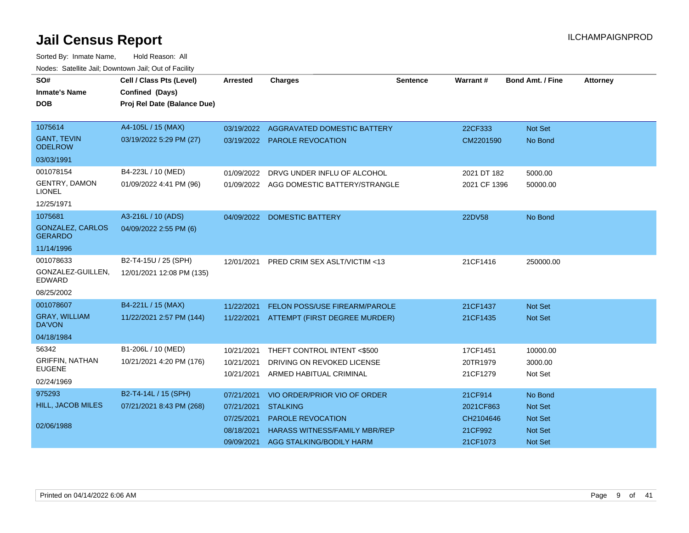| SO#                                       | Cell / Class Pts (Level)    | <b>Arrested</b> | <b>Charges</b>                           | <b>Sentence</b> | Warrant#     | <b>Bond Amt. / Fine</b> | <b>Attorney</b> |
|-------------------------------------------|-----------------------------|-----------------|------------------------------------------|-----------------|--------------|-------------------------|-----------------|
| <b>Inmate's Name</b>                      | Confined (Days)             |                 |                                          |                 |              |                         |                 |
| <b>DOB</b>                                | Proj Rel Date (Balance Due) |                 |                                          |                 |              |                         |                 |
|                                           |                             |                 |                                          |                 |              |                         |                 |
| 1075614                                   | A4-105L / 15 (MAX)          | 03/19/2022      | AGGRAVATED DOMESTIC BATTERY              |                 | 22CF333      | Not Set                 |                 |
| <b>GANT, TEVIN</b><br><b>ODELROW</b>      | 03/19/2022 5:29 PM (27)     |                 | 03/19/2022 PAROLE REVOCATION             |                 | CM2201590    | No Bond                 |                 |
| 03/03/1991                                |                             |                 |                                          |                 |              |                         |                 |
| 001078154                                 | B4-223L / 10 (MED)          | 01/09/2022      | DRVG UNDER INFLU OF ALCOHOL              |                 | 2021 DT 182  | 5000.00                 |                 |
| <b>GENTRY, DAMON</b><br><b>LIONEL</b>     | 01/09/2022 4:41 PM (96)     |                 | 01/09/2022 AGG DOMESTIC BATTERY/STRANGLE |                 | 2021 CF 1396 | 50000.00                |                 |
| 12/25/1971                                |                             |                 |                                          |                 |              |                         |                 |
| 1075681                                   | A3-216L / 10 (ADS)          | 04/09/2022      | <b>DOMESTIC BATTERY</b>                  |                 | 22DV58       | No Bond                 |                 |
| <b>GONZALEZ, CARLOS</b><br><b>GERARDO</b> | 04/09/2022 2:55 PM (6)      |                 |                                          |                 |              |                         |                 |
| 11/14/1996                                |                             |                 |                                          |                 |              |                         |                 |
| 001078633                                 | B2-T4-15U / 25 (SPH)        | 12/01/2021      | <b>PRED CRIM SEX ASLT/VICTIM &lt;13</b>  |                 | 21CF1416     | 250000.00               |                 |
| GONZALEZ-GUILLEN,<br><b>EDWARD</b>        | 12/01/2021 12:08 PM (135)   |                 |                                          |                 |              |                         |                 |
| 08/25/2002                                |                             |                 |                                          |                 |              |                         |                 |
| 001078607                                 | B4-221L / 15 (MAX)          | 11/22/2021      | FELON POSS/USE FIREARM/PAROLE            |                 | 21CF1437     | <b>Not Set</b>          |                 |
| <b>GRAY, WILLIAM</b><br><b>DA'VON</b>     | 11/22/2021 2:57 PM (144)    | 11/22/2021      | ATTEMPT (FIRST DEGREE MURDER)            |                 | 21CF1435     | Not Set                 |                 |
| 04/18/1984                                |                             |                 |                                          |                 |              |                         |                 |
| 56342                                     | B1-206L / 10 (MED)          | 10/21/2021      | THEFT CONTROL INTENT <\$500              |                 | 17CF1451     | 10000.00                |                 |
| <b>GRIFFIN, NATHAN</b>                    | 10/21/2021 4:20 PM (176)    | 10/21/2021      | DRIVING ON REVOKED LICENSE               |                 | 20TR1979     | 3000.00                 |                 |
| <b>EUGENE</b>                             |                             | 10/21/2021      | ARMED HABITUAL CRIMINAL                  |                 | 21CF1279     | Not Set                 |                 |
| 02/24/1969                                |                             |                 |                                          |                 |              |                         |                 |
| 975293                                    | B2-T4-14L / 15 (SPH)        | 07/21/2021      | VIO ORDER/PRIOR VIO OF ORDER             |                 | 21CF914      | No Bond                 |                 |
| <b>HILL, JACOB MILES</b>                  | 07/21/2021 8:43 PM (268)    | 07/21/2021      | <b>STALKING</b>                          |                 | 2021CF863    | <b>Not Set</b>          |                 |
|                                           |                             | 07/25/2021      | <b>PAROLE REVOCATION</b>                 |                 | CH2104646    | <b>Not Set</b>          |                 |
| 02/06/1988                                |                             | 08/18/2021      | <b>HARASS WITNESS/FAMILY MBR/REP</b>     |                 | 21CF992      | <b>Not Set</b>          |                 |
|                                           |                             | 09/09/2021      | AGG STALKING/BODILY HARM                 |                 | 21CF1073     | <b>Not Set</b>          |                 |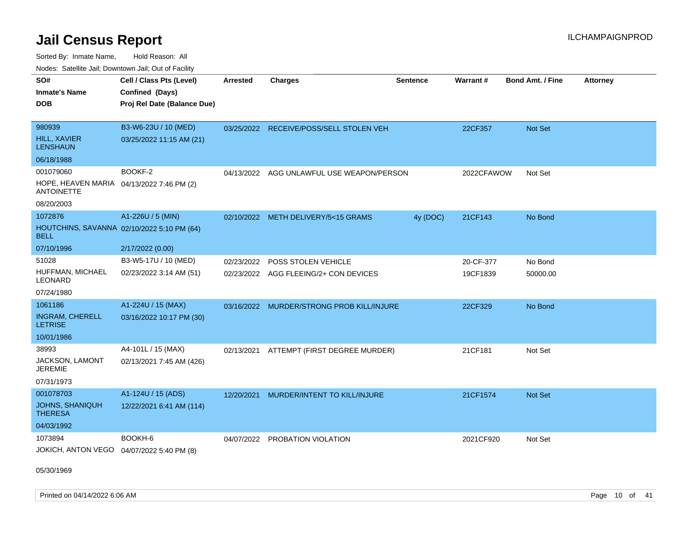Sorted By: Inmate Name, Hold Reason: All

| Nodes: Satellite Jail; Downtown Jail; Out of Facility |  |
|-------------------------------------------------------|--|
|                                                       |  |

| SO#<br><b>Inmate's Name</b><br><b>DOB</b>                      | Cell / Class Pts (Level)<br>Confined (Days)<br>Proj Rel Date (Balance Due) | <b>Arrested</b> | <b>Charges</b>                            | <b>Sentence</b> | Warrant#   | Bond Amt. / Fine | <b>Attorney</b> |
|----------------------------------------------------------------|----------------------------------------------------------------------------|-----------------|-------------------------------------------|-----------------|------------|------------------|-----------------|
| 980939                                                         | B3-W6-23U / 10 (MED)                                                       |                 | 03/25/2022 RECEIVE/POSS/SELL STOLEN VEH   |                 | 22CF357    | Not Set          |                 |
| <b>HILL, XAVIER</b><br><b>LENSHAUN</b>                         | 03/25/2022 11:15 AM (21)                                                   |                 |                                           |                 |            |                  |                 |
| 06/18/1988                                                     |                                                                            |                 |                                           |                 |            |                  |                 |
| 001079060                                                      | BOOKF-2                                                                    |                 | 04/13/2022 AGG UNLAWFUL USE WEAPON/PERSON |                 | 2022CFAWOW | Not Set          |                 |
| HOPE, HEAVEN MARIA 04/13/2022 7:46 PM (2)<br><b>ANTOINETTE</b> |                                                                            |                 |                                           |                 |            |                  |                 |
| 08/20/2003                                                     |                                                                            |                 |                                           |                 |            |                  |                 |
| 1072876                                                        | A1-226U / 5 (MIN)                                                          |                 | 02/10/2022 METH DELIVERY/5<15 GRAMS       | 4y (DOC)        | 21CF143    | No Bond          |                 |
| <b>BELL</b>                                                    | HOUTCHINS, SAVANNA 02/10/2022 5:10 PM (64)                                 |                 |                                           |                 |            |                  |                 |
| 07/10/1996                                                     | 2/17/2022 (0.00)                                                           |                 |                                           |                 |            |                  |                 |
| 51028                                                          | B3-W5-17U / 10 (MED)                                                       | 02/23/2022      | POSS STOLEN VEHICLE                       |                 | 20-CF-377  | No Bond          |                 |
| HUFFMAN, MICHAEL<br>LEONARD                                    | 02/23/2022 3:14 AM (51)                                                    |                 | 02/23/2022 AGG FLEEING/2+ CON DEVICES     |                 | 19CF1839   | 50000.00         |                 |
| 07/24/1980                                                     |                                                                            |                 |                                           |                 |            |                  |                 |
| 1061186                                                        | A1-224U / 15 (MAX)                                                         |                 | 03/16/2022 MURDER/STRONG PROB KILL/INJURE |                 | 22CF329    | No Bond          |                 |
| <b>INGRAM, CHERELL</b><br><b>LETRISE</b>                       | 03/16/2022 10:17 PM (30)                                                   |                 |                                           |                 |            |                  |                 |
| 10/01/1986                                                     |                                                                            |                 |                                           |                 |            |                  |                 |
| 38993                                                          | A4-101L / 15 (MAX)                                                         | 02/13/2021      | ATTEMPT (FIRST DEGREE MURDER)             |                 | 21CF181    | Not Set          |                 |
| JACKSON, LAMONT<br><b>JEREMIE</b>                              | 02/13/2021 7:45 AM (426)                                                   |                 |                                           |                 |            |                  |                 |
| 07/31/1973                                                     |                                                                            |                 |                                           |                 |            |                  |                 |
| 001078703                                                      | A1-124U / 15 (ADS)                                                         | 12/20/2021      | MURDER/INTENT TO KILL/INJURE              |                 | 21CF1574   | Not Set          |                 |
| <b>JOHNS, SHANIQUH</b><br><b>THERESA</b>                       | 12/22/2021 6:41 AM (114)                                                   |                 |                                           |                 |            |                  |                 |
| 04/03/1992                                                     |                                                                            |                 |                                           |                 |            |                  |                 |
| 1073894                                                        | BOOKH-6                                                                    | 04/07/2022      | PROBATION VIOLATION                       |                 | 2021CF920  | Not Set          |                 |
| JOKICH, ANTON VEGO                                             | 04/07/2022 5:40 PM (8)                                                     |                 |                                           |                 |            |                  |                 |

05/30/1969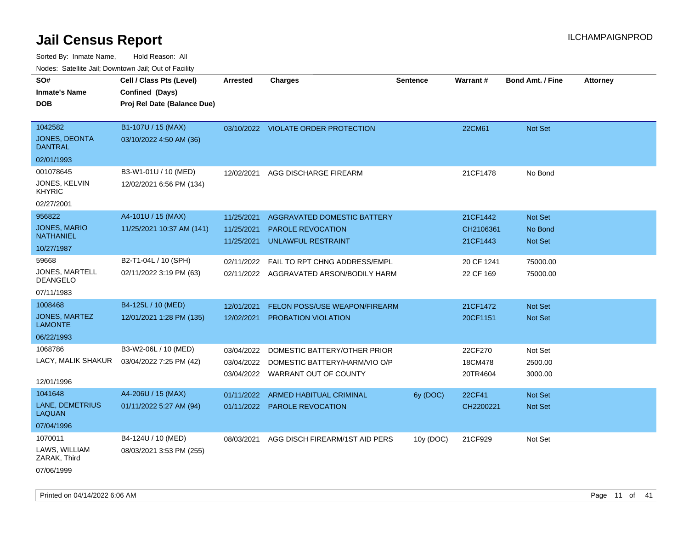| roaco. Calcinio dan, Downtown dan, Out or Fability |                             |                 |                                         |                 |            |                         |                 |
|----------------------------------------------------|-----------------------------|-----------------|-----------------------------------------|-----------------|------------|-------------------------|-----------------|
| SO#                                                | Cell / Class Pts (Level)    | <b>Arrested</b> | <b>Charges</b>                          | <b>Sentence</b> | Warrant#   | <b>Bond Amt. / Fine</b> | <b>Attorney</b> |
| <b>Inmate's Name</b>                               | Confined (Days)             |                 |                                         |                 |            |                         |                 |
| <b>DOB</b>                                         | Proj Rel Date (Balance Due) |                 |                                         |                 |            |                         |                 |
|                                                    |                             |                 |                                         |                 |            |                         |                 |
| 1042582                                            | B1-107U / 15 (MAX)          |                 | 03/10/2022 VIOLATE ORDER PROTECTION     |                 | 22CM61     | Not Set                 |                 |
| <b>JONES, DEONTA</b><br><b>DANTRAL</b>             | 03/10/2022 4:50 AM (36)     |                 |                                         |                 |            |                         |                 |
| 02/01/1993                                         |                             |                 |                                         |                 |            |                         |                 |
| 001078645                                          | B3-W1-01U / 10 (MED)        | 12/02/2021      | AGG DISCHARGE FIREARM                   |                 | 21CF1478   | No Bond                 |                 |
| <b>JONES, KELVIN</b><br><b>KHYRIC</b>              | 12/02/2021 6:56 PM (134)    |                 |                                         |                 |            |                         |                 |
| 02/27/2001                                         |                             |                 |                                         |                 |            |                         |                 |
| 956822                                             | A4-101U / 15 (MAX)          | 11/25/2021      | AGGRAVATED DOMESTIC BATTERY             |                 | 21CF1442   | Not Set                 |                 |
| JONES, MARIO                                       | 11/25/2021 10:37 AM (141)   | 11/25/2021      | <b>PAROLE REVOCATION</b>                |                 | CH2106361  | No Bond                 |                 |
| <b>NATHANIEL</b>                                   |                             | 11/25/2021      | <b>UNLAWFUL RESTRAINT</b>               |                 | 21CF1443   | <b>Not Set</b>          |                 |
| 10/27/1987                                         |                             |                 |                                         |                 |            |                         |                 |
| 59668                                              | B2-T1-04L / 10 (SPH)        | 02/11/2022      | FAIL TO RPT CHNG ADDRESS/EMPL           |                 | 20 CF 1241 | 75000.00                |                 |
| JONES, MARTELL<br><b>DEANGELO</b>                  | 02/11/2022 3:19 PM (63)     |                 | 02/11/2022 AGGRAVATED ARSON/BODILY HARM |                 | 22 CF 169  | 75000.00                |                 |
| 07/11/1983                                         |                             |                 |                                         |                 |            |                         |                 |
| 1008468                                            | B4-125L / 10 (MED)          | 12/01/2021      | <b>FELON POSS/USE WEAPON/FIREARM</b>    |                 | 21CF1472   | Not Set                 |                 |
| JONES, MARTEZ<br><b>LAMONTE</b>                    | 12/01/2021 1:28 PM (135)    | 12/02/2021      | PROBATION VIOLATION                     |                 | 20CF1151   | Not Set                 |                 |
| 06/22/1993                                         |                             |                 |                                         |                 |            |                         |                 |
| 1068786                                            | B3-W2-06L / 10 (MED)        | 03/04/2022      | DOMESTIC BATTERY/OTHER PRIOR            |                 | 22CF270    | Not Set                 |                 |
| LACY, MALIK SHAKUR                                 | 03/04/2022 7:25 PM (42)     | 03/04/2022      | DOMESTIC BATTERY/HARM/VIO O/P           |                 | 18CM478    | 2500.00                 |                 |
|                                                    |                             |                 | 03/04/2022 WARRANT OUT OF COUNTY        |                 | 20TR4604   | 3000.00                 |                 |
| 12/01/1996                                         |                             |                 |                                         |                 |            |                         |                 |
| 1041648                                            | A4-206U / 15 (MAX)          | 01/11/2022      | ARMED HABITUAL CRIMINAL                 | 6y (DOC)        | 22CF41     | Not Set                 |                 |
| LANE, DEMETRIUS<br><b>LAQUAN</b>                   | 01/11/2022 5:27 AM (94)     |                 | 01/11/2022 PAROLE REVOCATION            |                 | CH2200221  | Not Set                 |                 |
| 07/04/1996                                         |                             |                 |                                         |                 |            |                         |                 |
| 1070011                                            | B4-124U / 10 (MED)          | 08/03/2021      | AGG DISCH FIREARM/1ST AID PERS          | 10y (DOC)       | 21CF929    | Not Set                 |                 |
| LAWS, WILLIAM<br>ZARAK, Third                      | 08/03/2021 3:53 PM (255)    |                 |                                         |                 |            |                         |                 |
| 07/06/1999                                         |                             |                 |                                         |                 |            |                         |                 |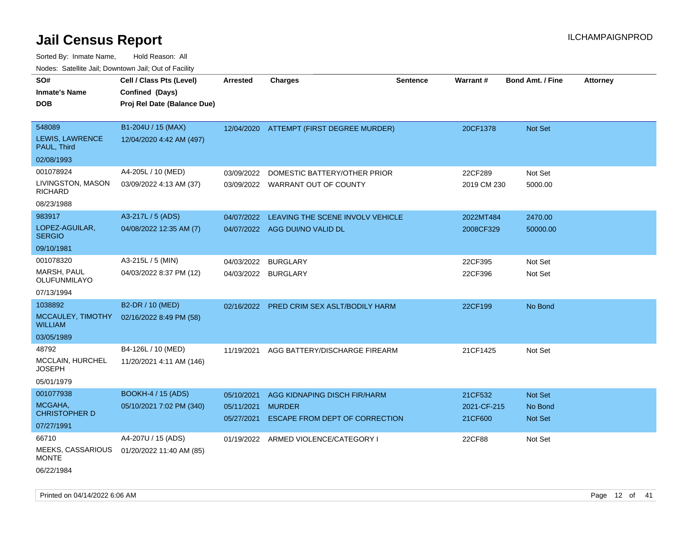| roaco. Calcinio dan, Downtown dan, Cal or Fability |                             |                          |                                                 |                 |                        |                         |                 |
|----------------------------------------------------|-----------------------------|--------------------------|-------------------------------------------------|-----------------|------------------------|-------------------------|-----------------|
| SO#                                                | Cell / Class Pts (Level)    | <b>Arrested</b>          | <b>Charges</b>                                  | <b>Sentence</b> | <b>Warrant#</b>        | <b>Bond Amt. / Fine</b> | <b>Attorney</b> |
| Inmate's Name                                      | Confined (Days)             |                          |                                                 |                 |                        |                         |                 |
| DOB                                                | Proj Rel Date (Balance Due) |                          |                                                 |                 |                        |                         |                 |
|                                                    |                             |                          |                                                 |                 |                        |                         |                 |
| 548089                                             | B1-204U / 15 (MAX)          |                          | 12/04/2020 ATTEMPT (FIRST DEGREE MURDER)        |                 | 20CF1378               | Not Set                 |                 |
| <b>LEWIS, LAWRENCE</b><br>PAUL, Third              | 12/04/2020 4:42 AM (497)    |                          |                                                 |                 |                        |                         |                 |
| 02/08/1993                                         |                             |                          |                                                 |                 |                        |                         |                 |
| 001078924                                          | A4-205L / 10 (MED)          | 03/09/2022               | DOMESTIC BATTERY/OTHER PRIOR                    |                 | 22CF289                | Not Set                 |                 |
| LIVINGSTON, MASON<br>RICHARD                       | 03/09/2022 4:13 AM (37)     | 03/09/2022               | WARRANT OUT OF COUNTY                           |                 | 2019 CM 230            | 5000.00                 |                 |
| 08/23/1988                                         |                             |                          |                                                 |                 |                        |                         |                 |
| 983917                                             | A3-217L / 5 (ADS)           | 04/07/2022               | LEAVING THE SCENE INVOLV VEHICLE                |                 | 2022MT484              | 2470.00                 |                 |
| LOPEZ-AGUILAR,<br><b>SERGIO</b>                    | 04/08/2022 12:35 AM (7)     | 04/07/2022               | AGG DUI/NO VALID DL                             |                 | 2008CF329              | 50000.00                |                 |
| 09/10/1981                                         |                             |                          |                                                 |                 |                        |                         |                 |
| 001078320                                          | A3-215L / 5 (MIN)           | 04/03/2022               | <b>BURGLARY</b>                                 |                 | 22CF395                | Not Set                 |                 |
| MARSH, PAUL<br>OLUFUNMILAYO                        | 04/03/2022 8:37 PM (12)     | 04/03/2022               | <b>BURGLARY</b>                                 |                 | 22CF396                | Not Set                 |                 |
| 07/13/1994                                         |                             |                          |                                                 |                 |                        |                         |                 |
| 1038892                                            | B2-DR / 10 (MED)            | 02/16/2022               | <b>PRED CRIM SEX ASLT/BODILY HARM</b>           |                 | 22CF199                | No Bond                 |                 |
| MCCAULEY, TIMOTHY<br>WILLIAM                       | 02/16/2022 8:49 PM (58)     |                          |                                                 |                 |                        |                         |                 |
| 03/05/1989                                         |                             |                          |                                                 |                 |                        |                         |                 |
| 48792                                              | B4-126L / 10 (MED)          | 11/19/2021               | AGG BATTERY/DISCHARGE FIREARM                   |                 | 21CF1425               | Not Set                 |                 |
| MCCLAIN, HURCHEL<br>JOSEPH                         | 11/20/2021 4:11 AM (146)    |                          |                                                 |                 |                        |                         |                 |
| 05/01/1979                                         |                             |                          |                                                 |                 |                        |                         |                 |
| 001077938                                          | <b>BOOKH-4 / 15 (ADS)</b>   | 05/10/2021               | AGG KIDNAPING DISCH FIR/HARM                    |                 | 21CF532                | <b>Not Set</b>          |                 |
| MCGAHA,<br>CHRISTOPHER D                           | 05/10/2021 7:02 PM (340)    | 05/11/2021<br>05/27/2021 | <b>MURDER</b><br>ESCAPE FROM DEPT OF CORRECTION |                 | 2021-CF-215<br>21CF600 | No Bond<br>Not Set      |                 |
| 07/27/1991                                         |                             |                          |                                                 |                 |                        |                         |                 |
| 66710                                              | A4-207U / 15 (ADS)          |                          | 01/19/2022 ARMED VIOLENCE/CATEGORY I            |                 | 22CF88                 | Not Set                 |                 |
| <b>MEEKS, CASSARIOUS</b><br>MONTE                  | 01/20/2022 11:40 AM (85)    |                          |                                                 |                 |                        |                         |                 |
| 06/22/1984                                         |                             |                          |                                                 |                 |                        |                         |                 |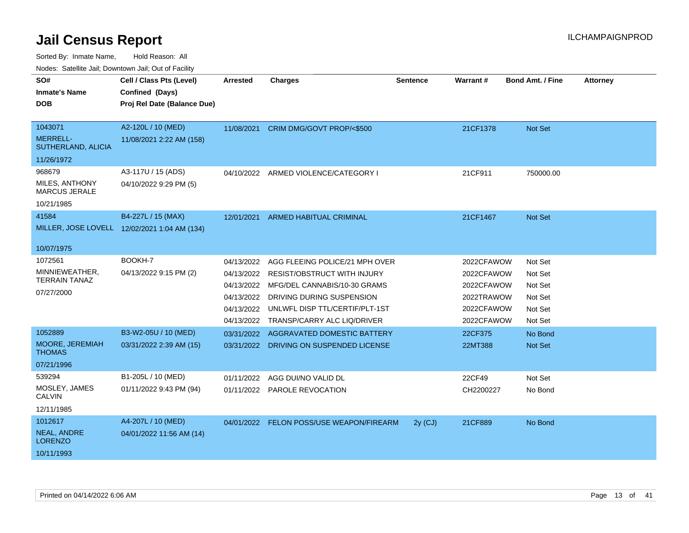Sorted By: Inmate Name, Hold Reason: All

Nodes: Satellite Jail; Downtown Jail; Out of Facility

| SO#                                     | Cell / Class Pts (Level)                     | <b>Arrested</b> | <b>Charges</b>                           | <b>Sentence</b> | Warrant#   | <b>Bond Amt. / Fine</b> | <b>Attorney</b> |
|-----------------------------------------|----------------------------------------------|-----------------|------------------------------------------|-----------------|------------|-------------------------|-----------------|
| <b>Inmate's Name</b>                    | Confined (Days)                              |                 |                                          |                 |            |                         |                 |
| <b>DOB</b>                              | Proj Rel Date (Balance Due)                  |                 |                                          |                 |            |                         |                 |
|                                         |                                              |                 |                                          |                 |            |                         |                 |
| 1043071                                 | A2-120L / 10 (MED)                           | 11/08/2021      | CRIM DMG/GOVT PROP/<\$500                |                 | 21CF1378   | <b>Not Set</b>          |                 |
| <b>MERRELL-</b><br>SUTHERLAND, ALICIA   | 11/08/2021 2:22 AM (158)                     |                 |                                          |                 |            |                         |                 |
| 11/26/1972                              |                                              |                 |                                          |                 |            |                         |                 |
| 968679                                  | A3-117U / 15 (ADS)                           |                 | 04/10/2022 ARMED VIOLENCE/CATEGORY I     |                 | 21CF911    | 750000.00               |                 |
| MILES, ANTHONY<br><b>MARCUS JERALE</b>  | 04/10/2022 9:29 PM (5)                       |                 |                                          |                 |            |                         |                 |
| 10/21/1985                              |                                              |                 |                                          |                 |            |                         |                 |
| 41584                                   | B4-227L / 15 (MAX)                           | 12/01/2021      | <b>ARMED HABITUAL CRIMINAL</b>           |                 | 21CF1467   | Not Set                 |                 |
|                                         | MILLER, JOSE LOVELL 12/02/2021 1:04 AM (134) |                 |                                          |                 |            |                         |                 |
|                                         |                                              |                 |                                          |                 |            |                         |                 |
| 10/07/1975                              |                                              |                 |                                          |                 |            |                         |                 |
| 1072561                                 | BOOKH-7                                      | 04/13/2022      | AGG FLEEING POLICE/21 MPH OVER           |                 | 2022CFAWOW | Not Set                 |                 |
| MINNIEWEATHER,<br><b>TERRAIN TANAZ</b>  | 04/13/2022 9:15 PM (2)                       | 04/13/2022      | <b>RESIST/OBSTRUCT WITH INJURY</b>       |                 | 2022CFAWOW | Not Set                 |                 |
|                                         |                                              | 04/13/2022      | MFG/DEL CANNABIS/10-30 GRAMS             |                 | 2022CFAWOW | Not Set                 |                 |
| 07/27/2000                              |                                              | 04/13/2022      | DRIVING DURING SUSPENSION                |                 | 2022TRAWOW | Not Set                 |                 |
|                                         |                                              | 04/13/2022      | UNLWFL DISP TTL/CERTIF/PLT-1ST           |                 | 2022CFAWOW | Not Set                 |                 |
|                                         |                                              | 04/13/2022      | TRANSP/CARRY ALC LIQ/DRIVER              |                 | 2022CFAWOW | Not Set                 |                 |
| 1052889                                 | B3-W2-05U / 10 (MED)                         | 03/31/2022      | AGGRAVATED DOMESTIC BATTERY              |                 | 22CF375    | No Bond                 |                 |
| <b>MOORE, JEREMIAH</b><br><b>THOMAS</b> | 03/31/2022 2:39 AM (15)                      |                 | 03/31/2022 DRIVING ON SUSPENDED LICENSE  |                 | 22MT388    | Not Set                 |                 |
| 07/21/1996                              |                                              |                 |                                          |                 |            |                         |                 |
| 539294                                  | B1-205L / 10 (MED)                           | 01/11/2022      | AGG DUI/NO VALID DL                      |                 | 22CF49     | Not Set                 |                 |
| MOSLEY, JAMES<br><b>CALVIN</b>          | 01/11/2022 9:43 PM (94)                      |                 | 01/11/2022 PAROLE REVOCATION             |                 | CH2200227  | No Bond                 |                 |
| 12/11/1985                              |                                              |                 |                                          |                 |            |                         |                 |
| 1012617                                 | A4-207L / 10 (MED)                           |                 | 04/01/2022 FELON POSS/USE WEAPON/FIREARM | $2y$ (CJ)       | 21CF889    | No Bond                 |                 |
| NEAL, ANDRE<br><b>LORENZO</b>           | 04/01/2022 11:56 AM (14)                     |                 |                                          |                 |            |                         |                 |
| 10/11/1993                              |                                              |                 |                                          |                 |            |                         |                 |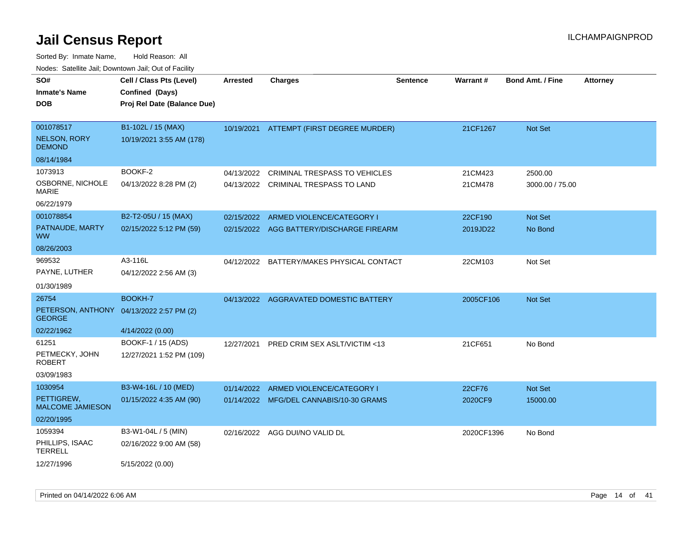| 10000. Catolino can, Domntonn can, Cat or I doint<br>SO#  | Cell / Class Pts (Level)    | <b>Arrested</b> | <b>Charges</b>                            | <b>Sentence</b> | Warrant#   | <b>Bond Amt. / Fine</b> | <b>Attorney</b> |
|-----------------------------------------------------------|-----------------------------|-----------------|-------------------------------------------|-----------------|------------|-------------------------|-----------------|
| Inmate's Name                                             | Confined (Days)             |                 |                                           |                 |            |                         |                 |
| DOB                                                       | Proj Rel Date (Balance Due) |                 |                                           |                 |            |                         |                 |
|                                                           |                             |                 |                                           |                 |            |                         |                 |
| 001078517                                                 | B1-102L / 15 (MAX)          |                 | 10/19/2021 ATTEMPT (FIRST DEGREE MURDER)  |                 | 21CF1267   | Not Set                 |                 |
| NELSON, RORY<br><b>DEMOND</b>                             | 10/19/2021 3:55 AM (178)    |                 |                                           |                 |            |                         |                 |
| 08/14/1984                                                |                             |                 |                                           |                 |            |                         |                 |
| 1073913                                                   | BOOKF-2                     | 04/13/2022      | <b>CRIMINAL TRESPASS TO VEHICLES</b>      |                 | 21CM423    | 2500.00                 |                 |
| OSBORNE, NICHOLE<br>MARIE                                 | 04/13/2022 8:28 PM (2)      |                 | 04/13/2022 CRIMINAL TRESPASS TO LAND      |                 | 21CM478    | 3000.00 / 75.00         |                 |
| 06/22/1979                                                |                             |                 |                                           |                 |            |                         |                 |
| 001078854                                                 | B2-T2-05U / 15 (MAX)        | 02/15/2022      | ARMED VIOLENCE/CATEGORY I                 |                 | 22CF190    | Not Set                 |                 |
| PATNAUDE, MARTY<br>WW.                                    | 02/15/2022 5:12 PM (59)     | 02/15/2022      | AGG BATTERY/DISCHARGE FIREARM             |                 | 2019JD22   | No Bond                 |                 |
| 08/26/2003                                                |                             |                 |                                           |                 |            |                         |                 |
| 969532                                                    | A3-116L                     |                 | 04/12/2022 BATTERY/MAKES PHYSICAL CONTACT |                 | 22CM103    | Not Set                 |                 |
| PAYNE, LUTHER                                             | 04/12/2022 2:56 AM (3)      |                 |                                           |                 |            |                         |                 |
| 01/30/1989                                                |                             |                 |                                           |                 |            |                         |                 |
| 26754                                                     | <b>BOOKH-7</b>              |                 | 04/13/2022 AGGRAVATED DOMESTIC BATTERY    |                 | 2005CF106  | <b>Not Set</b>          |                 |
| PETERSON, ANTHONY 04/13/2022 2:57 PM (2)<br><b>GEORGE</b> |                             |                 |                                           |                 |            |                         |                 |
| 02/22/1962                                                | 4/14/2022 (0.00)            |                 |                                           |                 |            |                         |                 |
| 61251                                                     | BOOKF-1 / 15 (ADS)          | 12/27/2021      | PRED CRIM SEX ASLT/VICTIM <13             |                 | 21CF651    | No Bond                 |                 |
| PETMECKY, JOHN<br><b>ROBERT</b>                           | 12/27/2021 1:52 PM (109)    |                 |                                           |                 |            |                         |                 |
| 03/09/1983                                                |                             |                 |                                           |                 |            |                         |                 |
| 1030954                                                   | B3-W4-16L / 10 (MED)        | 01/14/2022      | ARMED VIOLENCE/CATEGORY I                 |                 | 22CF76     | Not Set                 |                 |
| PETTIGREW,<br><b>MALCOME JAMIESON</b>                     | 01/15/2022 4:35 AM (90)     |                 | 01/14/2022 MFG/DEL CANNABIS/10-30 GRAMS   |                 | 2020CF9    | 15000.00                |                 |
| 02/20/1995                                                |                             |                 |                                           |                 |            |                         |                 |
| 1059394                                                   | B3-W1-04L / 5 (MIN)         |                 | 02/16/2022 AGG DUI/NO VALID DL            |                 | 2020CF1396 | No Bond                 |                 |
| PHILLIPS, ISAAC<br>TERRELL                                | 02/16/2022 9:00 AM (58)     |                 |                                           |                 |            |                         |                 |
| 12/27/1996                                                | 5/15/2022 (0.00)            |                 |                                           |                 |            |                         |                 |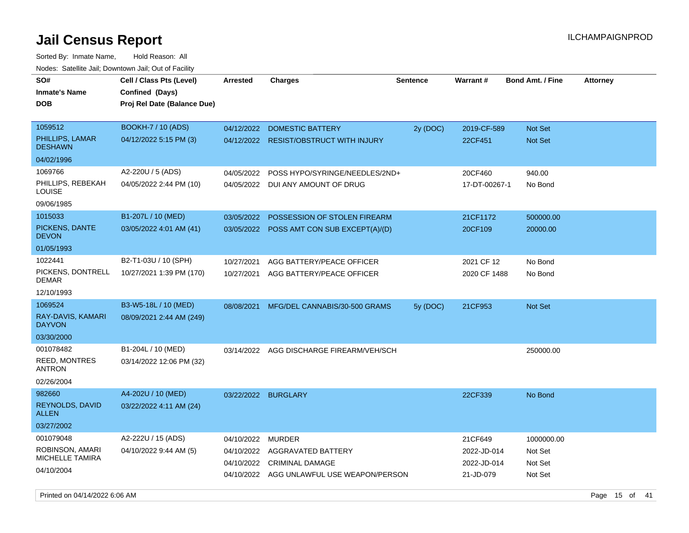Sorted By: Inmate Name, Hold Reason: All Nodes: Satellite Jail; Downtown Jail; Out of Facility

| roaco. Calcinio dan, Downtown dan, Oal or Fability |                                                                            |                     |                                           |                 |                 |                         |                 |
|----------------------------------------------------|----------------------------------------------------------------------------|---------------------|-------------------------------------------|-----------------|-----------------|-------------------------|-----------------|
| SO#<br><b>Inmate's Name</b><br>DOB                 | Cell / Class Pts (Level)<br>Confined (Days)<br>Proj Rel Date (Balance Due) | Arrested            | <b>Charges</b>                            | <b>Sentence</b> | <b>Warrant#</b> | <b>Bond Amt. / Fine</b> | <b>Attorney</b> |
| 1059512                                            | BOOKH-7 / 10 (ADS)                                                         | 04/12/2022          | <b>DOMESTIC BATTERY</b>                   | 2y (DOC)        | 2019-CF-589     | <b>Not Set</b>          |                 |
| PHILLIPS, LAMAR<br><b>DESHAWN</b>                  | 04/12/2022 5:15 PM (3)                                                     | 04/12/2022          | <b>RESIST/OBSTRUCT WITH INJURY</b>        |                 | 22CF451         | <b>Not Set</b>          |                 |
| 04/02/1996                                         |                                                                            |                     |                                           |                 |                 |                         |                 |
| 1069766                                            | A2-220U / 5 (ADS)                                                          | 04/05/2022          | POSS HYPO/SYRINGE/NEEDLES/2ND+            |                 | 20CF460         | 940.00                  |                 |
| PHILLIPS, REBEKAH<br>LOUISE                        | 04/05/2022 2:44 PM (10)                                                    |                     | 04/05/2022 DUI ANY AMOUNT OF DRUG         |                 | 17-DT-00267-1   | No Bond                 |                 |
| 09/06/1985                                         |                                                                            |                     |                                           |                 |                 |                         |                 |
| 1015033                                            | B1-207L / 10 (MED)                                                         | 03/05/2022          | POSSESSION OF STOLEN FIREARM              |                 | 21CF1172        | 500000.00               |                 |
| PICKENS, DANTE<br><b>DEVON</b>                     | 03/05/2022 4:01 AM (41)                                                    |                     | 03/05/2022 POSS AMT CON SUB EXCEPT(A)/(D) |                 | 20CF109         | 20000.00                |                 |
| 01/05/1993                                         |                                                                            |                     |                                           |                 |                 |                         |                 |
| 1022441                                            | B2-T1-03U / 10 (SPH)                                                       | 10/27/2021          | AGG BATTERY/PEACE OFFICER                 |                 | 2021 CF 12      | No Bond                 |                 |
| PICKENS, DONTRELL<br><b>DEMAR</b>                  | 10/27/2021 1:39 PM (170)                                                   |                     | 10/27/2021 AGG BATTERY/PEACE OFFICER      |                 | 2020 CF 1488    | No Bond                 |                 |
| 12/10/1993                                         |                                                                            |                     |                                           |                 |                 |                         |                 |
| 1069524                                            | B3-W5-18L / 10 (MED)                                                       | 08/08/2021          | MFG/DEL CANNABIS/30-500 GRAMS             | 5y (DOC)        | 21CF953         | Not Set                 |                 |
| RAY-DAVIS, KAMARI<br><b>DAYVON</b>                 | 08/09/2021 2:44 AM (249)                                                   |                     |                                           |                 |                 |                         |                 |
| 03/30/2000                                         |                                                                            |                     |                                           |                 |                 |                         |                 |
| 001078482                                          | B1-204L / 10 (MED)                                                         | 03/14/2022          | AGG DISCHARGE FIREARM/VEH/SCH             |                 |                 | 250000.00               |                 |
| <b>REED, MONTRES</b><br><b>ANTRON</b>              | 03/14/2022 12:06 PM (32)                                                   |                     |                                           |                 |                 |                         |                 |
| 02/26/2004                                         |                                                                            |                     |                                           |                 |                 |                         |                 |
| 982660                                             | A4-202U / 10 (MED)                                                         | 03/22/2022 BURGLARY |                                           |                 | 22CF339         | No Bond                 |                 |
| REYNOLDS, DAVID<br><b>ALLEN</b>                    | 03/22/2022 4:11 AM (24)                                                    |                     |                                           |                 |                 |                         |                 |
| 03/27/2002                                         |                                                                            |                     |                                           |                 |                 |                         |                 |
| 001079048                                          | A2-222U / 15 (ADS)                                                         | 04/10/2022          | <b>MURDER</b>                             |                 | 21CF649         | 1000000.00              |                 |
| ROBINSON, AMARI<br><b>MICHELLE TAMIRA</b>          | 04/10/2022 9:44 AM (5)                                                     | 04/10/2022          | AGGRAVATED BATTERY                        |                 | 2022-JD-014     | Not Set                 |                 |
|                                                    |                                                                            | 04/10/2022          | <b>CRIMINAL DAMAGE</b>                    |                 | 2022-JD-014     | Not Set                 |                 |
| 04/10/2004                                         |                                                                            |                     | 04/10/2022 AGG UNLAWFUL USE WEAPON/PERSON |                 | 21-JD-079       | Not Set                 |                 |

Printed on 04/14/2022 6:06 AM Page 15 of 41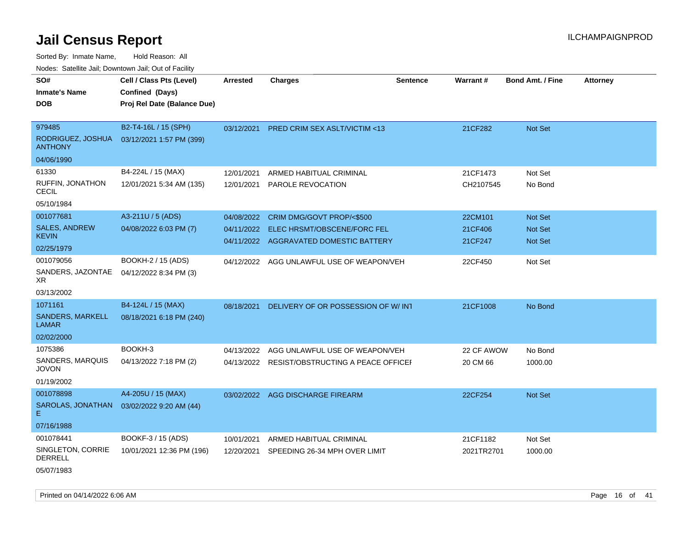Sorted By: Inmate Name, Hold Reason: All Nodes: Satellite Jail; Downtown Jail; Out of Facility

| roaco. Catolino cali, Domntonn cali, Out of Facility |                                                                            |                 |                                               |                 |            |                         |                 |
|------------------------------------------------------|----------------------------------------------------------------------------|-----------------|-----------------------------------------------|-----------------|------------|-------------------------|-----------------|
| SO#<br><b>Inmate's Name</b><br><b>DOB</b>            | Cell / Class Pts (Level)<br>Confined (Days)<br>Proj Rel Date (Balance Due) | <b>Arrested</b> | <b>Charges</b>                                | <b>Sentence</b> | Warrant#   | <b>Bond Amt. / Fine</b> | <b>Attorney</b> |
| 979485                                               | B2-T4-16L / 15 (SPH)                                                       | 03/12/2021      | <b>PRED CRIM SEX ASLT/VICTIM &lt;13</b>       |                 | 21CF282    | <b>Not Set</b>          |                 |
| RODRIGUEZ, JOSHUA<br><b>ANTHONY</b>                  | 03/12/2021 1:57 PM (399)                                                   |                 |                                               |                 |            |                         |                 |
| 04/06/1990                                           |                                                                            |                 |                                               |                 |            |                         |                 |
| 61330                                                | B4-224L / 15 (MAX)                                                         | 12/01/2021      | ARMED HABITUAL CRIMINAL                       |                 | 21CF1473   | Not Set                 |                 |
| RUFFIN, JONATHON<br>CECIL                            | 12/01/2021 5:34 AM (135)                                                   | 12/01/2021      | PAROLE REVOCATION                             |                 | CH2107545  | No Bond                 |                 |
| 05/10/1984                                           |                                                                            |                 |                                               |                 |            |                         |                 |
| 001077681                                            | A3-211U / 5 (ADS)                                                          | 04/08/2022      | CRIM DMG/GOVT PROP/<\$500                     |                 | 22CM101    | <b>Not Set</b>          |                 |
| <b>SALES, ANDREW</b>                                 | 04/08/2022 6:03 PM (7)                                                     | 04/11/2022      | ELEC HRSMT/OBSCENE/FORC FEL                   |                 | 21CF406    | <b>Not Set</b>          |                 |
| <b>KEVIN</b>                                         |                                                                            |                 | 04/11/2022 AGGRAVATED DOMESTIC BATTERY        |                 | 21CF247    | Not Set                 |                 |
| 02/25/1979                                           |                                                                            |                 |                                               |                 |            |                         |                 |
| 001079056<br>SANDERS, JAZONTAE<br>XR.                | BOOKH-2 / 15 (ADS)<br>04/12/2022 8:34 PM (3)                               | 04/12/2022      | AGG UNLAWFUL USE OF WEAPON/VEH                |                 | 22CF450    | Not Set                 |                 |
| 03/13/2002                                           |                                                                            |                 |                                               |                 |            |                         |                 |
| 1071161                                              | B4-124L / 15 (MAX)                                                         | 08/18/2021      | DELIVERY OF OR POSSESSION OF W/INT            |                 | 21CF1008   | No Bond                 |                 |
| SANDERS, MARKELL<br>LAMAR                            | 08/18/2021 6:18 PM (240)                                                   |                 |                                               |                 |            |                         |                 |
| 02/02/2000                                           |                                                                            |                 |                                               |                 |            |                         |                 |
| 1075386                                              | BOOKH-3                                                                    | 04/13/2022      | AGG UNLAWFUL USE OF WEAPON/VEH                |                 | 22 CF AWOW | No Bond                 |                 |
| SANDERS, MARQUIS<br><b>JOVON</b>                     | 04/13/2022 7:18 PM (2)                                                     |                 | 04/13/2022 RESIST/OBSTRUCTING A PEACE OFFICEF |                 | 20 CM 66   | 1000.00                 |                 |
| 01/19/2002                                           |                                                                            |                 |                                               |                 |            |                         |                 |
| 001078898                                            | A4-205U / 15 (MAX)                                                         | 03/02/2022      | AGG DISCHARGE FIREARM                         |                 | 22CF254    | <b>Not Set</b>          |                 |
| Е.                                                   | SAROLAS, JONATHAN  03/02/2022 9:20 AM (44)                                 |                 |                                               |                 |            |                         |                 |
| 07/16/1988                                           |                                                                            |                 |                                               |                 |            |                         |                 |
| 001078441                                            | BOOKF-3 / 15 (ADS)                                                         | 10/01/2021      | ARMED HABITUAL CRIMINAL                       |                 | 21CF1182   | Not Set                 |                 |
| SINGLETON, CORRIE<br><b>DERRELL</b>                  | 10/01/2021 12:36 PM (196)                                                  | 12/20/2021      | SPEEDING 26-34 MPH OVER LIMIT                 |                 | 2021TR2701 | 1000.00                 |                 |

05/07/1983

Printed on 04/14/2022 6:06 AM Page 16 of 41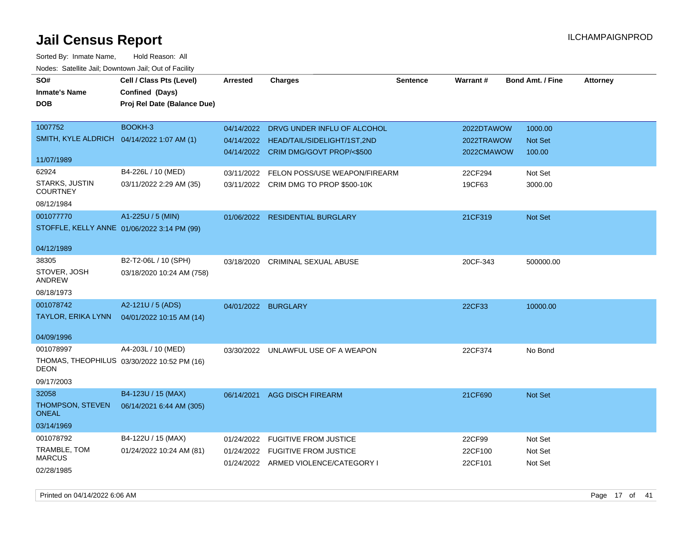| SO#<br><b>Inmate's Name</b><br><b>DOB</b>                                     | Cell / Class Pts (Level)<br>Confined (Days)<br>Proj Rel Date (Balance Due) | <b>Arrested</b> | <b>Charges</b>                                                                                                | <b>Sentence</b> | <b>Warrant#</b>                        | <b>Bond Amt. / Fine</b>       | <b>Attorney</b> |
|-------------------------------------------------------------------------------|----------------------------------------------------------------------------|-----------------|---------------------------------------------------------------------------------------------------------------|-----------------|----------------------------------------|-------------------------------|-----------------|
| 1007752<br>SMITH, KYLE ALDRICH                                                | BOOKH-3<br>04/14/2022 1:07 AM (1)                                          | 04/14/2022      | DRVG UNDER INFLU OF ALCOHOL<br>04/14/2022 HEAD/TAIL/SIDELIGHT/1ST,2ND<br>04/14/2022 CRIM DMG/GOVT PROP/<\$500 |                 | 2022DTAWOW<br>2022TRAWOW<br>2022CMAWOW | 1000.00<br>Not Set<br>100.00  |                 |
| 11/07/1989<br>62924<br><b>STARKS, JUSTIN</b><br><b>COURTNEY</b><br>08/12/1984 | B4-226L / 10 (MED)<br>03/11/2022 2:29 AM (35)                              | 03/11/2022      | FELON POSS/USE WEAPON/FIREARM<br>03/11/2022 CRIM DMG TO PROP \$500-10K                                        |                 | 22CF294<br>19CF63                      | Not Set<br>3000.00            |                 |
| 001077770<br>04/12/1989                                                       | A1-225U / 5 (MIN)<br>STOFFLE, KELLY ANNE 01/06/2022 3:14 PM (99)           |                 | 01/06/2022 RESIDENTIAL BURGLARY                                                                               |                 | 21CF319                                | Not Set                       |                 |
| 38305<br>STOVER, JOSH<br><b>ANDREW</b><br>08/18/1973                          | B2-T2-06L / 10 (SPH)<br>03/18/2020 10:24 AM (758)                          | 03/18/2020      | CRIMINAL SEXUAL ABUSE                                                                                         |                 | 20CF-343                               | 500000.00                     |                 |
| 001078742<br>TAYLOR, ERIKA LYNN<br>04/09/1996                                 | A2-121U / 5 (ADS)<br>04/01/2022 10:15 AM (14)                              |                 | 04/01/2022 BURGLARY                                                                                           |                 | 22CF33                                 | 10000.00                      |                 |
| 001078997<br><b>DEON</b><br>09/17/2003                                        | A4-203L / 10 (MED)<br>THOMAS, THEOPHILUS 03/30/2022 10:52 PM (16)          |                 | 03/30/2022 UNLAWFUL USE OF A WEAPON                                                                           |                 | 22CF374                                | No Bond                       |                 |
| 32058<br>THOMPSON, STEVEN<br><b>ONEAL</b><br>03/14/1969                       | B4-123U / 15 (MAX)<br>06/14/2021 6:44 AM (305)                             | 06/14/2021      | <b>AGG DISCH FIREARM</b>                                                                                      |                 | 21CF690                                | Not Set                       |                 |
| 001078792<br>TRAMBLE, TOM<br><b>MARCUS</b><br>02/28/1985                      | B4-122U / 15 (MAX)<br>01/24/2022 10:24 AM (81)                             | 01/24/2022      | <b>FUGITIVE FROM JUSTICE</b><br>01/24/2022 FUGITIVE FROM JUSTICE<br>01/24/2022 ARMED VIOLENCE/CATEGORY I      |                 | 22CF99<br>22CF100<br>22CF101           | Not Set<br>Not Set<br>Not Set |                 |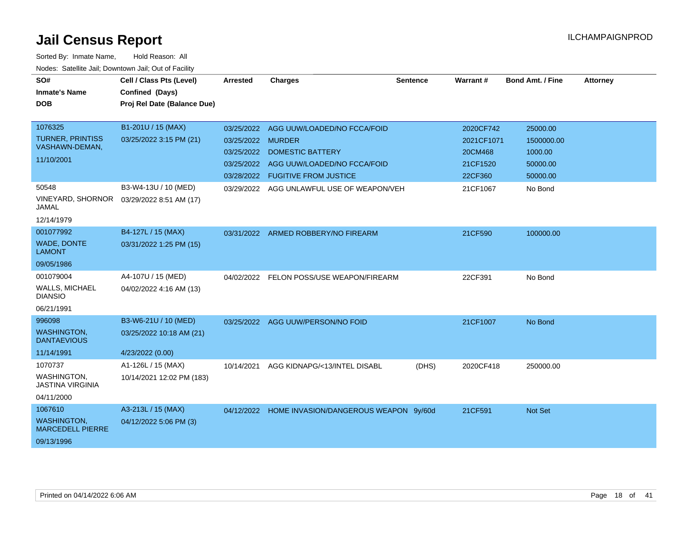| SO#                                           | Cell / Class Pts (Level)    | <b>Arrested</b>   | <b>Charges</b>                                   | <b>Sentence</b> | Warrant#   | <b>Bond Amt. / Fine</b> | <b>Attorney</b> |
|-----------------------------------------------|-----------------------------|-------------------|--------------------------------------------------|-----------------|------------|-------------------------|-----------------|
| <b>Inmate's Name</b>                          | Confined (Days)             |                   |                                                  |                 |            |                         |                 |
| <b>DOB</b>                                    | Proj Rel Date (Balance Due) |                   |                                                  |                 |            |                         |                 |
|                                               |                             |                   |                                                  |                 |            |                         |                 |
| 1076325                                       | B1-201U / 15 (MAX)          |                   | 03/25/2022 AGG UUW/LOADED/NO FCCA/FOID           |                 | 2020CF742  | 25000.00                |                 |
| <b>TURNER, PRINTISS</b>                       | 03/25/2022 3:15 PM (21)     | 03/25/2022 MURDER |                                                  |                 | 2021CF1071 | 1500000.00              |                 |
| VASHAWN-DEMAN,                                |                             | 03/25/2022        | DOMESTIC BATTERY                                 |                 | 20CM468    | 1000.00                 |                 |
| 11/10/2001                                    |                             | 03/25/2022        | AGG UUW/LOADED/NO FCCA/FOID                      |                 | 21CF1520   | 50000.00                |                 |
|                                               |                             |                   | 03/28/2022 FUGITIVE FROM JUSTICE                 |                 | 22CF360    | 50000.00                |                 |
| 50548                                         | B3-W4-13U / 10 (MED)        |                   | 03/29/2022 AGG UNLAWFUL USE OF WEAPON/VEH        |                 | 21CF1067   | No Bond                 |                 |
| VINEYARD, SHORNOR<br>JAMAL                    | 03/29/2022 8:51 AM (17)     |                   |                                                  |                 |            |                         |                 |
| 12/14/1979                                    |                             |                   |                                                  |                 |            |                         |                 |
| 001077992                                     | B4-127L / 15 (MAX)          |                   | 03/31/2022 ARMED ROBBERY/NO FIREARM              |                 | 21CF590    | 100000.00               |                 |
| <b>WADE, DONTE</b><br><b>LAMONT</b>           | 03/31/2022 1:25 PM (15)     |                   |                                                  |                 |            |                         |                 |
| 09/05/1986                                    |                             |                   |                                                  |                 |            |                         |                 |
| 001079004                                     | A4-107U / 15 (MED)          |                   | 04/02/2022 FELON POSS/USE WEAPON/FIREARM         |                 | 22CF391    | No Bond                 |                 |
| WALLS, MICHAEL<br><b>DIANSIO</b>              | 04/02/2022 4:16 AM (13)     |                   |                                                  |                 |            |                         |                 |
| 06/21/1991                                    |                             |                   |                                                  |                 |            |                         |                 |
| 996098                                        | B3-W6-21U / 10 (MED)        |                   | 03/25/2022 AGG UUW/PERSON/NO FOID                |                 | 21CF1007   | No Bond                 |                 |
| <b>WASHINGTON,</b><br><b>DANTAEVIOUS</b>      | 03/25/2022 10:18 AM (21)    |                   |                                                  |                 |            |                         |                 |
| 11/14/1991                                    | 4/23/2022 (0.00)            |                   |                                                  |                 |            |                         |                 |
| 1070737                                       | A1-126L / 15 (MAX)          | 10/14/2021        | AGG KIDNAPG/<13/INTEL DISABL                     | (DHS)           | 2020CF418  | 250000.00               |                 |
| WASHINGTON,<br><b>JASTINA VIRGINIA</b>        | 10/14/2021 12:02 PM (183)   |                   |                                                  |                 |            |                         |                 |
| 04/11/2000                                    |                             |                   |                                                  |                 |            |                         |                 |
| 1067610                                       | A3-213L / 15 (MAX)          |                   | 04/12/2022 HOME INVASION/DANGEROUS WEAPON 9y/60d |                 | 21CF591    | Not Set                 |                 |
| <b>WASHINGTON,</b><br><b>MARCEDELL PIERRE</b> | 04/12/2022 5:06 PM (3)      |                   |                                                  |                 |            |                         |                 |
| 09/13/1996                                    |                             |                   |                                                  |                 |            |                         |                 |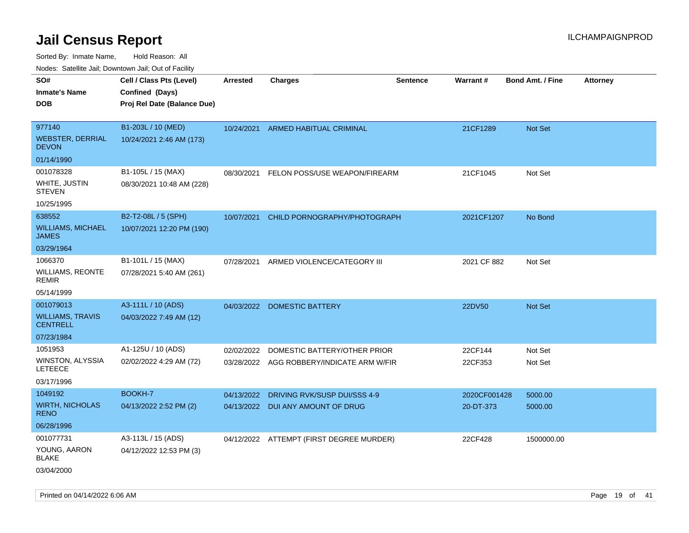Sorted By: Inmate Name, Hold Reason: All

| Nodes: Satellite Jail; Downtown Jail; Out of Facility |
|-------------------------------------------------------|
|-------------------------------------------------------|

| SO#                                        | Cell / Class Pts (Level)    | <b>Arrested</b> | <b>Charges</b>                            | <b>Sentence</b> | Warrant#     | <b>Bond Amt. / Fine</b> | <b>Attorney</b> |
|--------------------------------------------|-----------------------------|-----------------|-------------------------------------------|-----------------|--------------|-------------------------|-----------------|
| <b>Inmate's Name</b><br><b>DOB</b>         | Confined (Days)             |                 |                                           |                 |              |                         |                 |
|                                            | Proj Rel Date (Balance Due) |                 |                                           |                 |              |                         |                 |
| 977140                                     | B1-203L / 10 (MED)          | 10/24/2021      | ARMED HABITUAL CRIMINAL                   |                 | 21CF1289     | Not Set                 |                 |
| <b>WEBSTER, DERRIAL</b><br><b>DEVON</b>    | 10/24/2021 2:46 AM (173)    |                 |                                           |                 |              |                         |                 |
| 01/14/1990                                 |                             |                 |                                           |                 |              |                         |                 |
| 001078328                                  | B1-105L / 15 (MAX)          | 08/30/2021      | FELON POSS/USE WEAPON/FIREARM             |                 | 21CF1045     | Not Set                 |                 |
| <b>WHITE, JUSTIN</b><br><b>STEVEN</b>      | 08/30/2021 10:48 AM (228)   |                 |                                           |                 |              |                         |                 |
| 10/25/1995                                 |                             |                 |                                           |                 |              |                         |                 |
| 638552                                     | B2-T2-08L / 5 (SPH)         | 10/07/2021      | CHILD PORNOGRAPHY/PHOTOGRAPH              |                 | 2021CF1207   | No Bond                 |                 |
| <b>WILLIAMS, MICHAEL</b><br><b>JAMES</b>   | 10/07/2021 12:20 PM (190)   |                 |                                           |                 |              |                         |                 |
| 03/29/1964                                 |                             |                 |                                           |                 |              |                         |                 |
| 1066370                                    | B1-101L / 15 (MAX)          | 07/28/2021      | ARMED VIOLENCE/CATEGORY III               |                 | 2021 CF 882  | Not Set                 |                 |
| <b>WILLIAMS, REONTE</b><br><b>REMIR</b>    | 07/28/2021 5:40 AM (261)    |                 |                                           |                 |              |                         |                 |
| 05/14/1999                                 |                             |                 |                                           |                 |              |                         |                 |
| 001079013                                  | A3-111L / 10 (ADS)          |                 | 04/03/2022 DOMESTIC BATTERY               |                 | 22DV50       | Not Set                 |                 |
| <b>WILLIAMS, TRAVIS</b><br><b>CENTRELL</b> | 04/03/2022 7:49 AM (12)     |                 |                                           |                 |              |                         |                 |
| 07/23/1984                                 |                             |                 |                                           |                 |              |                         |                 |
| 1051953                                    | A1-125U / 10 (ADS)          |                 | 02/02/2022 DOMESTIC BATTERY/OTHER PRIOR   |                 | 22CF144      | Not Set                 |                 |
| WINSTON, ALYSSIA<br><b>LETEECE</b>         | 02/02/2022 4:29 AM (72)     |                 | 03/28/2022 AGG ROBBERY/INDICATE ARM W/FIR |                 | 22CF353      | Not Set                 |                 |
| 03/17/1996                                 |                             |                 |                                           |                 |              |                         |                 |
| 1049192                                    | BOOKH-7                     | 04/13/2022      | DRIVING RVK/SUSP DUI/SSS 4-9              |                 | 2020CF001428 | 5000.00                 |                 |
| <b>WIRTH, NICHOLAS</b><br><b>RENO</b>      | 04/13/2022 2:52 PM (2)      |                 | 04/13/2022 DUI ANY AMOUNT OF DRUG         |                 | 20-DT-373    | 5000.00                 |                 |
| 06/28/1996                                 |                             |                 |                                           |                 |              |                         |                 |
| 001077731                                  | A3-113L / 15 (ADS)          |                 | 04/12/2022 ATTEMPT (FIRST DEGREE MURDER)  |                 | 22CF428      | 1500000.00              |                 |
| YOUNG, AARON<br><b>BLAKE</b>               | 04/12/2022 12:53 PM (3)     |                 |                                           |                 |              |                         |                 |
| 03/04/2000                                 |                             |                 |                                           |                 |              |                         |                 |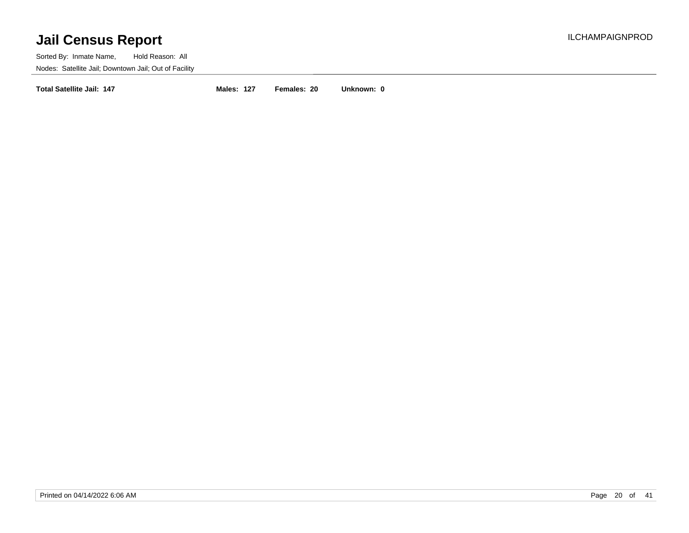Sorted By: Inmate Name, Hold Reason: All Nodes: Satellite Jail; Downtown Jail; Out of Facility

**Total Satellite Jail: 147 Males: 127 Females: 20 Unknown: 0**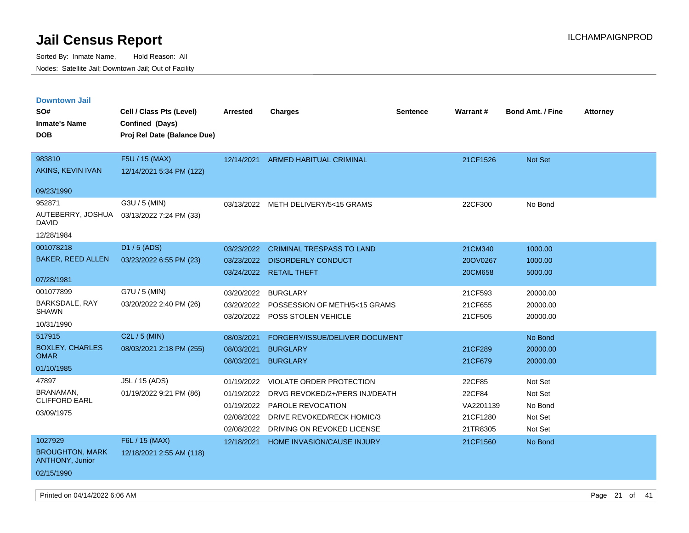Sorted By: Inmate Name, Hold Reason: All Nodes: Satellite Jail; Downtown Jail; Out of Facility

| <b>Downtown Jail</b>                             |                             |                 |                                       |                 |           |                         |                 |
|--------------------------------------------------|-----------------------------|-----------------|---------------------------------------|-----------------|-----------|-------------------------|-----------------|
| SO#                                              | Cell / Class Pts (Level)    | <b>Arrested</b> | <b>Charges</b>                        | <b>Sentence</b> | Warrant#  | <b>Bond Amt. / Fine</b> | <b>Attorney</b> |
| <b>Inmate's Name</b>                             | Confined (Days)             |                 |                                       |                 |           |                         |                 |
| <b>DOB</b>                                       | Proj Rel Date (Balance Due) |                 |                                       |                 |           |                         |                 |
|                                                  |                             |                 |                                       |                 |           |                         |                 |
| 983810                                           | F5U / 15 (MAX)              | 12/14/2021      | ARMED HABITUAL CRIMINAL               |                 | 21CF1526  | <b>Not Set</b>          |                 |
| AKINS, KEVIN IVAN                                | 12/14/2021 5:34 PM (122)    |                 |                                       |                 |           |                         |                 |
| 09/23/1990                                       |                             |                 |                                       |                 |           |                         |                 |
| 952871                                           | G3U / 5 (MIN)               |                 | 03/13/2022 METH DELIVERY/5<15 GRAMS   |                 | 22CF300   | No Bond                 |                 |
| AUTEBERRY, JOSHUA<br>DAVID                       | 03/13/2022 7:24 PM (33)     |                 |                                       |                 |           |                         |                 |
| 12/28/1984                                       |                             |                 |                                       |                 |           |                         |                 |
| 001078218                                        | D1 / 5 (ADS)                | 03/23/2022      | <b>CRIMINAL TRESPASS TO LAND</b>      |                 | 21CM340   | 1000.00                 |                 |
| <b>BAKER, REED ALLEN</b>                         | 03/23/2022 6:55 PM (23)     | 03/23/2022      | <b>DISORDERLY CONDUCT</b>             |                 | 20OV0267  | 1000.00                 |                 |
|                                                  |                             |                 | 03/24/2022 RETAIL THEFT               |                 | 20CM658   | 5000.00                 |                 |
| 07/28/1981                                       |                             |                 |                                       |                 |           |                         |                 |
| 001077899                                        | G7U / 5 (MIN)               | 03/20/2022      | <b>BURGLARY</b>                       |                 | 21CF593   | 20000.00                |                 |
| <b>BARKSDALE, RAY</b>                            | 03/20/2022 2:40 PM (26)     | 03/20/2022      | POSSESSION OF METH/5<15 GRAMS         |                 | 21CF655   | 20000.00                |                 |
| <b>SHAWN</b>                                     |                             | 03/20/2022      | <b>POSS STOLEN VEHICLE</b>            |                 | 21CF505   | 20000.00                |                 |
| 10/31/1990                                       |                             |                 |                                       |                 |           |                         |                 |
| 517915                                           | C2L / 5 (MIN)               | 08/03/2021      | FORGERY/ISSUE/DELIVER DOCUMENT        |                 |           | No Bond                 |                 |
| <b>BOXLEY, CHARLES</b><br><b>OMAR</b>            | 08/03/2021 2:18 PM (255)    | 08/03/2021      | <b>BURGLARY</b>                       |                 | 21CF289   | 20000.00                |                 |
| 01/10/1985                                       |                             | 08/03/2021      | <b>BURGLARY</b>                       |                 | 21CF679   | 20000.00                |                 |
| 47897                                            | J5L / 15 (ADS)              | 01/19/2022      | <b>VIOLATE ORDER PROTECTION</b>       |                 | 22CF85    | Not Set                 |                 |
| BRANAMAN,                                        | 01/19/2022 9:21 PM (86)     | 01/19/2022      | DRVG REVOKED/2+/PERS INJ/DEATH        |                 | 22CF84    | Not Set                 |                 |
| <b>CLIFFORD EARL</b>                             |                             | 01/19/2022      | <b>PAROLE REVOCATION</b>              |                 | VA2201139 | No Bond                 |                 |
| 03/09/1975                                       |                             | 02/08/2022      | DRIVE REVOKED/RECK HOMIC/3            |                 | 21CF1280  | Not Set                 |                 |
|                                                  |                             |                 | 02/08/2022 DRIVING ON REVOKED LICENSE |                 | 21TR8305  | Not Set                 |                 |
| 1027929                                          | F6L / 15 (MAX)              | 12/18/2021      | HOME INVASION/CAUSE INJURY            |                 | 21CF1560  | No Bond                 |                 |
| <b>BROUGHTON, MARK</b><br><b>ANTHONY, Junior</b> | 12/18/2021 2:55 AM (118)    |                 |                                       |                 |           |                         |                 |
| 02/15/1990                                       |                             |                 |                                       |                 |           |                         |                 |

Printed on 04/14/2022 6:06 AM Page 21 of 41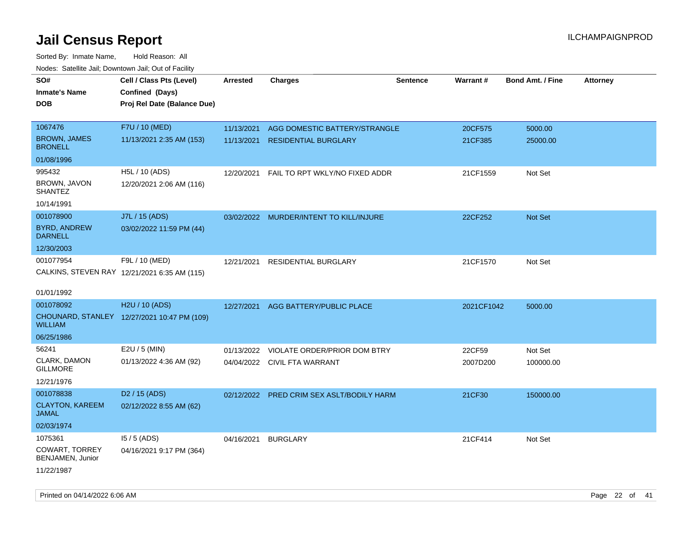| rougs. Calcing Jan, Downtown Jan, Out of Facility |                                              |                 |                                         |                 |            |                         |                 |
|---------------------------------------------------|----------------------------------------------|-----------------|-----------------------------------------|-----------------|------------|-------------------------|-----------------|
| SO#                                               | Cell / Class Pts (Level)                     | <b>Arrested</b> | <b>Charges</b>                          | <b>Sentence</b> | Warrant#   | <b>Bond Amt. / Fine</b> | <b>Attorney</b> |
| <b>Inmate's Name</b>                              | Confined (Days)                              |                 |                                         |                 |            |                         |                 |
| <b>DOB</b>                                        | Proj Rel Date (Balance Due)                  |                 |                                         |                 |            |                         |                 |
|                                                   |                                              |                 |                                         |                 |            |                         |                 |
| 1067476                                           | F7U / 10 (MED)                               | 11/13/2021      | AGG DOMESTIC BATTERY/STRANGLE           |                 | 20CF575    | 5000.00                 |                 |
| <b>BROWN, JAMES</b><br><b>BRONELL</b>             | 11/13/2021 2:35 AM (153)                     | 11/13/2021      | <b>RESIDENTIAL BURGLARY</b>             |                 | 21CF385    | 25000.00                |                 |
| 01/08/1996                                        |                                              |                 |                                         |                 |            |                         |                 |
| 995432                                            | H5L / 10 (ADS)                               | 12/20/2021      | FAIL TO RPT WKLY/NO FIXED ADDR          |                 | 21CF1559   | Not Set                 |                 |
| BROWN, JAVON<br><b>SHANTEZ</b>                    | 12/20/2021 2:06 AM (116)                     |                 |                                         |                 |            |                         |                 |
| 10/14/1991                                        |                                              |                 |                                         |                 |            |                         |                 |
| 001078900                                         | J7L / 15 (ADS)                               |                 | 03/02/2022 MURDER/INTENT TO KILL/INJURE |                 | 22CF252    | <b>Not Set</b>          |                 |
| <b>BYRD, ANDREW</b><br><b>DARNELL</b>             | 03/02/2022 11:59 PM (44)                     |                 |                                         |                 |            |                         |                 |
| 12/30/2003                                        |                                              |                 |                                         |                 |            |                         |                 |
| 001077954                                         | F9L / 10 (MED)                               | 12/21/2021      | RESIDENTIAL BURGLARY                    |                 | 21CF1570   | Not Set                 |                 |
|                                                   | CALKINS, STEVEN RAY 12/21/2021 6:35 AM (115) |                 |                                         |                 |            |                         |                 |
|                                                   |                                              |                 |                                         |                 |            |                         |                 |
| 01/01/1992                                        |                                              |                 |                                         |                 |            |                         |                 |
| 001078092                                         | H2U / 10 (ADS)                               | 12/27/2021      | AGG BATTERY/PUBLIC PLACE                |                 | 2021CF1042 | 5000.00                 |                 |
| <b>WILLIAM</b>                                    | CHOUNARD, STANLEY 12/27/2021 10:47 PM (109)  |                 |                                         |                 |            |                         |                 |
| 06/25/1986                                        |                                              |                 |                                         |                 |            |                         |                 |
| 56241                                             | E2U / 5 (MIN)                                | 01/13/2022      | VIOLATE ORDER/PRIOR DOM BTRY            |                 | 22CF59     | Not Set                 |                 |
| CLARK, DAMON<br><b>GILLMORE</b>                   | 01/13/2022 4:36 AM (92)                      |                 | 04/04/2022 CIVIL FTA WARRANT            |                 | 2007D200   | 100000.00               |                 |
| 12/21/1976                                        |                                              |                 |                                         |                 |            |                         |                 |
| 001078838                                         | D <sub>2</sub> / 15 (ADS)                    | 02/12/2022      | PRED CRIM SEX ASLT/BODILY HARM          |                 | 21CF30     | 150000.00               |                 |
| <b>CLAYTON, KAREEM</b><br>JAMAL                   | 02/12/2022 8:55 AM (62)                      |                 |                                         |                 |            |                         |                 |
| 02/03/1974                                        |                                              |                 |                                         |                 |            |                         |                 |
| 1075361                                           | $15/5$ (ADS)                                 | 04/16/2021      | <b>BURGLARY</b>                         |                 | 21CF414    | Not Set                 |                 |
| COWART, TORREY<br>BENJAMEN, Junior                | 04/16/2021 9:17 PM (364)                     |                 |                                         |                 |            |                         |                 |
| 11/22/1987                                        |                                              |                 |                                         |                 |            |                         |                 |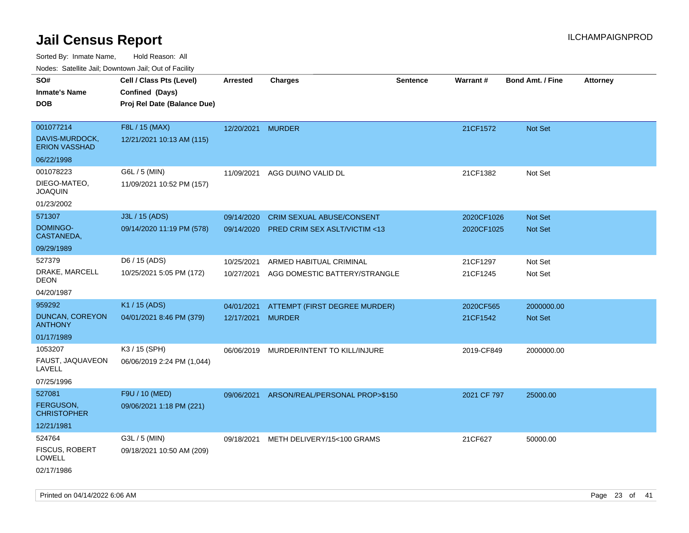| roaco. Catolino dall, Downtown dall, Out of Fability |                             |                   |                                  |                 |             |                         |                 |
|------------------------------------------------------|-----------------------------|-------------------|----------------------------------|-----------------|-------------|-------------------------|-----------------|
| SO#                                                  | Cell / Class Pts (Level)    | <b>Arrested</b>   | <b>Charges</b>                   | <b>Sentence</b> | Warrant#    | <b>Bond Amt. / Fine</b> | <b>Attorney</b> |
| <b>Inmate's Name</b>                                 | Confined (Days)             |                   |                                  |                 |             |                         |                 |
| <b>DOB</b>                                           | Proj Rel Date (Balance Due) |                   |                                  |                 |             |                         |                 |
|                                                      |                             |                   |                                  |                 |             |                         |                 |
| 001077214                                            | F8L / 15 (MAX)              | 12/20/2021 MURDER |                                  |                 | 21CF1572    | Not Set                 |                 |
| DAVIS-MURDOCK,<br><b>ERION VASSHAD</b>               | 12/21/2021 10:13 AM (115)   |                   |                                  |                 |             |                         |                 |
| 06/22/1998                                           |                             |                   |                                  |                 |             |                         |                 |
| 001078223                                            | G6L / 5 (MIN)               | 11/09/2021        | AGG DUI/NO VALID DL              |                 | 21CF1382    | Not Set                 |                 |
| DIEGO-MATEO,<br><b>JOAQUIN</b>                       | 11/09/2021 10:52 PM (157)   |                   |                                  |                 |             |                         |                 |
| 01/23/2002                                           |                             |                   |                                  |                 |             |                         |                 |
| 571307                                               | J3L / 15 (ADS)              | 09/14/2020        | <b>CRIM SEXUAL ABUSE/CONSENT</b> |                 | 2020CF1026  | <b>Not Set</b>          |                 |
| <b>DOMINGO-</b><br>CASTANEDA,                        | 09/14/2020 11:19 PM (578)   | 09/14/2020        | PRED CRIM SEX ASLT/VICTIM <13    |                 | 2020CF1025  | Not Set                 |                 |
| 09/29/1989                                           |                             |                   |                                  |                 |             |                         |                 |
| 527379                                               | D6 / 15 (ADS)               | 10/25/2021        | ARMED HABITUAL CRIMINAL          |                 | 21CF1297    | Not Set                 |                 |
| DRAKE, MARCELL<br><b>DEON</b>                        | 10/25/2021 5:05 PM (172)    | 10/27/2021        | AGG DOMESTIC BATTERY/STRANGLE    |                 | 21CF1245    | Not Set                 |                 |
| 04/20/1987                                           |                             |                   |                                  |                 |             |                         |                 |
| 959292                                               | K1 / 15 (ADS)               | 04/01/2021        | ATTEMPT (FIRST DEGREE MURDER)    |                 | 2020CF565   | 2000000.00              |                 |
| DUNCAN, COREYON<br><b>ANTHONY</b>                    | 04/01/2021 8:46 PM (379)    | 12/17/2021 MURDER |                                  |                 | 21CF1542    | <b>Not Set</b>          |                 |
| 01/17/1989                                           |                             |                   |                                  |                 |             |                         |                 |
| 1053207                                              | K3 / 15 (SPH)               | 06/06/2019        | MURDER/INTENT TO KILL/INJURE     |                 | 2019-CF849  | 2000000.00              |                 |
| FAUST, JAQUAVEON<br>LAVELL                           | 06/06/2019 2:24 PM (1,044)  |                   |                                  |                 |             |                         |                 |
| 07/25/1996                                           |                             |                   |                                  |                 |             |                         |                 |
| 527081                                               | F9U / 10 (MED)              | 09/06/2021        | ARSON/REAL/PERSONAL PROP>\$150   |                 | 2021 CF 797 | 25000.00                |                 |
| <b>FERGUSON,</b><br><b>CHRISTOPHER</b>               | 09/06/2021 1:18 PM (221)    |                   |                                  |                 |             |                         |                 |
| 12/21/1981                                           |                             |                   |                                  |                 |             |                         |                 |
| 524764                                               | G3L / 5 (MIN)               | 09/18/2021        | METH DELIVERY/15<100 GRAMS       |                 | 21CF627     | 50000.00                |                 |
| FISCUS, ROBERT<br>LOWELL                             | 09/18/2021 10:50 AM (209)   |                   |                                  |                 |             |                         |                 |
| 02/17/1986                                           |                             |                   |                                  |                 |             |                         |                 |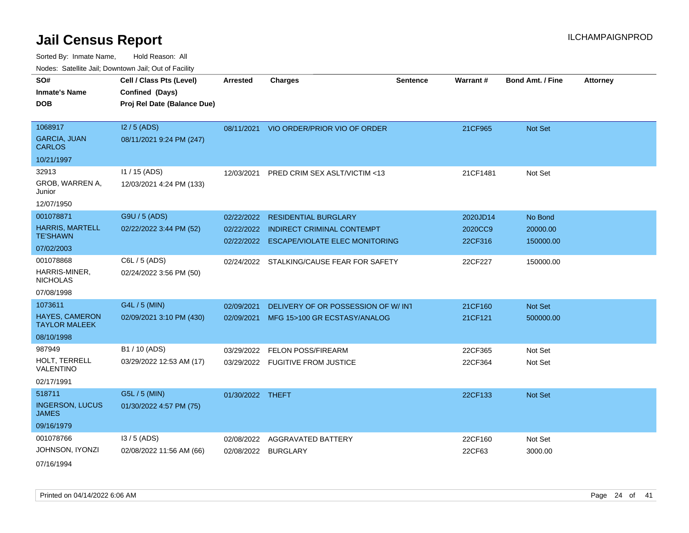Sorted By: Inmate Name, Hold Reason: All

| Nodes: Satellite Jail; Downtown Jail; Out of Facility |  |
|-------------------------------------------------------|--|
|-------------------------------------------------------|--|

| SO#<br><b>Inmate's Name</b><br><b>DOB</b>     | Cell / Class Pts (Level)<br>Confined (Days)<br>Proj Rel Date (Balance Due) | <b>Arrested</b>  | <b>Charges</b>                            | <b>Sentence</b> | <b>Warrant#</b> | <b>Bond Amt. / Fine</b> | <b>Attorney</b> |
|-----------------------------------------------|----------------------------------------------------------------------------|------------------|-------------------------------------------|-----------------|-----------------|-------------------------|-----------------|
|                                               |                                                                            |                  |                                           |                 |                 |                         |                 |
| 1068917                                       | I2 / 5 (ADS)                                                               |                  | 08/11/2021 VIO ORDER/PRIOR VIO OF ORDER   |                 | 21CF965         | Not Set                 |                 |
| <b>GARCIA, JUAN</b><br><b>CARLOS</b>          | 08/11/2021 9:24 PM (247)                                                   |                  |                                           |                 |                 |                         |                 |
| 10/21/1997                                    |                                                                            |                  |                                           |                 |                 |                         |                 |
| 32913                                         | $11 / 15$ (ADS)                                                            | 12/03/2021       | PRED CRIM SEX ASLT/VICTIM <13             |                 | 21CF1481        | Not Set                 |                 |
| GROB, WARREN A,<br>Junior                     | 12/03/2021 4:24 PM (133)                                                   |                  |                                           |                 |                 |                         |                 |
| 12/07/1950                                    |                                                                            |                  |                                           |                 |                 |                         |                 |
| 001078871                                     | G9U / 5 (ADS)                                                              | 02/22/2022       | <b>RESIDENTIAL BURGLARY</b>               |                 | 2020JD14        | No Bond                 |                 |
| <b>HARRIS, MARTELL</b>                        | 02/22/2022 3:44 PM (52)                                                    |                  | 02/22/2022 INDIRECT CRIMINAL CONTEMPT     |                 | 2020CC9         | 20000.00                |                 |
| <b>TE'SHAWN</b>                               |                                                                            |                  | 02/22/2022 ESCAPE/VIOLATE ELEC MONITORING |                 | 22CF316         | 150000.00               |                 |
| 07/02/2003                                    |                                                                            |                  |                                           |                 |                 |                         |                 |
| 001078868                                     | C6L / 5 (ADS)                                                              |                  | 02/24/2022 STALKING/CAUSE FEAR FOR SAFETY |                 | 22CF227         | 150000.00               |                 |
| HARRIS-MINER,<br><b>NICHOLAS</b>              | 02/24/2022 3:56 PM (50)                                                    |                  |                                           |                 |                 |                         |                 |
| 07/08/1998                                    |                                                                            |                  |                                           |                 |                 |                         |                 |
| 1073611                                       | G4L / 5 (MIN)                                                              | 02/09/2021       | DELIVERY OF OR POSSESSION OF W/IN1        |                 | 21CF160         | Not Set                 |                 |
| <b>HAYES, CAMERON</b><br><b>TAYLOR MALEEK</b> | 02/09/2021 3:10 PM (430)                                                   | 02/09/2021       | MFG 15>100 GR ECSTASY/ANALOG              |                 | 21CF121         | 500000.00               |                 |
| 08/10/1998                                    |                                                                            |                  |                                           |                 |                 |                         |                 |
| 987949                                        | B1 / 10 (ADS)                                                              | 03/29/2022       | <b>FELON POSS/FIREARM</b>                 |                 | 22CF365         | Not Set                 |                 |
| HOLT, TERRELL<br><b>VALENTINO</b>             | 03/29/2022 12:53 AM (17)                                                   |                  | 03/29/2022 FUGITIVE FROM JUSTICE          |                 | 22CF364         | Not Set                 |                 |
| 02/17/1991                                    |                                                                            |                  |                                           |                 |                 |                         |                 |
| 518711                                        | G5L / 5 (MIN)                                                              | 01/30/2022 THEFT |                                           |                 | 22CF133         | Not Set                 |                 |
| <b>INGERSON, LUCUS</b><br><b>JAMES</b>        | 01/30/2022 4:57 PM (75)                                                    |                  |                                           |                 |                 |                         |                 |
| 09/16/1979                                    |                                                                            |                  |                                           |                 |                 |                         |                 |
| 001078766                                     | I3 / 5 (ADS)                                                               | 02/08/2022       | AGGRAVATED BATTERY                        |                 | 22CF160         | Not Set                 |                 |
| JOHNSON, IYONZI                               | 02/08/2022 11:56 AM (66)                                                   | 02/08/2022       | <b>BURGLARY</b>                           |                 | 22CF63          | 3000.00                 |                 |
| 07/16/1994                                    |                                                                            |                  |                                           |                 |                 |                         |                 |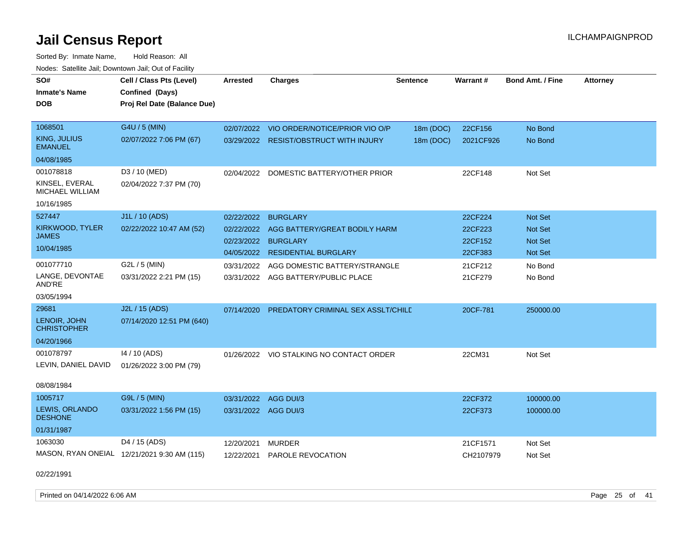Sorted By: Inmate Name, Hold Reason: All Nodes: Satellite Jail; Downtown Jail; Out of Facility

| SO#                                   | Cell / Class Pts (Level)                       | <b>Arrested</b>      | <b>Charges</b>                           | <b>Sentence</b> | Warrant#  | <b>Bond Amt. / Fine</b> | <b>Attorney</b> |
|---------------------------------------|------------------------------------------------|----------------------|------------------------------------------|-----------------|-----------|-------------------------|-----------------|
| <b>Inmate's Name</b><br><b>DOB</b>    | Confined (Days)<br>Proj Rel Date (Balance Due) |                      |                                          |                 |           |                         |                 |
| 1068501                               | G4U / 5 (MIN)                                  | 02/07/2022           | VIO ORDER/NOTICE/PRIOR VIO O/P           | 18m (DOC)       | 22CF156   | No Bond                 |                 |
| <b>KING, JULIUS</b><br><b>EMANUEL</b> | 02/07/2022 7:06 PM (67)                        |                      | 03/29/2022 RESIST/OBSTRUCT WITH INJURY   | 18m (DOC)       | 2021CF926 | No Bond                 |                 |
| 04/08/1985                            |                                                |                      |                                          |                 |           |                         |                 |
| 001078818                             | D3 / 10 (MED)                                  | 02/04/2022           | DOMESTIC BATTERY/OTHER PRIOR             |                 | 22CF148   | Not Set                 |                 |
| KINSEL, EVERAL<br>MICHAEL WILLIAM     | 02/04/2022 7:37 PM (70)                        |                      |                                          |                 |           |                         |                 |
| 10/16/1985                            |                                                |                      |                                          |                 |           |                         |                 |
| 527447                                | J1L / 10 (ADS)                                 | 02/22/2022           | <b>BURGLARY</b>                          |                 | 22CF224   | Not Set                 |                 |
| KIRKWOOD, TYLER                       | 02/22/2022 10:47 AM (52)                       | 02/22/2022           | AGG BATTERY/GREAT BODILY HARM            |                 | 22CF223   | <b>Not Set</b>          |                 |
| <b>JAMES</b>                          |                                                | 02/23/2022           | <b>BURGLARY</b>                          |                 | 22CF152   | <b>Not Set</b>          |                 |
| 10/04/1985                            |                                                |                      | 04/05/2022 RESIDENTIAL BURGLARY          |                 | 22CF383   | <b>Not Set</b>          |                 |
| 001077710                             | G2L / 5 (MIN)                                  | 03/31/2022           | AGG DOMESTIC BATTERY/STRANGLE            |                 | 21CF212   | No Bond                 |                 |
| LANGE, DEVONTAE<br>AND'RE             | 03/31/2022 2:21 PM (15)                        |                      | 03/31/2022 AGG BATTERY/PUBLIC PLACE      |                 | 21CF279   | No Bond                 |                 |
| 03/05/1994                            |                                                |                      |                                          |                 |           |                         |                 |
| 29681                                 | J2L / 15 (ADS)                                 | 07/14/2020           | PREDATORY CRIMINAL SEX ASSLT/CHILE       |                 | 20CF-781  | 250000.00               |                 |
| LENOIR, JOHN<br><b>CHRISTOPHER</b>    | 07/14/2020 12:51 PM (640)                      |                      |                                          |                 |           |                         |                 |
| 04/20/1966                            |                                                |                      |                                          |                 |           |                         |                 |
| 001078797                             | 14 / 10 (ADS)                                  |                      | 01/26/2022 VIO STALKING NO CONTACT ORDER |                 | 22CM31    | Not Set                 |                 |
| LEVIN, DANIEL DAVID                   | 01/26/2022 3:00 PM (79)                        |                      |                                          |                 |           |                         |                 |
| 08/08/1984                            |                                                |                      |                                          |                 |           |                         |                 |
| 1005717                               | G9L / 5 (MIN)                                  | 03/31/2022           | AGG DUI/3                                |                 | 22CF372   | 100000.00               |                 |
| LEWIS, ORLANDO<br><b>DESHONE</b>      | 03/31/2022 1:56 PM (15)                        | 03/31/2022 AGG DUI/3 |                                          |                 | 22CF373   | 100000.00               |                 |
| 01/31/1987                            |                                                |                      |                                          |                 |           |                         |                 |
| 1063030                               | D4 / 15 (ADS)                                  | 12/20/2021           | <b>MURDER</b>                            |                 | 21CF1571  | Not Set                 |                 |
|                                       | MASON, RYAN ONEIAL 12/21/2021 9:30 AM (115)    | 12/22/2021           | PAROLE REVOCATION                        |                 | CH2107979 | Not Set                 |                 |
| 02/22/1991                            |                                                |                      |                                          |                 |           |                         |                 |

Printed on 04/14/2022 6:06 AM Page 25 of 41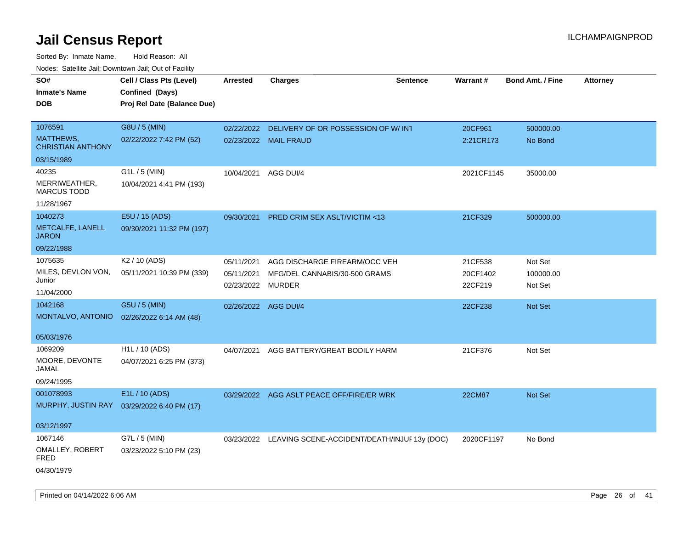| rougs. Calcing Jan, Downtown Jan, Out of Facility |                             |                                 |                                                         |                 |                     |                         |                 |
|---------------------------------------------------|-----------------------------|---------------------------------|---------------------------------------------------------|-----------------|---------------------|-------------------------|-----------------|
| SO#                                               | Cell / Class Pts (Level)    | <b>Arrested</b>                 | Charges                                                 | <b>Sentence</b> | Warrant#            | <b>Bond Amt. / Fine</b> | <b>Attorney</b> |
| <b>Inmate's Name</b>                              | Confined (Days)             |                                 |                                                         |                 |                     |                         |                 |
| <b>DOB</b>                                        | Proj Rel Date (Balance Due) |                                 |                                                         |                 |                     |                         |                 |
|                                                   |                             |                                 |                                                         |                 |                     |                         |                 |
| 1076591                                           | G8U / 5 (MIN)               | 02/22/2022                      | DELIVERY OF OR POSSESSION OF W/ INT                     |                 | 20CF961             | 500000.00               |                 |
| MATTHEWS,<br><b>CHRISTIAN ANTHONY</b>             | 02/22/2022 7:42 PM (52)     |                                 | 02/23/2022 MAIL FRAUD                                   |                 | 2:21CR173           | No Bond                 |                 |
| 03/15/1989                                        |                             |                                 |                                                         |                 |                     |                         |                 |
| 40235                                             | G1L / 5 (MIN)               | 10/04/2021                      | AGG DUI/4                                               |                 | 2021CF1145          | 35000.00                |                 |
| MERRIWEATHER,<br><b>MARCUS TODD</b>               | 10/04/2021 4:41 PM (193)    |                                 |                                                         |                 |                     |                         |                 |
| 11/28/1967                                        |                             |                                 |                                                         |                 |                     |                         |                 |
| 1040273                                           | E5U / 15 (ADS)              | 09/30/2021                      | <b>PRED CRIM SEX ASLT/VICTIM &lt;13</b>                 |                 | 21CF329             | 500000.00               |                 |
| METCALFE, LANELL<br><b>JARON</b>                  | 09/30/2021 11:32 PM (197)   |                                 |                                                         |                 |                     |                         |                 |
| 09/22/1988                                        |                             |                                 |                                                         |                 |                     |                         |                 |
| 1075635                                           | K <sub>2</sub> / 10 (ADS)   | 05/11/2021                      | AGG DISCHARGE FIREARM/OCC VEH                           |                 | 21CF538             | Not Set                 |                 |
| MILES, DEVLON VON,<br>Junior                      | 05/11/2021 10:39 PM (339)   | 05/11/2021<br>02/23/2022 MURDER | MFG/DEL CANNABIS/30-500 GRAMS                           |                 | 20CF1402<br>22CF219 | 100000.00<br>Not Set    |                 |
| 11/04/2000                                        |                             |                                 |                                                         |                 |                     |                         |                 |
| 1042168                                           | G5U / 5 (MIN)               | 02/26/2022 AGG DUI/4            |                                                         |                 | 22CF238             | <b>Not Set</b>          |                 |
| MONTALVO, ANTONIO                                 | 02/26/2022 6:14 AM (48)     |                                 |                                                         |                 |                     |                         |                 |
| 05/03/1976                                        |                             |                                 |                                                         |                 |                     |                         |                 |
| 1069209                                           | H1L / 10 (ADS)              | 04/07/2021                      | AGG BATTERY/GREAT BODILY HARM                           |                 | 21CF376             | Not Set                 |                 |
| MOORE, DEVONTE<br>JAMAL                           | 04/07/2021 6:25 PM (373)    |                                 |                                                         |                 |                     |                         |                 |
| 09/24/1995                                        |                             |                                 |                                                         |                 |                     |                         |                 |
| 001078993                                         | E1L / 10 (ADS)              |                                 | 03/29/2022 AGG ASLT PEACE OFF/FIRE/ER WRK               |                 | <b>22CM87</b>       | Not Set                 |                 |
| MURPHY, JUSTIN RAY                                | 03/29/2022 6:40 PM (17)     |                                 |                                                         |                 |                     |                         |                 |
| 03/12/1997                                        |                             |                                 |                                                         |                 |                     |                         |                 |
| 1067146                                           | G7L / 5 (MIN)               |                                 | 03/23/2022 LEAVING SCENE-ACCIDENT/DEATH/INJUF 13y (DOC) |                 | 2020CF1197          | No Bond                 |                 |
| OMALLEY, ROBERT<br>FRED                           | 03/23/2022 5:10 PM (23)     |                                 |                                                         |                 |                     |                         |                 |
| 04/30/1979                                        |                             |                                 |                                                         |                 |                     |                         |                 |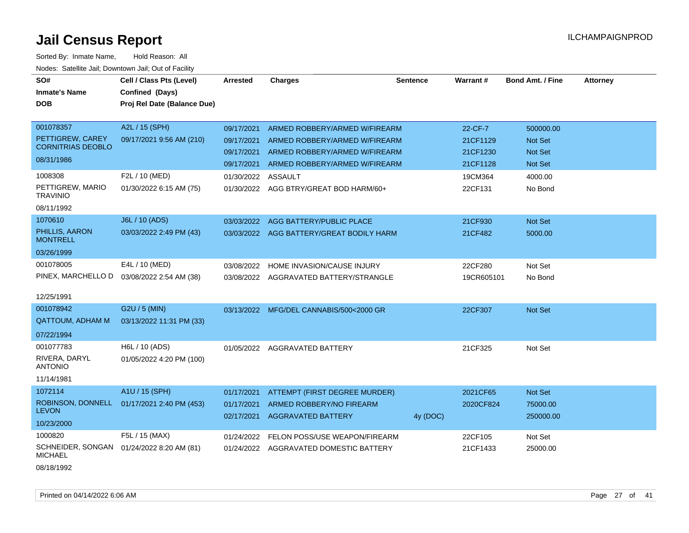| SO#<br><b>Inmate's Name</b>                  | Cell / Class Pts (Level)<br>Confined (Days) | <b>Arrested</b> | <b>Charges</b>                           | <b>Sentence</b> | Warrant#   | <b>Bond Amt. / Fine</b> | <b>Attorney</b> |
|----------------------------------------------|---------------------------------------------|-----------------|------------------------------------------|-----------------|------------|-------------------------|-----------------|
| <b>DOB</b>                                   | Proj Rel Date (Balance Due)                 |                 |                                          |                 |            |                         |                 |
|                                              |                                             |                 |                                          |                 |            |                         |                 |
| 001078357                                    | A2L / 15 (SPH)                              | 09/17/2021      | ARMED ROBBERY/ARMED W/FIREARM            |                 | 22-CF-7    | 500000.00               |                 |
| PETTIGREW, CAREY<br><b>CORNITRIAS DEOBLO</b> | 09/17/2021 9:56 AM (210)                    | 09/17/2021      | ARMED ROBBERY/ARMED W/FIREARM            |                 | 21CF1129   | Not Set                 |                 |
| 08/31/1986                                   |                                             | 09/17/2021      | ARMED ROBBERY/ARMED W/FIREARM            |                 | 21CF1230   | Not Set                 |                 |
|                                              |                                             | 09/17/2021      | ARMED ROBBERY/ARMED W/FIREARM            |                 | 21CF1128   | Not Set                 |                 |
| 1008308                                      | F2L / 10 (MED)                              | 01/30/2022      | <b>ASSAULT</b>                           |                 | 19CM364    | 4000.00                 |                 |
| PETTIGREW, MARIO<br><b>TRAVINIO</b>          | 01/30/2022 6:15 AM (75)                     |                 | 01/30/2022 AGG BTRY/GREAT BOD HARM/60+   |                 | 22CF131    | No Bond                 |                 |
| 08/11/1992                                   |                                             |                 |                                          |                 |            |                         |                 |
| 1070610                                      | <b>J6L / 10 (ADS)</b>                       |                 | 03/03/2022 AGG BATTERY/PUBLIC PLACE      |                 | 21CF930    | Not Set                 |                 |
| PHILLIS, AARON<br><b>MONTRELL</b>            | 03/03/2022 2:49 PM (43)                     |                 | 03/03/2022 AGG BATTERY/GREAT BODILY HARM |                 | 21CF482    | 5000.00                 |                 |
| 03/26/1999                                   |                                             |                 |                                          |                 |            |                         |                 |
| 001078005                                    | E4L / 10 (MED)                              | 03/08/2022      | HOME INVASION/CAUSE INJURY               |                 | 22CF280    | Not Set                 |                 |
| PINEX, MARCHELLO D                           | 03/08/2022 2:54 AM (38)                     |                 | 03/08/2022 AGGRAVATED BATTERY/STRANGLE   |                 | 19CR605101 | No Bond                 |                 |
| 12/25/1991                                   |                                             |                 |                                          |                 |            |                         |                 |
| 001078942                                    | G2U / 5 (MIN)                               | 03/13/2022      | MFG/DEL CANNABIS/500<2000 GR             |                 | 22CF307    | Not Set                 |                 |
| <b>QATTOUM, ADHAM M</b>                      | 03/13/2022 11:31 PM (33)                    |                 |                                          |                 |            |                         |                 |
| 07/22/1994                                   |                                             |                 |                                          |                 |            |                         |                 |
| 001077783                                    | H6L / 10 (ADS)                              |                 | 01/05/2022 AGGRAVATED BATTERY            |                 | 21CF325    | Not Set                 |                 |
| RIVERA, DARYL<br><b>ANTONIO</b>              | 01/05/2022 4:20 PM (100)                    |                 |                                          |                 |            |                         |                 |
| 11/14/1981                                   |                                             |                 |                                          |                 |            |                         |                 |
| 1072114                                      | A1U / 15 (SPH)                              | 01/17/2021      | ATTEMPT (FIRST DEGREE MURDER)            |                 | 2021CF65   | Not Set                 |                 |
| ROBINSON, DONNELL                            | 01/17/2021 2:40 PM (453)                    | 01/17/2021      | ARMED ROBBERY/NO FIREARM                 |                 | 2020CF824  | 75000.00                |                 |
| <b>LEVON</b>                                 |                                             | 02/17/2021      | <b>AGGRAVATED BATTERY</b>                | 4y (DOC)        |            | 250000.00               |                 |
| 10/23/2000                                   |                                             |                 |                                          |                 |            |                         |                 |
| 1000820                                      | F5L / 15 (MAX)                              | 01/24/2022      | FELON POSS/USE WEAPON/FIREARM            |                 | 22CF105    | Not Set                 |                 |
| SCHNEIDER, SONGAN<br><b>MICHAEL</b>          | 01/24/2022 8:20 AM (81)                     |                 | 01/24/2022 AGGRAVATED DOMESTIC BATTERY   |                 | 21CF1433   | 25000.00                |                 |
| 08/18/1992                                   |                                             |                 |                                          |                 |            |                         |                 |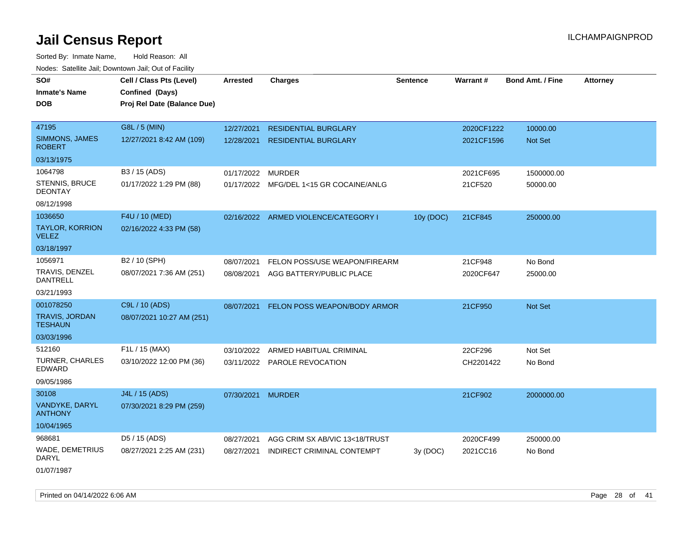Sorted By: Inmate Name, Hold Reason: All Nodes: Satellite Jail; Downtown Jail; Out of Facility

| rougs. Calcing Jan, Downtown Jan, Out of Facinty |                                                                            |            |                                         |                 |            |                         |                 |
|--------------------------------------------------|----------------------------------------------------------------------------|------------|-----------------------------------------|-----------------|------------|-------------------------|-----------------|
| SO#<br><b>Inmate's Name</b><br><b>DOB</b>        | Cell / Class Pts (Level)<br>Confined (Days)<br>Proj Rel Date (Balance Due) | Arrested   | <b>Charges</b>                          | <b>Sentence</b> | Warrant#   | <b>Bond Amt. / Fine</b> | <b>Attorney</b> |
| 47195                                            | G8L / 5 (MIN)                                                              | 12/27/2021 | <b>RESIDENTIAL BURGLARY</b>             |                 | 2020CF1222 | 10000.00                |                 |
| SIMMONS, JAMES<br><b>ROBERT</b>                  | 12/27/2021 8:42 AM (109)                                                   | 12/28/2021 | <b>RESIDENTIAL BURGLARY</b>             |                 | 2021CF1596 | <b>Not Set</b>          |                 |
| 03/13/1975                                       |                                                                            |            |                                         |                 |            |                         |                 |
| 1064798                                          | B3 / 15 (ADS)                                                              | 01/17/2022 | MURDER                                  |                 | 2021CF695  | 1500000.00              |                 |
| <b>STENNIS, BRUCE</b><br><b>DEONTAY</b>          | 01/17/2022 1:29 PM (88)                                                    |            | 01/17/2022 MFG/DEL 1<15 GR COCAINE/ANLG |                 | 21CF520    | 50000.00                |                 |
| 08/12/1998                                       |                                                                            |            |                                         |                 |            |                         |                 |
| 1036650                                          | F4U / 10 (MED)                                                             |            | 02/16/2022 ARMED VIOLENCE/CATEGORY I    | 10y (DOC)       | 21CF845    | 250000.00               |                 |
| <b>TAYLOR, KORRION</b><br><b>VELEZ</b>           | 02/16/2022 4:33 PM (58)                                                    |            |                                         |                 |            |                         |                 |
| 03/18/1997                                       |                                                                            |            |                                         |                 |            |                         |                 |
| 1056971                                          | B <sub>2</sub> / 10 (SPH)                                                  | 08/07/2021 | FELON POSS/USE WEAPON/FIREARM           |                 | 21CF948    | No Bond                 |                 |
| TRAVIS, DENZEL<br><b>DANTRELL</b>                | 08/07/2021 7:36 AM (251)                                                   |            | 08/08/2021 AGG BATTERY/PUBLIC PLACE     |                 | 2020CF647  | 25000.00                |                 |
| 03/21/1993                                       |                                                                            |            |                                         |                 |            |                         |                 |
| 001078250                                        | C9L / 10 (ADS)                                                             | 08/07/2021 | FELON POSS WEAPON/BODY ARMOR            |                 | 21CF950    | <b>Not Set</b>          |                 |
| <b>TRAVIS, JORDAN</b><br><b>TESHAUN</b>          | 08/07/2021 10:27 AM (251)                                                  |            |                                         |                 |            |                         |                 |
| 03/03/1996                                       |                                                                            |            |                                         |                 |            |                         |                 |
| 512160                                           | F1L / 15 (MAX)                                                             | 03/10/2022 | ARMED HABITUAL CRIMINAL                 |                 | 22CF296    | Not Set                 |                 |
| TURNER, CHARLES<br>EDWARD                        | 03/10/2022 12:00 PM (36)                                                   |            | 03/11/2022 PAROLE REVOCATION            |                 | CH2201422  | No Bond                 |                 |
| 09/05/1986                                       |                                                                            |            |                                         |                 |            |                         |                 |
| 30108                                            | J4L / 15 (ADS)                                                             | 07/30/2021 | <b>MURDER</b>                           |                 | 21CF902    | 2000000.00              |                 |
| VANDYKE, DARYL<br><b>ANTHONY</b>                 | 07/30/2021 8:29 PM (259)                                                   |            |                                         |                 |            |                         |                 |
| 10/04/1965                                       |                                                                            |            |                                         |                 |            |                         |                 |
| 968681                                           | D5 / 15 (ADS)                                                              | 08/27/2021 | AGG CRIM SX AB/VIC 13<18/TRUST          |                 | 2020CF499  | 250000.00               |                 |
| WADE, DEMETRIUS<br>DARYL                         | 08/27/2021 2:25 AM (231)                                                   | 08/27/2021 | INDIRECT CRIMINAL CONTEMPT              | 3y (DOC)        | 2021CC16   | No Bond                 |                 |
|                                                  |                                                                            |            |                                         |                 |            |                         |                 |

01/07/1987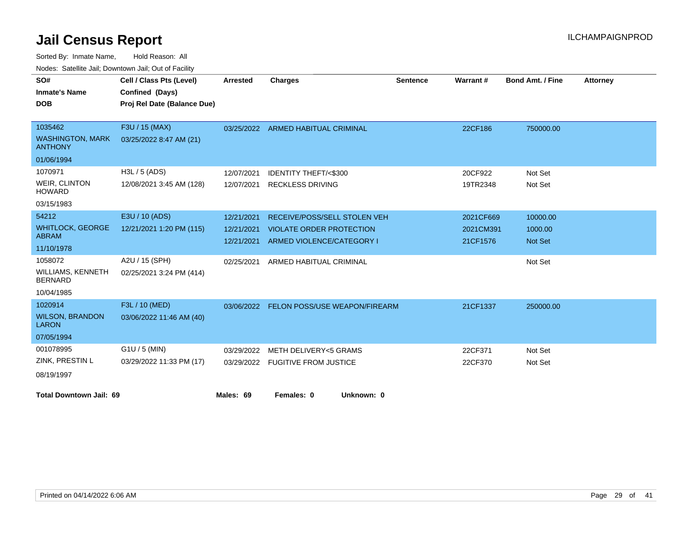| SO#                                        | Cell / Class Pts (Level)    | <b>Arrested</b> | <b>Charges</b>                           | <b>Sentence</b> | Warrant#  | <b>Bond Amt. / Fine</b> | <b>Attorney</b> |
|--------------------------------------------|-----------------------------|-----------------|------------------------------------------|-----------------|-----------|-------------------------|-----------------|
| <b>Inmate's Name</b>                       | Confined (Days)             |                 |                                          |                 |           |                         |                 |
| <b>DOB</b>                                 | Proj Rel Date (Balance Due) |                 |                                          |                 |           |                         |                 |
|                                            |                             |                 |                                          |                 |           |                         |                 |
| 1035462                                    | F3U / 15 (MAX)              |                 | 03/25/2022 ARMED HABITUAL CRIMINAL       |                 | 22CF186   | 750000.00               |                 |
| <b>WASHINGTON, MARK</b><br><b>ANTHONY</b>  | 03/25/2022 8:47 AM (21)     |                 |                                          |                 |           |                         |                 |
| 01/06/1994                                 |                             |                 |                                          |                 |           |                         |                 |
| 1070971                                    | $H3L / 5$ (ADS)             | 12/07/2021      | <b>IDENTITY THEFT/&lt;\$300</b>          |                 | 20CF922   | Not Set                 |                 |
| <b>WEIR, CLINTON</b><br><b>HOWARD</b>      | 12/08/2021 3:45 AM (128)    | 12/07/2021      | <b>RECKLESS DRIVING</b>                  |                 | 19TR2348  | Not Set                 |                 |
| 03/15/1983                                 |                             |                 |                                          |                 |           |                         |                 |
| 54212                                      | E3U / 10 (ADS)              | 12/21/2021      | RECEIVE/POSS/SELL STOLEN VEH             |                 | 2021CF669 | 10000.00                |                 |
| <b>WHITLOCK, GEORGE</b>                    | 12/21/2021 1:20 PM (115)    | 12/21/2021      | <b>VIOLATE ORDER PROTECTION</b>          |                 | 2021CM391 | 1000.00                 |                 |
| <b>ABRAM</b>                               |                             |                 | 12/21/2021 ARMED VIOLENCE/CATEGORY I     |                 | 21CF1576  | Not Set                 |                 |
| 11/10/1978                                 |                             |                 |                                          |                 |           |                         |                 |
| 1058072                                    | A2U / 15 (SPH)              | 02/25/2021      | ARMED HABITUAL CRIMINAL                  |                 |           | Not Set                 |                 |
| <b>WILLIAMS, KENNETH</b><br><b>BERNARD</b> | 02/25/2021 3:24 PM (414)    |                 |                                          |                 |           |                         |                 |
| 10/04/1985                                 |                             |                 |                                          |                 |           |                         |                 |
| 1020914                                    | F3L / 10 (MED)              |                 | 03/06/2022 FELON POSS/USE WEAPON/FIREARM |                 | 21CF1337  | 250000.00               |                 |
| <b>WILSON, BRANDON</b><br><b>LARON</b>     | 03/06/2022 11:46 AM (40)    |                 |                                          |                 |           |                         |                 |
| 07/05/1994                                 |                             |                 |                                          |                 |           |                         |                 |
| 001078995                                  | $G1U / 5$ (MIN)             | 03/29/2022      | <b>METH DELIVERY&lt;5 GRAMS</b>          |                 | 22CF371   | Not Set                 |                 |
| ZINK, PRESTIN L                            | 03/29/2022 11:33 PM (17)    |                 | 03/29/2022 FUGITIVE FROM JUSTICE         |                 | 22CF370   | Not Set                 |                 |
| 08/19/1997                                 |                             |                 |                                          |                 |           |                         |                 |
| <b>Total Downtown Jail: 69</b>             |                             | Males: 69       | Females: 0<br>Unknown: 0                 |                 |           |                         |                 |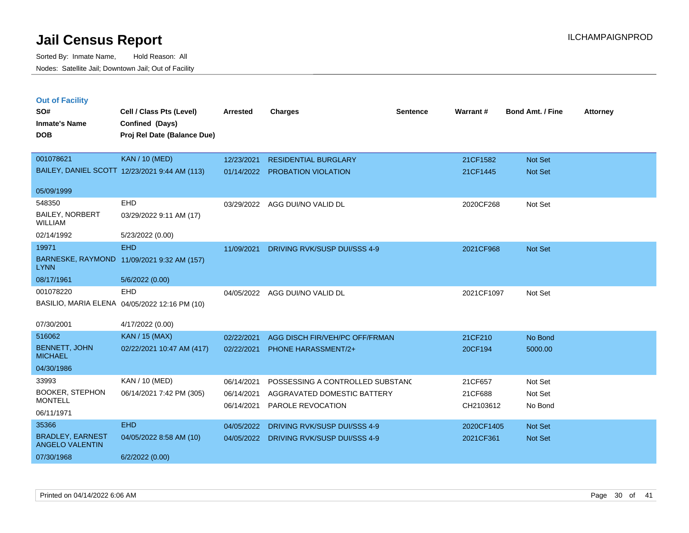| <b>Out of Facility</b><br>SO#<br><b>Inmate's Name</b><br><b>DOB</b> | Cell / Class Pts (Level)<br>Confined (Days)<br>Proj Rel Date (Balance Due) | <b>Arrested</b>          | <b>Charges</b>                                   | <b>Sentence</b> | Warrant#             | <b>Bond Amt. / Fine</b> | <b>Attorney</b> |
|---------------------------------------------------------------------|----------------------------------------------------------------------------|--------------------------|--------------------------------------------------|-----------------|----------------------|-------------------------|-----------------|
| 001078621                                                           | <b>KAN / 10 (MED)</b>                                                      | 12/23/2021               | <b>RESIDENTIAL BURGLARY</b>                      |                 | 21CF1582             | Not Set                 |                 |
|                                                                     | BAILEY, DANIEL SCOTT 12/23/2021 9:44 AM (113)                              | 01/14/2022               | PROBATION VIOLATION                              |                 | 21CF1445             | <b>Not Set</b>          |                 |
| 05/09/1999                                                          |                                                                            |                          |                                                  |                 |                      |                         |                 |
| 548350                                                              | <b>EHD</b>                                                                 | 03/29/2022               | AGG DUI/NO VALID DL                              |                 | 2020CF268            | Not Set                 |                 |
| <b>BAILEY, NORBERT</b><br><b>WILLIAM</b>                            | 03/29/2022 9:11 AM (17)                                                    |                          |                                                  |                 |                      |                         |                 |
| 02/14/1992                                                          | 5/23/2022 (0.00)                                                           |                          |                                                  |                 |                      |                         |                 |
| 19971                                                               | <b>EHD</b>                                                                 | 11/09/2021               | DRIVING RVK/SUSP DUI/SSS 4-9                     |                 | 2021CF968            | <b>Not Set</b>          |                 |
| <b>LYNN</b>                                                         | BARNESKE, RAYMOND 11/09/2021 9:32 AM (157)                                 |                          |                                                  |                 |                      |                         |                 |
| 08/17/1961                                                          | 5/6/2022 (0.00)                                                            |                          |                                                  |                 |                      |                         |                 |
| 001078220                                                           | <b>EHD</b>                                                                 | 04/05/2022               | AGG DUI/NO VALID DL                              |                 | 2021CF1097           | Not Set                 |                 |
|                                                                     | BASILIO, MARIA ELENA 04/05/2022 12:16 PM (10)                              |                          |                                                  |                 |                      |                         |                 |
| 07/30/2001                                                          | 4/17/2022 (0.00)                                                           |                          |                                                  |                 |                      |                         |                 |
| 516062                                                              | <b>KAN / 15 (MAX)</b>                                                      | 02/22/2021               | AGG DISCH FIR/VEH/PC OFF/FRMAN                   |                 | 21CF210              | No Bond                 |                 |
| <b>BENNETT, JOHN</b><br><b>MICHAEL</b>                              | 02/22/2021 10:47 AM (417)                                                  | 02/22/2021               | <b>PHONE HARASSMENT/2+</b>                       |                 | 20CF194              | 5000.00                 |                 |
| 04/30/1986                                                          |                                                                            |                          |                                                  |                 |                      |                         |                 |
| 33993                                                               | KAN / 10 (MED)                                                             | 06/14/2021               | POSSESSING A CONTROLLED SUBSTAND                 |                 | 21CF657              | Not Set                 |                 |
| <b>BOOKER, STEPHON</b><br><b>MONTELL</b>                            | 06/14/2021 7:42 PM (305)                                                   | 06/14/2021<br>06/14/2021 | AGGRAVATED DOMESTIC BATTERY<br>PAROLE REVOCATION |                 | 21CF688<br>CH2103612 | Not Set<br>No Bond      |                 |
| 06/11/1971                                                          |                                                                            |                          |                                                  |                 |                      |                         |                 |
| 35366                                                               | <b>EHD</b>                                                                 | 04/05/2022               | <b>DRIVING RVK/SUSP DUI/SSS 4-9</b>              |                 | 2020CF1405           | <b>Not Set</b>          |                 |
| <b>BRADLEY, EARNEST</b><br><b>ANGELO VALENTIN</b>                   | 04/05/2022 8:58 AM (10)                                                    |                          | 04/05/2022 DRIVING RVK/SUSP DUI/SSS 4-9          |                 | 2021CF361            | Not Set                 |                 |
| 07/30/1968                                                          | 6/2/2022 (0.00)                                                            |                          |                                                  |                 |                      |                         |                 |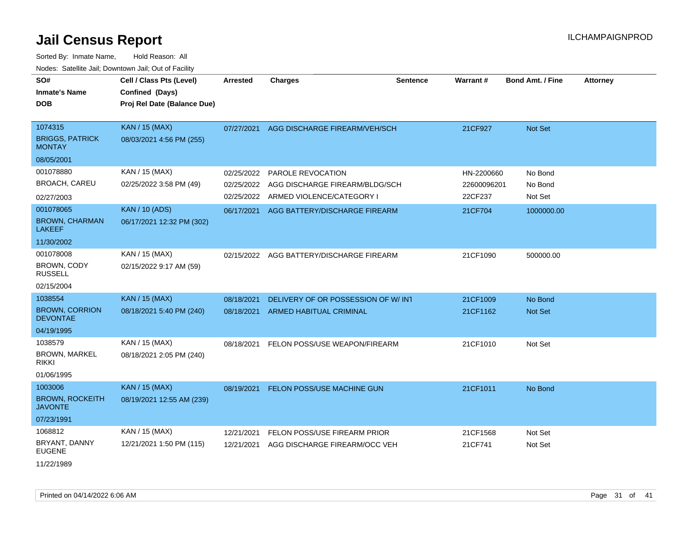| SO#<br><b>Inmate's Name</b><br>DOB                                | Cell / Class Pts (Level)<br>Confined (Days)<br>Proj Rel Date (Balance Due) | <b>Arrested</b>                        | <b>Charges</b>                                                                   | <b>Sentence</b> | Warrant#                             | Bond Amt. / Fine              | <b>Attorney</b> |
|-------------------------------------------------------------------|----------------------------------------------------------------------------|----------------------------------------|----------------------------------------------------------------------------------|-----------------|--------------------------------------|-------------------------------|-----------------|
| 1074315<br><b>BRIGGS, PATRICK</b><br><b>MONTAY</b>                | <b>KAN / 15 (MAX)</b><br>08/03/2021 4:56 PM (255)                          | 07/27/2021                             | AGG DISCHARGE FIREARM/VEH/SCH                                                    |                 | 21CF927                              | Not Set                       |                 |
| 08/05/2001                                                        |                                                                            |                                        |                                                                                  |                 |                                      |                               |                 |
| 001078880<br><b>BROACH, CAREU</b>                                 | KAN / 15 (MAX)<br>02/25/2022 3:58 PM (49)                                  | 02/25/2022<br>02/25/2022<br>02/25/2022 | PAROLE REVOCATION<br>AGG DISCHARGE FIREARM/BLDG/SCH<br>ARMED VIOLENCE/CATEGORY I |                 | HN-2200660<br>22600096201<br>22CF237 | No Bond<br>No Bond<br>Not Set |                 |
| 02/27/2003<br>001078065<br><b>BROWN, CHARMAN</b><br><b>LAKEEF</b> | <b>KAN / 10 (ADS)</b><br>06/17/2021 12:32 PM (302)                         | 06/17/2021                             | AGG BATTERY/DISCHARGE FIREARM                                                    |                 | 21CF704                              | 1000000.00                    |                 |
| 11/30/2002                                                        |                                                                            |                                        |                                                                                  |                 |                                      |                               |                 |
| 001078008<br><b>BROWN, CODY</b><br><b>RUSSELL</b><br>02/15/2004   | KAN / 15 (MAX)<br>02/15/2022 9:17 AM (59)                                  | 02/15/2022                             | AGG BATTERY/DISCHARGE FIREARM                                                    |                 | 21CF1090                             | 500000.00                     |                 |
| 1038554                                                           | KAN / 15 (MAX)                                                             | 08/18/2021                             | DELIVERY OF OR POSSESSION OF W/INT                                               |                 | 21CF1009                             | No Bond                       |                 |
| <b>BROWN, CORRION</b><br><b>DEVONTAE</b>                          | 08/18/2021 5:40 PM (240)                                                   | 08/18/2021                             | ARMED HABITUAL CRIMINAL                                                          |                 | 21CF1162                             | <b>Not Set</b>                |                 |
| 04/19/1995                                                        |                                                                            |                                        |                                                                                  |                 |                                      |                               |                 |
| 1038579<br>BROWN, MARKEL<br>rikki<br>01/06/1995                   | KAN / 15 (MAX)<br>08/18/2021 2:05 PM (240)                                 | 08/18/2021                             | FELON POSS/USE WEAPON/FIREARM                                                    |                 | 21CF1010                             | Not Set                       |                 |
| 1003006<br><b>BROWN, ROCKEITH</b><br><b>JAVONTE</b><br>07/23/1991 | <b>KAN / 15 (MAX)</b><br>08/19/2021 12:55 AM (239)                         | 08/19/2021                             | FELON POSS/USE MACHINE GUN                                                       |                 | 21CF1011                             | No Bond                       |                 |
| 1068812                                                           | KAN / 15 (MAX)                                                             | 12/21/2021                             | FELON POSS/USE FIREARM PRIOR                                                     |                 | 21CF1568                             | Not Set                       |                 |
| BRYANT, DANNY<br><b>EUGENE</b><br>11/22/1989                      | 12/21/2021 1:50 PM (115)                                                   | 12/21/2021                             | AGG DISCHARGE FIREARM/OCC VEH                                                    |                 | 21CF741                              | Not Set                       |                 |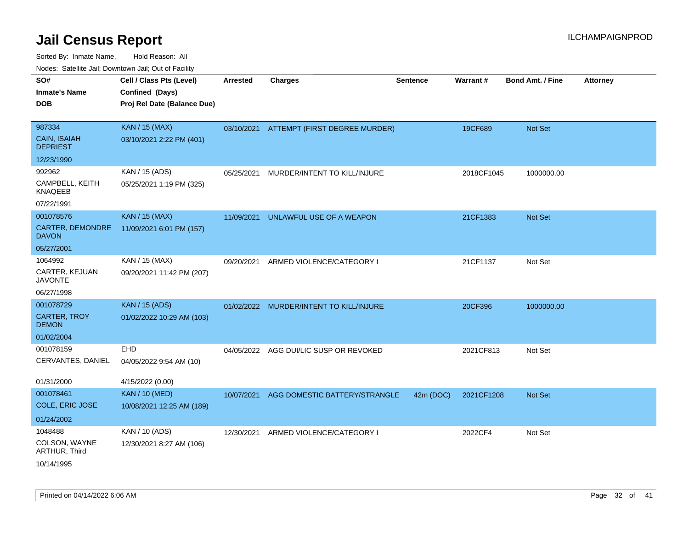| ivouss. Satellite Jali, Downtown Jali, Out of Facility |                             |                 |                               |                 |            |                         |                 |
|--------------------------------------------------------|-----------------------------|-----------------|-------------------------------|-----------------|------------|-------------------------|-----------------|
| SO#                                                    | Cell / Class Pts (Level)    | <b>Arrested</b> | <b>Charges</b>                | <b>Sentence</b> | Warrant#   | <b>Bond Amt. / Fine</b> | <b>Attorney</b> |
| Inmate's Name                                          | Confined (Days)             |                 |                               |                 |            |                         |                 |
| DOB                                                    | Proj Rel Date (Balance Due) |                 |                               |                 |            |                         |                 |
|                                                        |                             |                 |                               |                 |            |                         |                 |
| 987334                                                 | <b>KAN / 15 (MAX)</b>       | 03/10/2021      | ATTEMPT (FIRST DEGREE MURDER) |                 | 19CF689    | <b>Not Set</b>          |                 |
| <b>CAIN, ISAIAH</b><br><b>DEPRIEST</b>                 | 03/10/2021 2:22 PM (401)    |                 |                               |                 |            |                         |                 |
| 12/23/1990                                             |                             |                 |                               |                 |            |                         |                 |
| 992962                                                 | KAN / 15 (ADS)              | 05/25/2021      | MURDER/INTENT TO KILL/INJURE  |                 | 2018CF1045 | 1000000.00              |                 |
| CAMPBELL, KEITH<br>KNAQEEB                             | 05/25/2021 1:19 PM (325)    |                 |                               |                 |            |                         |                 |
| 07/22/1991                                             |                             |                 |                               |                 |            |                         |                 |
| 001078576                                              | <b>KAN / 15 (MAX)</b>       | 11/09/2021      | UNLAWFUL USE OF A WEAPON      |                 | 21CF1383   | Not Set                 |                 |
| CARTER, DEMONDRE<br>DAVON                              | 11/09/2021 6:01 PM (157)    |                 |                               |                 |            |                         |                 |
| 05/27/2001                                             |                             |                 |                               |                 |            |                         |                 |
| 1064992                                                | KAN / 15 (MAX)              | 09/20/2021      | ARMED VIOLENCE/CATEGORY I     |                 | 21CF1137   | Not Set                 |                 |
| CARTER, KEJUAN<br>JAVONTE                              | 09/20/2021 11:42 PM (207)   |                 |                               |                 |            |                         |                 |
| 06/27/1998                                             |                             |                 |                               |                 |            |                         |                 |
| 001078729                                              | <b>KAN / 15 (ADS)</b>       | 01/02/2022      | MURDER/INTENT TO KILL/INJURE  |                 | 20CF396    | 1000000.00              |                 |
| <b>CARTER, TROY</b><br><b>DEMON</b>                    | 01/02/2022 10:29 AM (103)   |                 |                               |                 |            |                         |                 |
| 01/02/2004                                             |                             |                 |                               |                 |            |                         |                 |
| 001078159                                              | <b>EHD</b>                  | 04/05/2022      | AGG DUI/LIC SUSP OR REVOKED   |                 | 2021CF813  | Not Set                 |                 |
| CERVANTES, DANIEL                                      | 04/05/2022 9:54 AM (10)     |                 |                               |                 |            |                         |                 |
| 01/31/2000                                             | 4/15/2022 (0.00)            |                 |                               |                 |            |                         |                 |
| 001078461                                              | <b>KAN / 10 (MED)</b>       | 10/07/2021      | AGG DOMESTIC BATTERY/STRANGLE | 42m (DOC)       | 2021CF1208 | <b>Not Set</b>          |                 |
| COLE, ERIC JOSE                                        | 10/08/2021 12:25 AM (189)   |                 |                               |                 |            |                         |                 |
| 01/24/2002                                             |                             |                 |                               |                 |            |                         |                 |
| 1048488                                                | KAN / 10 (ADS)              | 12/30/2021      | ARMED VIOLENCE/CATEGORY I     |                 | 2022CF4    | Not Set                 |                 |
| COLSON, WAYNE<br>ARTHUR, Third                         | 12/30/2021 8:27 AM (106)    |                 |                               |                 |            |                         |                 |
| 10/14/1995                                             |                             |                 |                               |                 |            |                         |                 |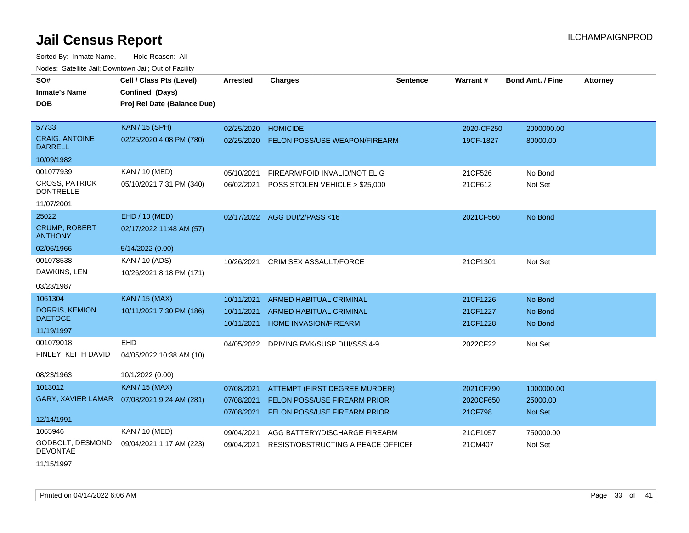| SO#                                       | Cell / Class Pts (Level)                     | <b>Arrested</b> | <b>Charges</b>                     | <b>Sentence</b> | <b>Warrant#</b> | <b>Bond Amt. / Fine</b> | <b>Attorney</b> |
|-------------------------------------------|----------------------------------------------|-----------------|------------------------------------|-----------------|-----------------|-------------------------|-----------------|
| <b>Inmate's Name</b>                      | Confined (Days)                              |                 |                                    |                 |                 |                         |                 |
| <b>DOB</b>                                | Proj Rel Date (Balance Due)                  |                 |                                    |                 |                 |                         |                 |
|                                           |                                              |                 |                                    |                 |                 |                         |                 |
| 57733                                     | <b>KAN / 15 (SPH)</b>                        | 02/25/2020      | <b>HOMICIDE</b>                    |                 | 2020-CF250      | 2000000.00              |                 |
| <b>CRAIG, ANTOINE</b><br><b>DARRELL</b>   | 02/25/2020 4:08 PM (780)                     | 02/25/2020      | FELON POSS/USE WEAPON/FIREARM      |                 | 19CF-1827       | 80000.00                |                 |
| 10/09/1982                                |                                              |                 |                                    |                 |                 |                         |                 |
| 001077939                                 | KAN / 10 (MED)                               | 05/10/2021      | FIREARM/FOID INVALID/NOT ELIG      |                 | 21CF526         | No Bond                 |                 |
| <b>CROSS, PATRICK</b><br><b>DONTRELLE</b> | 05/10/2021 7:31 PM (340)                     | 06/02/2021      | POSS STOLEN VEHICLE > \$25,000     |                 | 21CF612         | Not Set                 |                 |
| 11/07/2001                                |                                              |                 |                                    |                 |                 |                         |                 |
| 25022                                     | EHD / 10 (MED)                               |                 | 02/17/2022 AGG DUI/2/PASS<16       |                 | 2021CF560       | No Bond                 |                 |
| <b>CRUMP, ROBERT</b><br><b>ANTHONY</b>    | 02/17/2022 11:48 AM (57)                     |                 |                                    |                 |                 |                         |                 |
| 02/06/1966                                | 5/14/2022 (0.00)                             |                 |                                    |                 |                 |                         |                 |
| 001078538                                 | KAN / 10 (ADS)                               | 10/26/2021      | <b>CRIM SEX ASSAULT/FORCE</b>      |                 | 21CF1301        | Not Set                 |                 |
| DAWKINS, LEN                              | 10/26/2021 8:18 PM (171)                     |                 |                                    |                 |                 |                         |                 |
| 03/23/1987                                |                                              |                 |                                    |                 |                 |                         |                 |
| 1061304                                   | <b>KAN / 15 (MAX)</b>                        | 10/11/2021      | <b>ARMED HABITUAL CRIMINAL</b>     |                 | 21CF1226        | No Bond                 |                 |
| DORRIS, KEMION                            | 10/11/2021 7:30 PM (186)                     | 10/11/2021      | ARMED HABITUAL CRIMINAL            |                 | 21CF1227        | No Bond                 |                 |
| <b>DAETOCE</b>                            |                                              | 10/11/2021      | <b>HOME INVASION/FIREARM</b>       |                 | 21CF1228        | No Bond                 |                 |
| 11/19/1997                                |                                              |                 |                                    |                 |                 |                         |                 |
| 001079018                                 | <b>EHD</b>                                   | 04/05/2022      | DRIVING RVK/SUSP DUI/SSS 4-9       |                 | 2022CF22        | Not Set                 |                 |
| FINLEY, KEITH DAVID                       | 04/05/2022 10:38 AM (10)                     |                 |                                    |                 |                 |                         |                 |
| 08/23/1963                                | 10/1/2022 (0.00)                             |                 |                                    |                 |                 |                         |                 |
| 1013012                                   | <b>KAN / 15 (MAX)</b>                        | 07/08/2021      | ATTEMPT (FIRST DEGREE MURDER)      |                 | 2021CF790       | 1000000.00              |                 |
|                                           | GARY, XAVIER LAMAR  07/08/2021 9:24 AM (281) | 07/08/2021      | FELON POSS/USE FIREARM PRIOR       |                 | 2020CF650       | 25000.00                |                 |
|                                           |                                              | 07/08/2021      | FELON POSS/USE FIREARM PRIOR       |                 | 21CF798         | Not Set                 |                 |
| 12/14/1991                                |                                              |                 |                                    |                 |                 |                         |                 |
| 1065946                                   | KAN / 10 (MED)                               | 09/04/2021      | AGG BATTERY/DISCHARGE FIREARM      |                 | 21CF1057        | 750000.00               |                 |
| GODBOLT, DESMOND<br><b>DEVONTAE</b>       | 09/04/2021 1:17 AM (223)                     | 09/04/2021      | RESIST/OBSTRUCTING A PEACE OFFICEL |                 | 21CM407         | Not Set                 |                 |
| 11/15/1997                                |                                              |                 |                                    |                 |                 |                         |                 |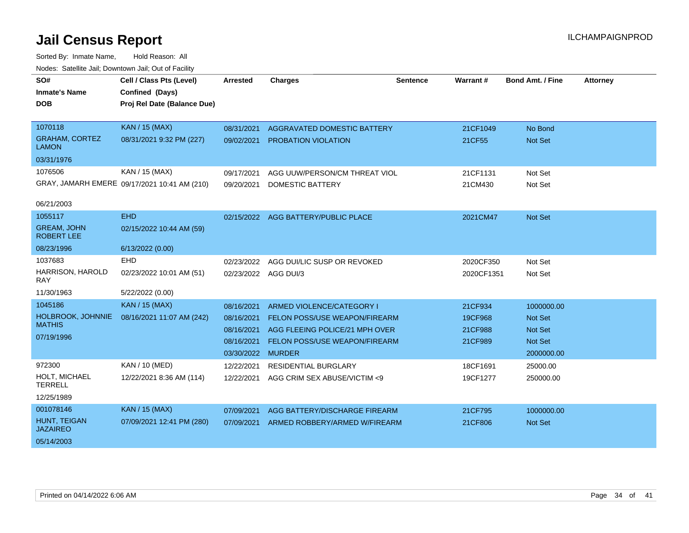| SO#                                     | Cell / Class Pts (Level)                     | Arrested             | <b>Charges</b>                      | <b>Sentence</b> | <b>Warrant#</b> | <b>Bond Amt. / Fine</b> | <b>Attorney</b> |
|-----------------------------------------|----------------------------------------------|----------------------|-------------------------------------|-----------------|-----------------|-------------------------|-----------------|
| <b>Inmate's Name</b>                    | Confined (Days)                              |                      |                                     |                 |                 |                         |                 |
| <b>DOB</b>                              | Proj Rel Date (Balance Due)                  |                      |                                     |                 |                 |                         |                 |
|                                         |                                              |                      |                                     |                 |                 |                         |                 |
| 1070118                                 | <b>KAN / 15 (MAX)</b>                        | 08/31/2021           | AGGRAVATED DOMESTIC BATTERY         |                 | 21CF1049        | No Bond                 |                 |
| <b>GRAHAM, CORTEZ</b><br><b>LAMON</b>   | 08/31/2021 9:32 PM (227)                     | 09/02/2021           | <b>PROBATION VIOLATION</b>          |                 | 21CF55          | <b>Not Set</b>          |                 |
| 03/31/1976                              |                                              |                      |                                     |                 |                 |                         |                 |
| 1076506                                 | KAN / 15 (MAX)                               | 09/17/2021           | AGG UUW/PERSON/CM THREAT VIOL       |                 | 21CF1131        | Not Set                 |                 |
|                                         | GRAY, JAMARH EMERE 09/17/2021 10:41 AM (210) | 09/20/2021           | <b>DOMESTIC BATTERY</b>             |                 | 21CM430         | Not Set                 |                 |
|                                         |                                              |                      |                                     |                 |                 |                         |                 |
| 06/21/2003                              |                                              |                      |                                     |                 |                 |                         |                 |
| 1055117                                 | <b>EHD</b>                                   |                      | 02/15/2022 AGG BATTERY/PUBLIC PLACE |                 | 2021CM47        | <b>Not Set</b>          |                 |
| <b>GREAM, JOHN</b><br><b>ROBERT LEE</b> | 02/15/2022 10:44 AM (59)                     |                      |                                     |                 |                 |                         |                 |
| 08/23/1996                              | 6/13/2022 (0.00)                             |                      |                                     |                 |                 |                         |                 |
| 1037683                                 | EHD                                          | 02/23/2022           | AGG DUI/LIC SUSP OR REVOKED         |                 | 2020CF350       | Not Set                 |                 |
| HARRISON, HAROLD<br><b>RAY</b>          | 02/23/2022 10:01 AM (51)                     | 02/23/2022 AGG DUI/3 |                                     |                 | 2020CF1351      | Not Set                 |                 |
| 11/30/1963                              | 5/22/2022 (0.00)                             |                      |                                     |                 |                 |                         |                 |
| 1045186                                 | <b>KAN / 15 (MAX)</b>                        | 08/16/2021           | ARMED VIOLENCE/CATEGORY I           |                 | 21CF934         | 1000000.00              |                 |
| HOLBROOK, JOHNNIE                       | 08/16/2021 11:07 AM (242)                    | 08/16/2021           | FELON POSS/USE WEAPON/FIREARM       |                 | 19CF968         | <b>Not Set</b>          |                 |
| <b>MATHIS</b>                           |                                              | 08/16/2021           | AGG FLEEING POLICE/21 MPH OVER      |                 | 21CF988         | <b>Not Set</b>          |                 |
| 07/19/1996                              |                                              | 08/16/2021           | FELON POSS/USE WEAPON/FIREARM       |                 | 21CF989         | <b>Not Set</b>          |                 |
|                                         |                                              | 03/30/2022           | <b>MURDER</b>                       |                 |                 | 2000000.00              |                 |
| 972300                                  | KAN / 10 (MED)                               | 12/22/2021           | RESIDENTIAL BURGLARY                |                 | 18CF1691        | 25000.00                |                 |
| HOLT, MICHAEL                           | 12/22/2021 8:36 AM (114)                     |                      |                                     |                 |                 |                         |                 |
| <b>TERRELL</b>                          |                                              | 12/22/2021           | AGG CRIM SEX ABUSE/VICTIM <9        |                 | 19CF1277        | 250000.00               |                 |
| 12/25/1989                              |                                              |                      |                                     |                 |                 |                         |                 |
| 001078146                               | <b>KAN / 15 (MAX)</b>                        | 07/09/2021           | AGG BATTERY/DISCHARGE FIREARM       |                 | 21CF795         | 1000000.00              |                 |
| HUNT, TEIGAN<br><b>JAZAIREO</b>         | 07/09/2021 12:41 PM (280)                    | 07/09/2021           | ARMED ROBBERY/ARMED W/FIREARM       |                 | 21CF806         | Not Set                 |                 |
| 05/14/2003                              |                                              |                      |                                     |                 |                 |                         |                 |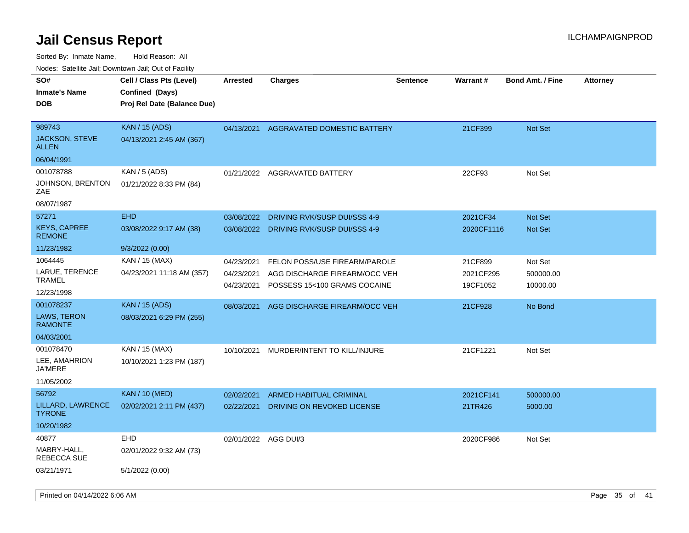| 10000. Catolino can, Domntonn can, Oat or I domt |                                                                            |                          |                                                               |                 |                       |                         |                 |
|--------------------------------------------------|----------------------------------------------------------------------------|--------------------------|---------------------------------------------------------------|-----------------|-----------------------|-------------------------|-----------------|
| SO#<br>Inmate's Name<br><b>DOB</b>               | Cell / Class Pts (Level)<br>Confined (Days)<br>Proj Rel Date (Balance Due) | <b>Arrested</b>          | <b>Charges</b>                                                | <b>Sentence</b> | Warrant#              | <b>Bond Amt. / Fine</b> | <b>Attorney</b> |
| 989743<br>JACKSON, STEVE<br>ALLEN                | <b>KAN / 15 (ADS)</b><br>04/13/2021 2:45 AM (367)                          | 04/13/2021               | AGGRAVATED DOMESTIC BATTERY                                   |                 | 21CF399               | <b>Not Set</b>          |                 |
| 06/04/1991                                       |                                                                            |                          |                                                               |                 |                       |                         |                 |
| 001078788                                        | KAN / 5 (ADS)                                                              |                          | 01/21/2022 AGGRAVATED BATTERY                                 |                 | 22CF93                | Not Set                 |                 |
| JOHNSON, BRENTON<br>ZAE                          | 01/21/2022 8:33 PM (84)                                                    |                          |                                                               |                 |                       |                         |                 |
| 08/07/1987                                       |                                                                            |                          |                                                               |                 |                       |                         |                 |
| 57271                                            | <b>EHD</b>                                                                 | 03/08/2022               | DRIVING RVK/SUSP DUI/SSS 4-9                                  |                 | 2021CF34              | <b>Not Set</b>          |                 |
| <b>KEYS, CAPREE</b><br><b>REMONE</b>             | 03/08/2022 9:17 AM (38)                                                    | 03/08/2022               | DRIVING RVK/SUSP DUI/SSS 4-9                                  |                 | 2020CF1116            | <b>Not Set</b>          |                 |
| 11/23/1982                                       | 9/3/2022 (0.00)                                                            |                          |                                                               |                 |                       |                         |                 |
| 1064445                                          | KAN / 15 (MAX)                                                             | 04/23/2021               | FELON POSS/USE FIREARM/PAROLE                                 |                 | 21CF899               | Not Set                 |                 |
| LARUE, TERENCE<br>TRAMEL                         | 04/23/2021 11:18 AM (357)                                                  | 04/23/2021<br>04/23/2021 | AGG DISCHARGE FIREARM/OCC VEH<br>POSSESS 15<100 GRAMS COCAINE |                 | 2021CF295<br>19CF1052 | 500000.00<br>10000.00   |                 |
| 12/23/1998                                       |                                                                            |                          |                                                               |                 |                       |                         |                 |
| 001078237                                        | <b>KAN / 15 (ADS)</b>                                                      | 08/03/2021               | AGG DISCHARGE FIREARM/OCC VEH                                 |                 | 21CF928               | No Bond                 |                 |
| <b>LAWS, TERON</b><br><b>RAMONTE</b>             | 08/03/2021 6:29 PM (255)                                                   |                          |                                                               |                 |                       |                         |                 |
| 04/03/2001                                       |                                                                            |                          |                                                               |                 |                       |                         |                 |
| 001078470                                        | KAN / 15 (MAX)                                                             | 10/10/2021               | MURDER/INTENT TO KILL/INJURE                                  |                 | 21CF1221              | Not Set                 |                 |
| LEE, AMAHRION<br>JA'MERE                         | 10/10/2021 1:23 PM (187)                                                   |                          |                                                               |                 |                       |                         |                 |
| 11/05/2002                                       |                                                                            |                          |                                                               |                 |                       |                         |                 |
| 56792                                            | <b>KAN / 10 (MED)</b>                                                      | 02/02/2021               | ARMED HABITUAL CRIMINAL                                       |                 | 2021CF141             | 500000.00               |                 |
| LILLARD, LAWRENCE<br>TYRONE.                     | 02/02/2021 2:11 PM (437)                                                   | 02/22/2021               | DRIVING ON REVOKED LICENSE                                    |                 | 21TR426               | 5000.00                 |                 |
| 10/20/1982                                       |                                                                            |                          |                                                               |                 |                       |                         |                 |
| 40877                                            | EHD                                                                        | 02/01/2022 AGG DUI/3     |                                                               |                 | 2020CF986             | Not Set                 |                 |
| MABRY-HALL,<br>REBECCA SUE                       | 02/01/2022 9:32 AM (73)                                                    |                          |                                                               |                 |                       |                         |                 |
| 03/21/1971                                       | 5/1/2022 (0.00)                                                            |                          |                                                               |                 |                       |                         |                 |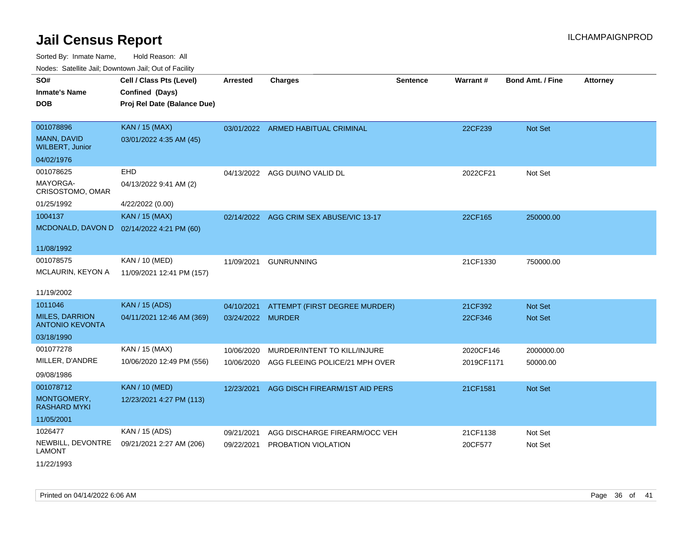Sorted By: Inmate Name, Hold Reason: All Nodes: Satellite Jail; Downtown Jail; Out of Facility

| <b>Neget Calculus Vall, Downlown Vall, Out of Fability</b> |                             |                   |                                    |                 |            |                         |                 |
|------------------------------------------------------------|-----------------------------|-------------------|------------------------------------|-----------------|------------|-------------------------|-----------------|
| SO#                                                        | Cell / Class Pts (Level)    | <b>Arrested</b>   | <b>Charges</b>                     | <b>Sentence</b> | Warrant#   | <b>Bond Amt. / Fine</b> | <b>Attorney</b> |
| <b>Inmate's Name</b>                                       | Confined (Days)             |                   |                                    |                 |            |                         |                 |
| <b>DOB</b>                                                 | Proj Rel Date (Balance Due) |                   |                                    |                 |            |                         |                 |
|                                                            |                             |                   |                                    |                 |            |                         |                 |
| 001078896                                                  | <b>KAN / 15 (MAX)</b>       |                   | 03/01/2022 ARMED HABITUAL CRIMINAL |                 | 22CF239    | <b>Not Set</b>          |                 |
| MANN, DAVID<br><b>WILBERT, Junior</b>                      | 03/01/2022 4:35 AM (45)     |                   |                                    |                 |            |                         |                 |
| 04/02/1976                                                 |                             |                   |                                    |                 |            |                         |                 |
| 001078625                                                  | EHD                         |                   | 04/13/2022 AGG DUI/NO VALID DL     |                 | 2022CF21   | Not Set                 |                 |
| MAYORGA-<br>CRISOSTOMO, OMAR                               | 04/13/2022 9:41 AM (2)      |                   |                                    |                 |            |                         |                 |
| 01/25/1992                                                 | 4/22/2022 (0.00)            |                   |                                    |                 |            |                         |                 |
| 1004137                                                    | <b>KAN / 15 (MAX)</b>       | 02/14/2022        | AGG CRIM SEX ABUSE/VIC 13-17       |                 | 22CF165    | 250000.00               |                 |
| MCDONALD, DAVON D                                          | 02/14/2022 4:21 PM (60)     |                   |                                    |                 |            |                         |                 |
|                                                            |                             |                   |                                    |                 |            |                         |                 |
| 11/08/1992                                                 |                             |                   |                                    |                 |            |                         |                 |
| 001078575                                                  | KAN / 10 (MED)              | 11/09/2021        | <b>GUNRUNNING</b>                  |                 | 21CF1330   | 750000.00               |                 |
| <b>MCLAURIN, KEYON A</b>                                   | 11/09/2021 12:41 PM (157)   |                   |                                    |                 |            |                         |                 |
|                                                            |                             |                   |                                    |                 |            |                         |                 |
| 11/19/2002                                                 |                             |                   |                                    |                 |            |                         |                 |
| 1011046                                                    | <b>KAN / 15 (ADS)</b>       | 04/10/2021        | ATTEMPT (FIRST DEGREE MURDER)      |                 | 21CF392    | <b>Not Set</b>          |                 |
| <b>MILES, DARRION</b><br><b>ANTONIO KEVONTA</b>            | 04/11/2021 12:46 AM (369)   | 03/24/2022 MURDER |                                    |                 | 22CF346    | <b>Not Set</b>          |                 |
| 03/18/1990                                                 |                             |                   |                                    |                 |            |                         |                 |
| 001077278                                                  | KAN / 15 (MAX)              | 10/06/2020        | MURDER/INTENT TO KILL/INJURE       |                 | 2020CF146  | 2000000.00              |                 |
| MILLER, D'ANDRE                                            | 10/06/2020 12:49 PM (556)   | 10/06/2020        | AGG FLEEING POLICE/21 MPH OVER     |                 | 2019CF1171 | 50000.00                |                 |
| 09/08/1986                                                 |                             |                   |                                    |                 |            |                         |                 |
| 001078712                                                  | <b>KAN / 10 (MED)</b>       | 12/23/2021        | AGG DISCH FIREARM/1ST AID PERS     |                 | 21CF1581   | Not Set                 |                 |
| MONTGOMERY,<br><b>RASHARD MYKI</b>                         | 12/23/2021 4:27 PM (113)    |                   |                                    |                 |            |                         |                 |
| 11/05/2001                                                 |                             |                   |                                    |                 |            |                         |                 |
| 1026477                                                    | KAN / 15 (ADS)              | 09/21/2021        | AGG DISCHARGE FIREARM/OCC VEH      |                 | 21CF1138   | Not Set                 |                 |
| NEWBILL, DEVONTRE<br><b>LAMONT</b>                         | 09/21/2021 2:27 AM (206)    | 09/22/2021        | PROBATION VIOLATION                |                 | 20CF577    | Not Set                 |                 |

11/22/1993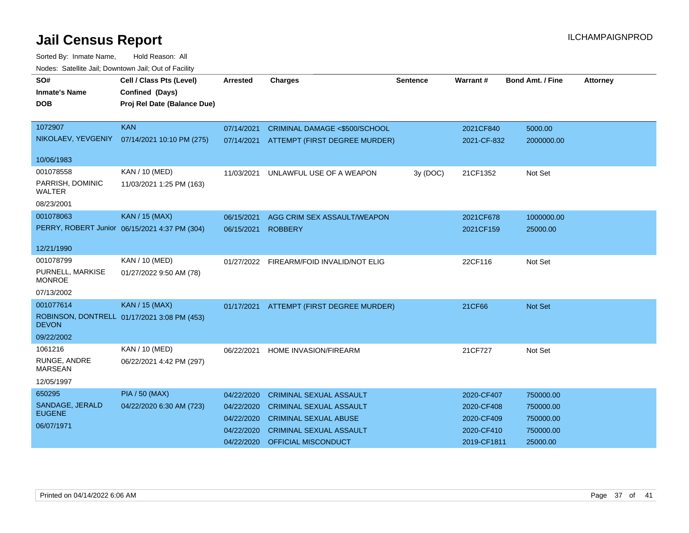| Noucs. Catchite sail, Downtown sail, Out of Facility |                                               |                 |                                          |                 |             |                         |                 |
|------------------------------------------------------|-----------------------------------------------|-----------------|------------------------------------------|-----------------|-------------|-------------------------|-----------------|
| SO#                                                  | Cell / Class Pts (Level)                      | <b>Arrested</b> | <b>Charges</b>                           | <b>Sentence</b> | Warrant#    | <b>Bond Amt. / Fine</b> | <b>Attorney</b> |
| <b>Inmate's Name</b>                                 | Confined (Days)                               |                 |                                          |                 |             |                         |                 |
| DOB                                                  | Proj Rel Date (Balance Due)                   |                 |                                          |                 |             |                         |                 |
|                                                      |                                               |                 |                                          |                 |             |                         |                 |
| 1072907                                              | <b>KAN</b>                                    | 07/14/2021      | CRIMINAL DAMAGE <\$500/SCHOOL            |                 | 2021CF840   | 5000.00                 |                 |
| NIKOLAEV, YEVGENIY                                   | 07/14/2021 10:10 PM (275)                     | 07/14/2021      | ATTEMPT (FIRST DEGREE MURDER)            |                 | 2021-CF-832 | 2000000.00              |                 |
|                                                      |                                               |                 |                                          |                 |             |                         |                 |
| 10/06/1983                                           |                                               |                 |                                          |                 |             |                         |                 |
| 001078558                                            | KAN / 10 (MED)                                | 11/03/2021      | UNLAWFUL USE OF A WEAPON                 | 3y (DOC)        | 21CF1352    | Not Set                 |                 |
| PARRISH, DOMINIC<br>WALTER                           | 11/03/2021 1:25 PM (163)                      |                 |                                          |                 |             |                         |                 |
| 08/23/2001                                           |                                               |                 |                                          |                 |             |                         |                 |
| 001078063                                            | <b>KAN / 15 (MAX)</b>                         | 06/15/2021      | AGG CRIM SEX ASSAULT/WEAPON              |                 | 2021CF678   | 1000000.00              |                 |
|                                                      | PERRY, ROBERT Junior 06/15/2021 4:37 PM (304) | 06/15/2021      | <b>ROBBERY</b>                           |                 | 2021CF159   | 25000.00                |                 |
|                                                      |                                               |                 |                                          |                 |             |                         |                 |
| 12/21/1990                                           |                                               |                 |                                          |                 |             |                         |                 |
| 001078799                                            | <b>KAN / 10 (MED)</b>                         |                 | 01/27/2022 FIREARM/FOID INVALID/NOT ELIG |                 | 22CF116     | Not Set                 |                 |
| PURNELL, MARKISE<br><b>MONROE</b>                    | 01/27/2022 9:50 AM (78)                       |                 |                                          |                 |             |                         |                 |
| 07/13/2002                                           |                                               |                 |                                          |                 |             |                         |                 |
| 001077614                                            | <b>KAN / 15 (MAX)</b>                         | 01/17/2021      | ATTEMPT (FIRST DEGREE MURDER)            |                 | 21CF66      | <b>Not Set</b>          |                 |
| <b>DEVON</b>                                         | ROBINSON, DONTRELL 01/17/2021 3:08 PM (453)   |                 |                                          |                 |             |                         |                 |
| 09/22/2002                                           |                                               |                 |                                          |                 |             |                         |                 |
| 1061216                                              | KAN / 10 (MED)                                | 06/22/2021      | HOME INVASION/FIREARM                    |                 | 21CF727     | Not Set                 |                 |
| RUNGE, ANDRE<br><b>MARSEAN</b>                       | 06/22/2021 4:42 PM (297)                      |                 |                                          |                 |             |                         |                 |
| 12/05/1997                                           |                                               |                 |                                          |                 |             |                         |                 |
| 650295                                               | <b>PIA / 50 (MAX)</b>                         | 04/22/2020      | <b>CRIMINAL SEXUAL ASSAULT</b>           |                 | 2020-CF407  | 750000.00               |                 |
| SANDAGE, JERALD                                      | 04/22/2020 6:30 AM (723)                      | 04/22/2020      | <b>CRIMINAL SEXUAL ASSAULT</b>           |                 | 2020-CF408  | 750000.00               |                 |
| <b>EUGENE</b>                                        |                                               | 04/22/2020      | <b>CRIMINAL SEXUAL ABUSE</b>             |                 | 2020-CF409  | 750000.00               |                 |
| 06/07/1971                                           |                                               | 04/22/2020      | <b>CRIMINAL SEXUAL ASSAULT</b>           |                 | 2020-CF410  | 750000.00               |                 |
|                                                      |                                               | 04/22/2020      | OFFICIAL MISCONDUCT                      |                 | 2019-CF1811 | 25000.00                |                 |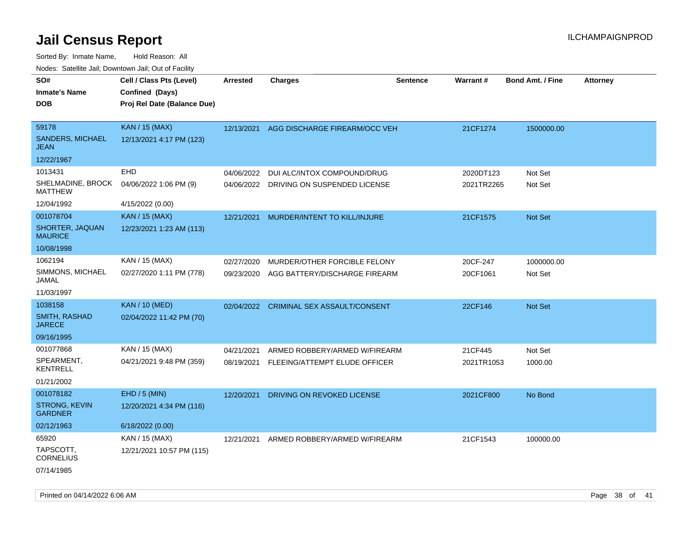| <b>NOULD:</b> Catoline can, Downtown can, Out of Fability |                             |                 |                                          |                 |            |                         |                 |
|-----------------------------------------------------------|-----------------------------|-----------------|------------------------------------------|-----------------|------------|-------------------------|-----------------|
| SO#                                                       | Cell / Class Pts (Level)    | <b>Arrested</b> | <b>Charges</b>                           | <b>Sentence</b> | Warrant#   | <b>Bond Amt. / Fine</b> | <b>Attorney</b> |
| <b>Inmate's Name</b>                                      | Confined (Days)             |                 |                                          |                 |            |                         |                 |
| <b>DOB</b>                                                | Proj Rel Date (Balance Due) |                 |                                          |                 |            |                         |                 |
|                                                           |                             |                 |                                          |                 |            |                         |                 |
| 59178                                                     | <b>KAN / 15 (MAX)</b>       |                 | 12/13/2021 AGG DISCHARGE FIREARM/OCC VEH |                 | 21CF1274   | 1500000.00              |                 |
| SANDERS, MICHAEL<br><b>JEAN</b>                           | 12/13/2021 4:17 PM (123)    |                 |                                          |                 |            |                         |                 |
| 12/22/1967                                                |                             |                 |                                          |                 |            |                         |                 |
| 1013431                                                   | EHD                         | 04/06/2022      | DUI ALC/INTOX COMPOUND/DRUG              |                 | 2020DT123  | Not Set                 |                 |
| SHELMADINE, BROCK<br><b>MATTHEW</b>                       | 04/06/2022 1:06 PM (9)      | 04/06/2022      | DRIVING ON SUSPENDED LICENSE             |                 | 2021TR2265 | Not Set                 |                 |
| 12/04/1992                                                | 4/15/2022 (0.00)            |                 |                                          |                 |            |                         |                 |
| 001078704                                                 | <b>KAN / 15 (MAX)</b>       | 12/21/2021      | MURDER/INTENT TO KILL/INJURE             |                 | 21CF1575   | <b>Not Set</b>          |                 |
| SHORTER, JAQUAN<br><b>MAURICE</b>                         | 12/23/2021 1:23 AM (113)    |                 |                                          |                 |            |                         |                 |
| 10/08/1998                                                |                             |                 |                                          |                 |            |                         |                 |
| 1062194                                                   | KAN / 15 (MAX)              | 02/27/2020      | MURDER/OTHER FORCIBLE FELONY             |                 | 20CF-247   | 1000000.00              |                 |
| SIMMONS, MICHAEL<br>JAMAL                                 | 02/27/2020 1:11 PM (778)    | 09/23/2020      | AGG BATTERY/DISCHARGE FIREARM            |                 | 20CF1061   | Not Set                 |                 |
| 11/03/1997                                                |                             |                 |                                          |                 |            |                         |                 |
| 1038158                                                   | <b>KAN / 10 (MED)</b>       | 02/04/2022      | <b>CRIMINAL SEX ASSAULT/CONSENT</b>      |                 | 22CF146    | <b>Not Set</b>          |                 |
| SMITH, RASHAD<br><b>JARECE</b>                            | 02/04/2022 11:42 PM (70)    |                 |                                          |                 |            |                         |                 |
| 09/16/1995                                                |                             |                 |                                          |                 |            |                         |                 |
| 001077868                                                 | KAN / 15 (MAX)              | 04/21/2021      | ARMED ROBBERY/ARMED W/FIREARM            |                 | 21CF445    | Not Set                 |                 |
| SPEARMENT,<br><b>KENTRELL</b>                             | 04/21/2021 9:48 PM (359)    | 08/19/2021      | FLEEING/ATTEMPT ELUDE OFFICER            |                 | 2021TR1053 | 1000.00                 |                 |
| 01/21/2002                                                |                             |                 |                                          |                 |            |                         |                 |
| 001078182                                                 | EHD / 5 (MIN)               | 12/20/2021      | DRIVING ON REVOKED LICENSE               |                 | 2021CF800  | No Bond                 |                 |
| <b>STRONG, KEVIN</b><br><b>GARDNER</b>                    | 12/20/2021 4:34 PM (116)    |                 |                                          |                 |            |                         |                 |
| 02/12/1963                                                | 6/18/2022 (0.00)            |                 |                                          |                 |            |                         |                 |
| 65920                                                     | KAN / 15 (MAX)              | 12/21/2021      | ARMED ROBBERY/ARMED W/FIREARM            |                 | 21CF1543   | 100000.00               |                 |
| TAPSCOTT,<br><b>CORNELIUS</b>                             | 12/21/2021 10:57 PM (115)   |                 |                                          |                 |            |                         |                 |
| 07/14/1985                                                |                             |                 |                                          |                 |            |                         |                 |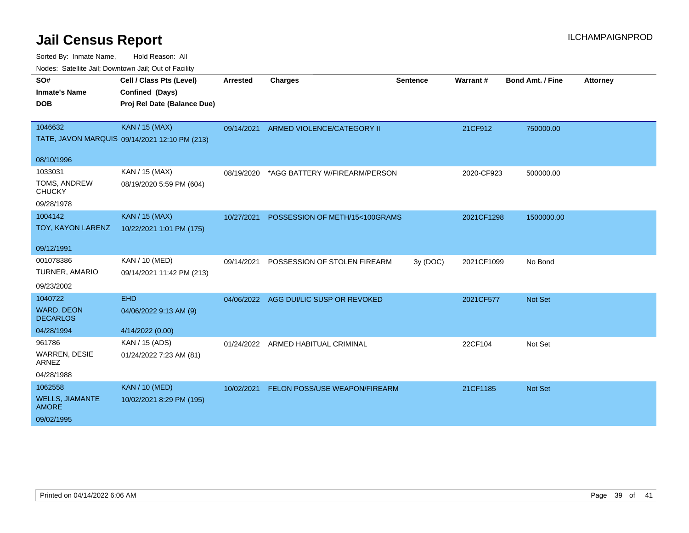| SO#<br><b>Inmate's Name</b><br><b>DOB</b>              | Cell / Class Pts (Level)<br>Confined (Days)<br>Proj Rel Date (Balance Due) | <b>Arrested</b> | <b>Charges</b>                         | <b>Sentence</b> | Warrant#   | <b>Bond Amt. / Fine</b> | <b>Attorney</b> |
|--------------------------------------------------------|----------------------------------------------------------------------------|-----------------|----------------------------------------|-----------------|------------|-------------------------|-----------------|
| 1046632                                                | <b>KAN / 15 (MAX)</b><br>TATE, JAVON MARQUIS 09/14/2021 12:10 PM (213)     | 09/14/2021      | ARMED VIOLENCE/CATEGORY II             |                 | 21CF912    | 750000.00               |                 |
| 08/10/1996                                             |                                                                            |                 |                                        |                 |            |                         |                 |
| 1033031<br>TOMS, ANDREW<br><b>CHUCKY</b><br>09/28/1978 | KAN / 15 (MAX)<br>08/19/2020 5:59 PM (604)                                 | 08/19/2020      | *AGG BATTERY W/FIREARM/PERSON          |                 | 2020-CF923 | 500000.00               |                 |
| 1004142                                                | <b>KAN / 15 (MAX)</b>                                                      | 10/27/2021      | POSSESSION OF METH/15<100GRAMS         |                 | 2021CF1298 | 1500000.00              |                 |
| TOY, KAYON LARENZ                                      | 10/22/2021 1:01 PM (175)                                                   |                 |                                        |                 |            |                         |                 |
| 09/12/1991                                             |                                                                            |                 |                                        |                 |            |                         |                 |
| 001078386                                              | KAN / 10 (MED)                                                             | 09/14/2021      | POSSESSION OF STOLEN FIREARM           | 3y (DOC)        | 2021CF1099 | No Bond                 |                 |
| TURNER, AMARIO                                         | 09/14/2021 11:42 PM (213)                                                  |                 |                                        |                 |            |                         |                 |
| 09/23/2002                                             |                                                                            |                 |                                        |                 |            |                         |                 |
| 1040722                                                | <b>EHD</b>                                                                 |                 | 04/06/2022 AGG DUI/LIC SUSP OR REVOKED |                 | 2021CF577  | <b>Not Set</b>          |                 |
| <b>WARD, DEON</b><br><b>DECARLOS</b>                   | 04/06/2022 9:13 AM (9)                                                     |                 |                                        |                 |            |                         |                 |
| 04/28/1994                                             | 4/14/2022 (0.00)                                                           |                 |                                        |                 |            |                         |                 |
| 961786                                                 | KAN / 15 (ADS)                                                             | 01/24/2022      | ARMED HABITUAL CRIMINAL                |                 | 22CF104    | Not Set                 |                 |
| <b>WARREN, DESIE</b><br><b>ARNEZ</b>                   | 01/24/2022 7:23 AM (81)                                                    |                 |                                        |                 |            |                         |                 |
| 04/28/1988                                             |                                                                            |                 |                                        |                 |            |                         |                 |
| 1062558                                                | <b>KAN / 10 (MED)</b>                                                      | 10/02/2021      | FELON POSS/USE WEAPON/FIREARM          |                 | 21CF1185   | <b>Not Set</b>          |                 |
| <b>WELLS, JIAMANTE</b><br><b>AMORE</b>                 | 10/02/2021 8:29 PM (195)                                                   |                 |                                        |                 |            |                         |                 |
| 09/02/1995                                             |                                                                            |                 |                                        |                 |            |                         |                 |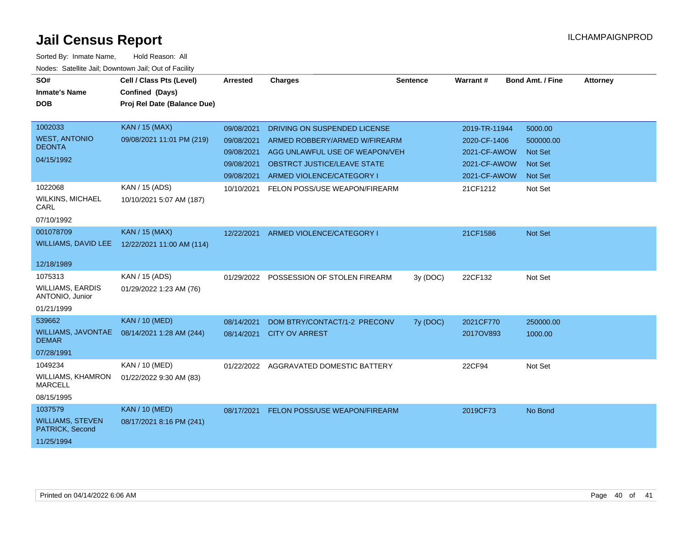| SO#                                        | Cell / Class Pts (Level)    | Arrested   | <b>Charges</b>                       | <b>Sentence</b> | <b>Warrant#</b> | <b>Bond Amt. / Fine</b> | <b>Attorney</b> |
|--------------------------------------------|-----------------------------|------------|--------------------------------------|-----------------|-----------------|-------------------------|-----------------|
| <b>Inmate's Name</b>                       | Confined (Days)             |            |                                      |                 |                 |                         |                 |
| <b>DOB</b>                                 | Proj Rel Date (Balance Due) |            |                                      |                 |                 |                         |                 |
|                                            |                             |            |                                      |                 |                 |                         |                 |
| 1002033                                    | <b>KAN / 15 (MAX)</b>       | 09/08/2021 | DRIVING ON SUSPENDED LICENSE         |                 | 2019-TR-11944   | 5000.00                 |                 |
| <b>WEST, ANTONIO</b><br><b>DEONTA</b>      | 09/08/2021 11:01 PM (219)   | 09/08/2021 | ARMED ROBBERY/ARMED W/FIREARM        |                 | 2020-CF-1406    | 500000.00               |                 |
|                                            |                             | 09/08/2021 | AGG UNLAWFUL USE OF WEAPON/VEH       |                 | 2021-CF-AWOW    | <b>Not Set</b>          |                 |
| 04/15/1992                                 |                             | 09/08/2021 | <b>OBSTRCT JUSTICE/LEAVE STATE</b>   |                 | 2021-CF-AWOW    | <b>Not Set</b>          |                 |
|                                            |                             | 09/08/2021 | ARMED VIOLENCE/CATEGORY I            |                 | 2021-CF-AWOW    | <b>Not Set</b>          |                 |
| 1022068                                    | KAN / 15 (ADS)              | 10/10/2021 | FELON POSS/USE WEAPON/FIREARM        |                 | 21CF1212        | Not Set                 |                 |
| <b>WILKINS, MICHAEL</b><br>CARL            | 10/10/2021 5:07 AM (187)    |            |                                      |                 |                 |                         |                 |
| 07/10/1992                                 |                             |            |                                      |                 |                 |                         |                 |
| 001078709                                  | <b>KAN / 15 (MAX)</b>       | 12/22/2021 | ARMED VIOLENCE/CATEGORY I            |                 | 21CF1586        | Not Set                 |                 |
| <b>WILLIAMS, DAVID LEE</b>                 | 12/22/2021 11:00 AM (114)   |            |                                      |                 |                 |                         |                 |
| 12/18/1989                                 |                             |            |                                      |                 |                 |                         |                 |
| 1075313                                    | KAN / 15 (ADS)              | 01/29/2022 | POSSESSION OF STOLEN FIREARM         | 3y (DOC)        | 22CF132         | Not Set                 |                 |
| <b>WILLIAMS, EARDIS</b><br>ANTONIO, Junior | 01/29/2022 1:23 AM (76)     |            |                                      |                 |                 |                         |                 |
| 01/21/1999                                 |                             |            |                                      |                 |                 |                         |                 |
| 539662                                     | <b>KAN / 10 (MED)</b>       | 08/14/2021 | DOM BTRY/CONTACT/1-2 PRECONV         | 7y (DOC)        | 2021CF770       | 250000.00               |                 |
| WILLIAMS, JAVONTAE<br><b>DEMAR</b>         | 08/14/2021 1:28 AM (244)    | 08/14/2021 | <b>CITY OV ARREST</b>                |                 | 2017OV893       | 1000.00                 |                 |
| 07/28/1991                                 |                             |            |                                      |                 |                 |                         |                 |
| 1049234                                    | KAN / 10 (MED)              | 01/22/2022 | AGGRAVATED DOMESTIC BATTERY          |                 | 22CF94          | Not Set                 |                 |
| <b>WILLIAMS, KHAMRON</b><br><b>MARCELL</b> | 01/22/2022 9:30 AM (83)     |            |                                      |                 |                 |                         |                 |
| 08/15/1995                                 |                             |            |                                      |                 |                 |                         |                 |
| 1037579                                    | <b>KAN / 10 (MED)</b>       | 08/17/2021 | <b>FELON POSS/USE WEAPON/FIREARM</b> |                 | 2019CF73        | No Bond                 |                 |
| <b>WILLIAMS, STEVEN</b><br>PATRICK, Second | 08/17/2021 8:16 PM (241)    |            |                                      |                 |                 |                         |                 |
| 11/25/1994                                 |                             |            |                                      |                 |                 |                         |                 |